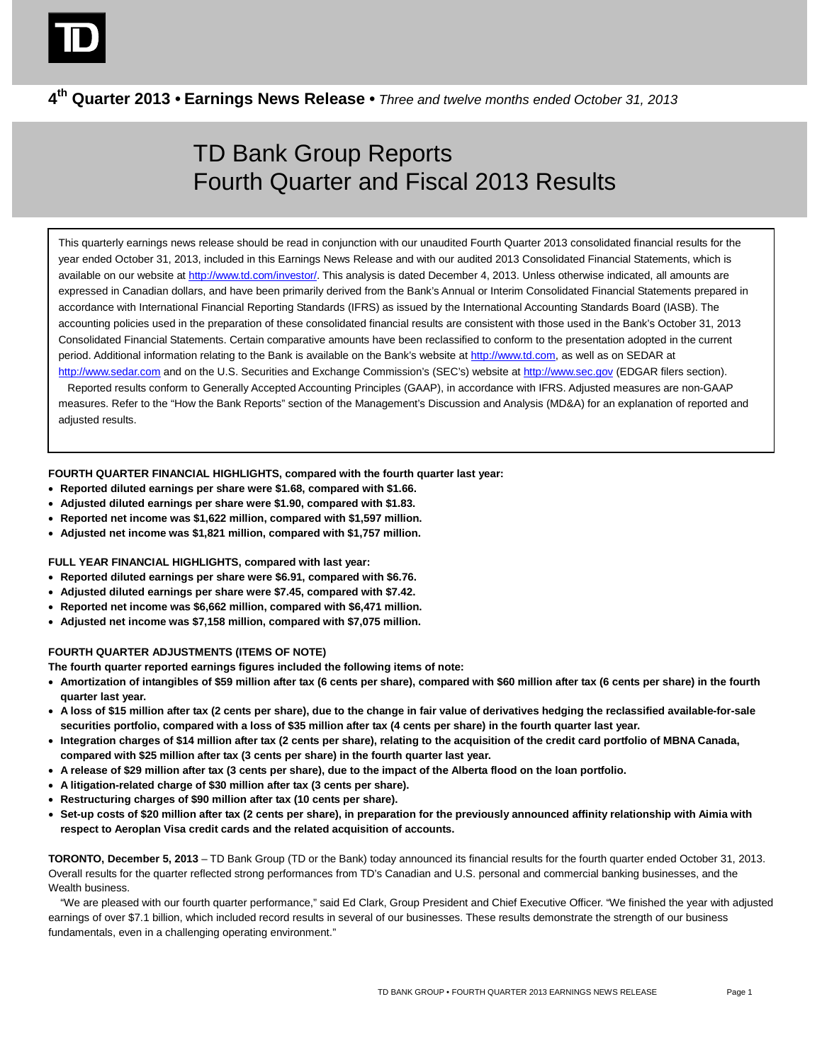

# **4th Quarter 2013 • Earnings News Release •** *Three and twelve months ended October 31, 2013*

# TD Bank Group Reports Fourth Quarter and Fiscal 2013 Results

This quarterly earnings news release should be read in conjunction with our unaudited Fourth Quarter 2013 consolidated financial results for the year ended October 31, 2013, included in this Earnings News Release and with our audited 2013 Consolidated Financial Statements, which is available on our website a[t http://www.td.com/investor/.](http://www.td.com/investor/) This analysis is dated December 4, 2013. Unless otherwise indicated, all amounts are expressed in Canadian dollars, and have been primarily derived from the Bank's Annual or Interim Consolidated Financial Statements prepared in accordance with International Financial Reporting Standards (IFRS) as issued by the International Accounting Standards Board (IASB). The accounting policies used in the preparation of these consolidated financial results are consistent with those used in the Bank's October 31, 2013 Consolidated Financial Statements. Certain comparative amounts have been reclassified to conform to the presentation adopted in the current period. Additional information relating to the Bank is available on the Bank's website at [http://www.td.com,](http://www.td.com/) as well as on SEDAR at [http://www.sedar.com](http://www.sedar.com/) and on the U.S. Securities and Exchange Commission's (SEC's) website at [http://www.sec.gov](http://www.sec.gov/) (EDGAR filers section).

 Reported results conform to Generally Accepted Accounting Principles (GAAP), in accordance with IFRS. Adjusted measures are non-GAAP measures. Refer to the "How the Bank Reports" section of the Management's Discussion and Analysis (MD&A) for an explanation of reported and adjusted results.

**FOURTH QUARTER FINANCIAL HIGHLIGHTS, compared with the fourth quarter last year:**

- **Reported diluted earnings per share were \$1.68, compared with \$1.66.**
- **Adjusted diluted earnings per share were \$1.90, compared with \$1.83.**
- **Reported net income was \$1,622 million, compared with \$1,597 million.**
- **Adjusted net income was \$1,821 million, compared with \$1,757 million.**

**FULL YEAR FINANCIAL HIGHLIGHTS, compared with last year:** 

- **Reported diluted earnings per share were \$6.91, compared with \$6.76.**
- **Adjusted diluted earnings per share were \$7.45, compared with \$7.42.**
- **Reported net income was \$6,662 million, compared with \$6,471 million.**
- **Adjusted net income was \$7,158 million, compared with \$7,075 million.**

# **FOURTH QUARTER ADJUSTMENTS (ITEMS OF NOTE)**

**The fourth quarter reported earnings figures included the following items of note:**

- **Amortization of intangibles of \$59 million after tax (6 cents per share), compared with \$60 million after tax (6 cents per share) in the fourth quarter last year.**
- **A loss of \$15 million after tax (2 cents per share), due to the change in fair value of derivatives hedging the reclassified available-for-sale securities portfolio, compared with a loss of \$35 million after tax (4 cents per share) in the fourth quarter last year.**
- **Integration charges of \$14 million after tax (2 cents per share), relating to the acquisition of the credit card portfolio of MBNA Canada, compared with \$25 million after tax (3 cents per share) in the fourth quarter last year.**
- **A release of \$29 million after tax (3 cents per share), due to the impact of the Alberta flood on the loan portfolio.**
- **A litigation-related charge of \$30 million after tax (3 cents per share).**
- **Restructuring charges of \$90 million after tax (10 cents per share).**
- **Set-up costs of \$20 million after tax (2 cents per share), in preparation for the previously announced affinity relationship with Aimia with respect to Aeroplan Visa credit cards and the related acquisition of accounts.**

**TORONTO, December 5, 2013** – TD Bank Group (TD or the Bank) today announced its financial results for the fourth quarter ended October 31, 2013. Overall results for the quarter reflected strong performances from TD's Canadian and U.S. personal and commercial banking businesses, and the Wealth business.

"We are pleased with our fourth quarter performance," said Ed Clark, Group President and Chief Executive Officer. "We finished the year with adjusted earnings of over \$7.1 billion, which included record results in several of our businesses. These results demonstrate the strength of our business fundamentals, even in a challenging operating environment."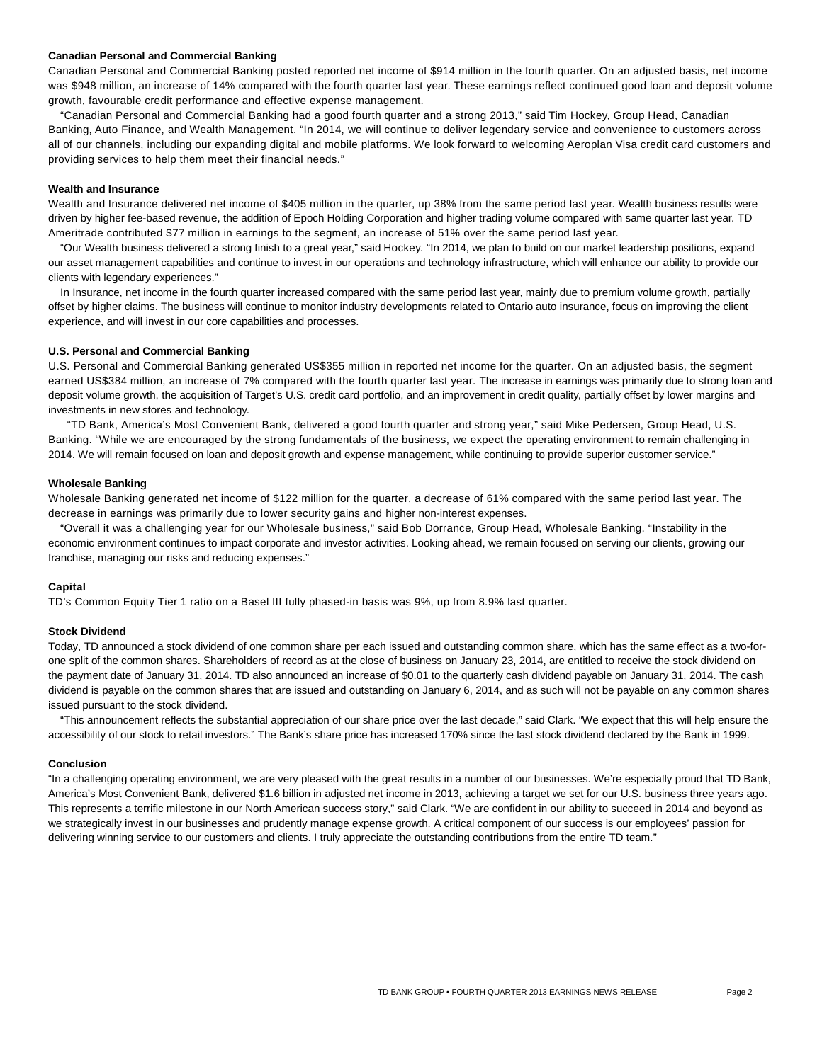## **Canadian Personal and Commercial Banking**

Canadian Personal and Commercial Banking posted reported net income of \$914 million in the fourth quarter. On an adjusted basis, net income was \$948 million, an increase of 14% compared with the fourth quarter last year. These earnings reflect continued good loan and deposit volume growth, favourable credit performance and effective expense management.

"Canadian Personal and Commercial Banking had a good fourth quarter and a strong 2013," said Tim Hockey, Group Head, Canadian Banking, Auto Finance, and Wealth Management. "In 2014, we will continue to deliver legendary service and convenience to customers across all of our channels, including our expanding digital and mobile platforms. We look forward to welcoming Aeroplan Visa credit card customers and providing services to help them meet their financial needs."

#### **Wealth and Insurance**

Wealth and Insurance delivered net income of \$405 million in the quarter, up 38% from the same period last year. Wealth business results were driven by higher fee-based revenue, the addition of Epoch Holding Corporation and higher trading volume compared with same quarter last year. TD Ameritrade contributed \$77 million in earnings to the segment, an increase of 51% over the same period last year.

"Our Wealth business delivered a strong finish to a great year," said Hockey. "In 2014, we plan to build on our market leadership positions, expand our asset management capabilities and continue to invest in our operations and technology infrastructure, which will enhance our ability to provide our clients with legendary experiences."

In Insurance, net income in the fourth quarter increased compared with the same period last year, mainly due to premium volume growth, partially offset by higher claims. The business will continue to monitor industry developments related to Ontario auto insurance, focus on improving the client experience, and will invest in our core capabilities and processes.

#### **U.S. Personal and Commercial Banking**

U.S. Personal and Commercial Banking generated US\$355 million in reported net income for the quarter. On an adjusted basis, the segment earned US\$384 million, an increase of 7% compared with the fourth quarter last year. The increase in earnings was primarily due to strong loan and deposit volume growth, the acquisition of Target's U.S. credit card portfolio, and an improvement in credit quality, partially offset by lower margins and investments in new stores and technology.

"TD Bank, America's Most Convenient Bank, delivered a good fourth quarter and strong year," said Mike Pedersen, Group Head, U.S. Banking. "While we are encouraged by the strong fundamentals of the business, we expect the operating environment to remain challenging in 2014. We will remain focused on loan and deposit growth and expense management, while continuing to provide superior customer service."

#### **Wholesale Banking**

Wholesale Banking generated net income of \$122 million for the quarter, a decrease of 61% compared with the same period last year. The decrease in earnings was primarily due to lower security gains and higher non-interest expenses.

"Overall it was a challenging year for our Wholesale business," said Bob Dorrance, Group Head, Wholesale Banking. "Instability in the economic environment continues to impact corporate and investor activities. Looking ahead, we remain focused on serving our clients, growing our franchise, managing our risks and reducing expenses."

#### **Capital**

TD's Common Equity Tier 1 ratio on a Basel III fully phased-in basis was 9%, up from 8.9% last quarter.

#### **Stock Dividend**

Today, TD announced a stock dividend of one common share per each issued and outstanding common share, which has the same effect as a two-forone split of the common shares. Shareholders of record as at the close of business on January 23, 2014, are entitled to receive the stock dividend on the payment date of January 31, 2014. TD also announced an increase of \$0.01 to the quarterly cash dividend payable on January 31, 2014. The cash dividend is payable on the common shares that are issued and outstanding on January 6, 2014, and as such will not be payable on any common shares issued pursuant to the stock dividend.

 "This announcement reflects the substantial appreciation of our share price over the last decade," said Clark. "We expect that this will help ensure the accessibility of our stock to retail investors." The Bank's share price has increased 170% since the last stock dividend declared by the Bank in 1999.

#### **Conclusion**

"In a challenging operating environment, we are very pleased with the great results in a number of our businesses. We're especially proud that TD Bank, America's Most Convenient Bank, delivered \$1.6 billion in adjusted net income in 2013, achieving a target we set for our U.S. business three years ago. This represents a terrific milestone in our North American success story," said Clark. "We are confident in our ability to succeed in 2014 and beyond as we strategically invest in our businesses and prudently manage expense growth. A critical component of our success is our employees' passion for delivering winning service to our customers and clients. I truly appreciate the outstanding contributions from the entire TD team."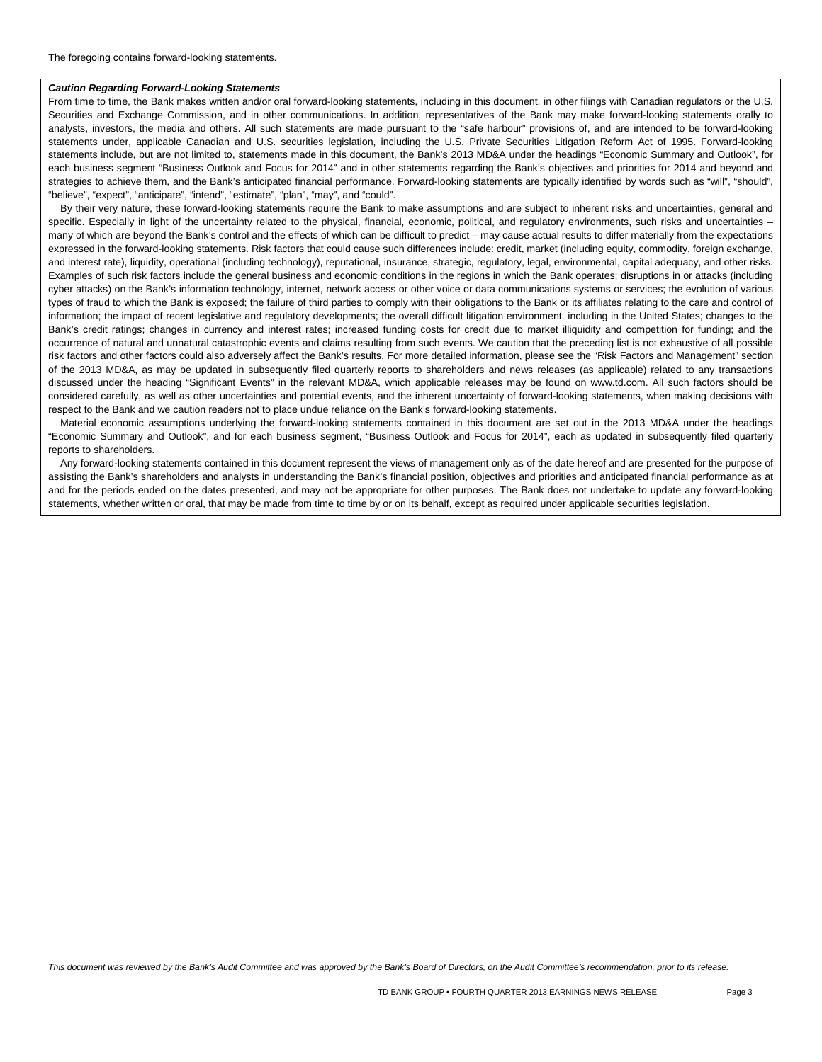#### *Caution Regarding Forward-Looking Statements*

From time to time, the Bank makes written and/or oral forward-looking statements, including in this document, in other filings with Canadian regulators or the U.S. Securities and Exchange Commission, and in other communications. In addition, representatives of the Bank may make forward-looking statements orally to analysts, investors, the media and others. All such statements are made pursuant to the "safe harbour" provisions of, and are intended to be forward-looking statements under, applicable Canadian and U.S. securities legislation, including the U.S. Private Securities Litigation Reform Act of 1995. Forward-looking statements include, but are not limited to, statements made in this document, the Bank's 2013 MD&A under the headings "Economic Summary and Outlook", for each business segment "Business Outlook and Focus for 2014" and in other statements regarding the Bank's objectives and priorities for 2014 and beyond and strategies to achieve them, and the Bank's anticipated financial performance. Forward-looking statements are typically identified by words such as "will", "should", "believe", "expect", "anticipate", "intend", "estimate", "plan", "may", and "could".

By their very nature, these forward-looking statements require the Bank to make assumptions and are subject to inherent risks and uncertainties, general and specific. Especially in light of the uncertainty related to the physical, financial, economic, political, and regulatory environments, such risks and uncertainties many of which are beyond the Bank's control and the effects of which can be difficult to predict – may cause actual results to differ materially from the expectations expressed in the forward-looking statements. Risk factors that could cause such differences include: credit, market (including equity, commodity, foreign exchange, and interest rate), liquidity, operational (including technology), reputational, insurance, strategic, regulatory, legal, environmental, capital adequacy, and other risks. Examples of such risk factors include the general business and economic conditions in the regions in which the Bank operates; disruptions in or attacks (including cyber attacks) on the Bank's information technology, internet, network access or other voice or data communications systems or services; the evolution of various types of fraud to which the Bank is exposed; the failure of third parties to comply with their obligations to the Bank or its affiliates relating to the care and control of information; the impact of recent legislative and regulatory developments; the overall difficult litigation environment, including in the United States; changes to the Bank's credit ratings; changes in currency and interest rates; increased funding costs for credit due to market illiquidity and competition for funding; and the occurrence of natural and unnatural catastrophic events and claims resulting from such events. We caution that the preceding list is not exhaustive of all possible risk factors and other factors could also adversely affect the Bank's results. For more detailed information, please see the "Risk Factors and Management" section of the 2013 MD&A, as may be updated in subsequently filed quarterly reports to shareholders and news releases (as applicable) related to any transactions discussed under the heading "Significant Events" in the relevant MD&A, which applicable releases may be found on www.td.com. All such factors should be considered carefully, as well as other uncertainties and potential events, and the inherent uncertainty of forward-looking statements, when making decisions with respect to the Bank and we caution readers not to place undue reliance on the Bank's forward-looking statements.

Material economic assumptions underlying the forward-looking statements contained in this document are set out in the 2013 MD&A under the headings "Economic Summary and Outlook", and for each business segment, "Business Outlook and Focus for 2014", each as updated in subsequently filed quarterly reports to shareholders.

Any forward-looking statements contained in this document represent the views of management only as of the date hereof and are presented for the purpose of assisting the Bank's shareholders and analysts in understanding the Bank's financial position, objectives and priorities and anticipated financial performance as at and for the periods ended on the dates presented, and may not be appropriate for other purposes. The Bank does not undertake to update any forward-looking statements, whether written or oral, that may be made from time to time by or on its behalf, except as required under applicable securities legislation.

*This document was reviewed by the Bank's Audit Committee and was approved by the Bank's Board of Directors, on the Audit Committee's recommendation, prior to its release.*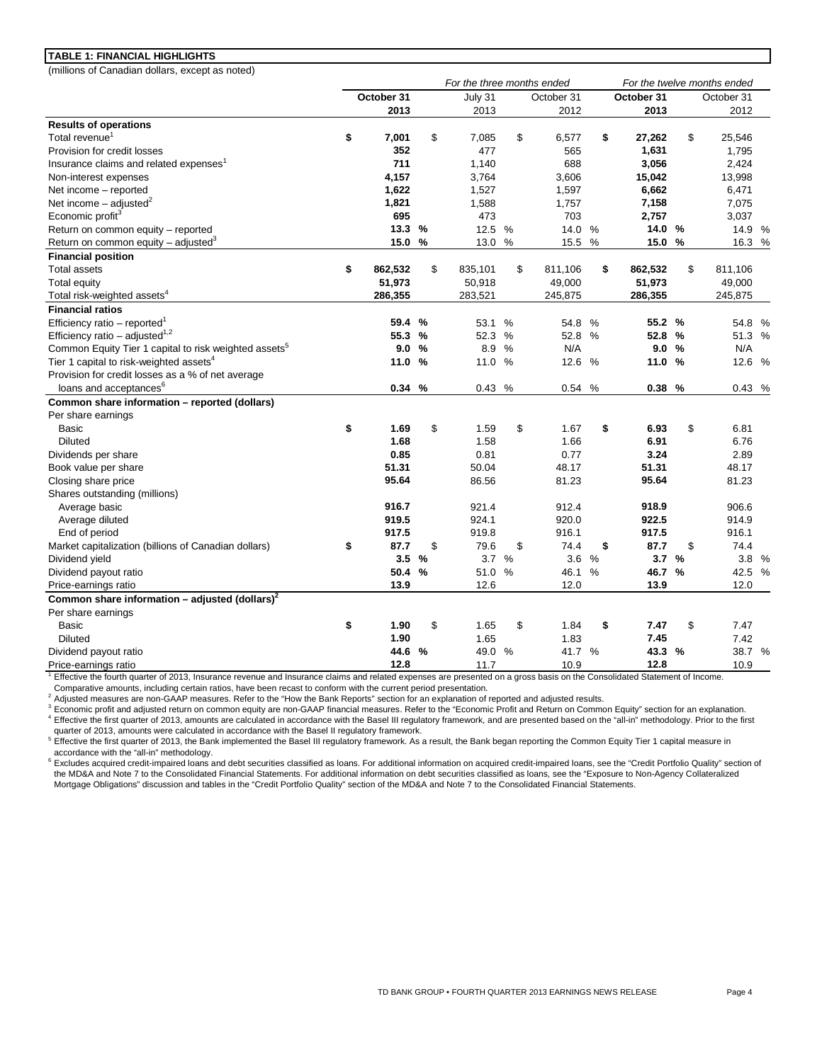# **TABLE 1: FINANCIAL HIGHLIGHTS**

(millions of Canadian dollars, except as noted)

|                                                                                       |               |               | For the three months ended |               |            | For the twelve months ended |                |               |            |        |
|---------------------------------------------------------------------------------------|---------------|---------------|----------------------------|---------------|------------|-----------------------------|----------------|---------------|------------|--------|
|                                                                                       | October 31    |               | July 31                    |               | October 31 |                             | October 31     |               | October 31 |        |
|                                                                                       | 2013          |               | 2013                       |               | 2012       |                             | 2013           |               | 2012       |        |
| <b>Results of operations</b>                                                          |               |               |                            |               |            |                             |                |               |            |        |
| Total revenue <sup>1</sup>                                                            | \$<br>7,001   | \$            | 7,085                      | \$            | 6,577      | \$                          | 27,262         | \$            | 25,546     |        |
| Provision for credit losses                                                           | 352           |               | 477                        |               | 565        |                             | 1,631          |               | 1,795      |        |
| Insurance claims and related expenses <sup>1</sup>                                    | 711           |               | 1,140                      |               | 688        |                             | 3,056          |               | 2,424      |        |
| Non-interest expenses                                                                 | 4,157         |               | 3,764                      |               | 3,606      |                             | 15,042         |               | 13,998     |        |
| Net income - reported                                                                 | 1,622         |               | 1,527                      |               | 1,597      |                             | 6,662          |               | 6,471      |        |
| Net income $-$ adjusted <sup>2</sup>                                                  | 1,821         |               | 1,588                      |               | 1,757      |                             | 7,158          |               | 7,075      |        |
| Economic profit <sup>3</sup>                                                          | 695           |               | 473                        |               | 703        |                             | 2,757          |               | 3,037      |        |
|                                                                                       |               |               | 12.5                       |               | 14.0 %     |                             |                |               | 14.9 %     |        |
| Return on common equity - reported<br>Return on common equity – adjusted <sup>3</sup> | 13.3%<br>15.0 | $\frac{9}{6}$ | 13.0                       | %<br>$\%$     | 15.5 %     |                             | 14.0 %<br>15.0 | $\frac{9}{6}$ | 16.3 %     |        |
|                                                                                       |               |               |                            |               |            |                             |                |               |            |        |
| <b>Financial position</b>                                                             |               |               |                            |               |            |                             |                |               |            |        |
| <b>Total assets</b>                                                                   | \$<br>862,532 | \$            | 835,101                    | \$            | 811,106    | \$                          | 862,532        | \$            | 811,106    |        |
| <b>Total equity</b>                                                                   | 51,973        |               | 50,918                     |               | 49,000     |                             | 51,973         |               | 49,000     |        |
| Total risk-weighted assets <sup>4</sup>                                               | 286,355       |               | 283,521                    |               | 245,875    |                             | 286,355        |               | 245,875    |        |
| <b>Financial ratios</b>                                                               |               |               |                            |               |            |                             |                |               |            |        |
| Efficiency ratio – reported <sup>1</sup>                                              | 59.4 %        |               | 53.1                       | %             | 54.8       | %                           | 55.2 %         |               | 54.8 %     |        |
| Efficiency ratio – adjusted <sup>1,2</sup>                                            | 55.3          | %             | 52.3                       | %             | 52.8       | %                           | 52.8           | %             |            | 51.3 % |
| Common Equity Tier 1 capital to risk weighted assets <sup>5</sup>                     | 9.0           | %             | 8.9                        | $\frac{0}{0}$ | N/A        |                             | 9.0            | %             | N/A        |        |
| Tier 1 capital to risk-weighted assets <sup>4</sup>                                   | 11.0          | $\%$          | 11.0                       | $\frac{0}{0}$ | 12.6 %     |                             | 11.0 %         |               | 12.6 %     |        |
| Provision for credit losses as a % of net average                                     |               |               |                            |               |            |                             |                |               |            |        |
| loans and acceptances <sup>6</sup>                                                    | 0.34 %        |               | 0.43%                      |               | 0.54%      |                             | 0.38%          |               | 0.43%      |        |
| Common share information - reported (dollars)                                         |               |               |                            |               |            |                             |                |               |            |        |
| Per share earnings                                                                    |               |               |                            |               |            |                             |                |               |            |        |
| <b>Basic</b>                                                                          | \$<br>1.69    | \$            | 1.59                       | \$            | 1.67       | \$                          | 6.93           | \$            | 6.81       |        |
| <b>Diluted</b>                                                                        | 1.68          |               | 1.58                       |               | 1.66       |                             | 6.91           |               | 6.76       |        |
| Dividends per share                                                                   | 0.85          |               | 0.81                       |               | 0.77       |                             | 3.24           |               | 2.89       |        |
| Book value per share                                                                  | 51.31         |               | 50.04                      |               | 48.17      |                             | 51.31          |               | 48.17      |        |
| Closing share price                                                                   | 95.64         |               | 86.56                      |               | 81.23      |                             | 95.64          |               | 81.23      |        |
| Shares outstanding (millions)                                                         |               |               |                            |               |            |                             |                |               |            |        |
| Average basic                                                                         | 916.7         |               | 921.4                      |               | 912.4      |                             | 918.9          |               | 906.6      |        |
| Average diluted                                                                       | 919.5         |               | 924.1                      |               | 920.0      |                             | 922.5          |               | 914.9      |        |
| End of period                                                                         | 917.5         |               | 919.8                      |               | 916.1      |                             | 917.5          |               | 916.1      |        |
| Market capitalization (billions of Canadian dollars)                                  | 87.7<br>\$    | \$            | 79.6                       | \$            | 74.4       | \$                          | 87.7           | \$            | 74.4       |        |
| Dividend yield                                                                        | 3.5           | $\frac{9}{6}$ | 3.7                        | $\frac{0}{0}$ | 3.6        | %                           | 3.7            | %             |            | 3.8 %  |
| Dividend payout ratio                                                                 | 50.4 %        |               | 51.0                       | %             | 46.1       | %                           | 46.7 %         |               | 42.5 %     |        |
| Price-earnings ratio                                                                  | 13.9          |               | 12.6                       |               | 12.0       |                             | 13.9           |               | 12.0       |        |
| Common share information - adjusted (dollars) <sup>2</sup>                            |               |               |                            |               |            |                             |                |               |            |        |
| Per share earnings                                                                    |               |               |                            |               |            |                             |                |               |            |        |
| Basic                                                                                 | \$<br>1.90    | \$            | 1.65                       | \$            | 1.84       | \$                          | 7.47           | \$            | 7.47       |        |
| Diluted                                                                               | 1.90          |               | 1.65                       |               | 1.83       |                             | 7.45           |               | 7.42       |        |
| Dividend payout ratio                                                                 | 44.6 %        |               | 49.0                       | %             | 41.7 %     |                             | 43.3 %         |               |            | 38.7 % |
| Price-earnings ratio                                                                  | 12.8          |               | 11.7                       |               | 10.9       |                             | 12.8           |               | 10.9       |        |

<sup>1</sup> Effective the fourth quarter of 2013, Insurance revenue and Insurance claims and related expenses are presented on a gross basis on the Consolidated Statement of Income. Comparative amounts, including certain ratios, have been recast to conform with the current period presentation.

<sup>2</sup> Adjusted measures are non-GAAP measures. Refer to the "How the Bank Reports" section for an explanation of reported and adjusted results.

<sup>3</sup> Economic profit and adjusted return on common equity are non-GAAP financial measures. Refer to the "Economic Profit and Return on Common Equity" section for an explanation. <sup>4</sup> Effective the first quarter of 2013, amounts are calculated in accordance with the Basel III regulatory framework, and are presented based on the "all-in" methodology. Prior to the first

quarter of 2013, amounts were calculated in accordance with the Basel II regulatory framework.<br><sup>5</sup> Effective the first quarter of 2013, the Bank implemented the Basel III regulatory framework. As a result, the Bank began r accordance with the "all-in" methodology.

<sup>6</sup> Excludes acquired credit-impaired loans and debt securities classified as loans. For additional information on acquired credit-impaired loans, see the "Credit Portfolio Quality" section of the MD&A and Note 7 to the Consolidated Financial Statements. For additional information on debt securities classified as loans, see the "Exposure to Non-Agency Collateralized Mortgage Obligations" discussion and tables in the "Credit Portfolio Quality" section of the MD&A and Note 7 to the Consolidated Financial Statements.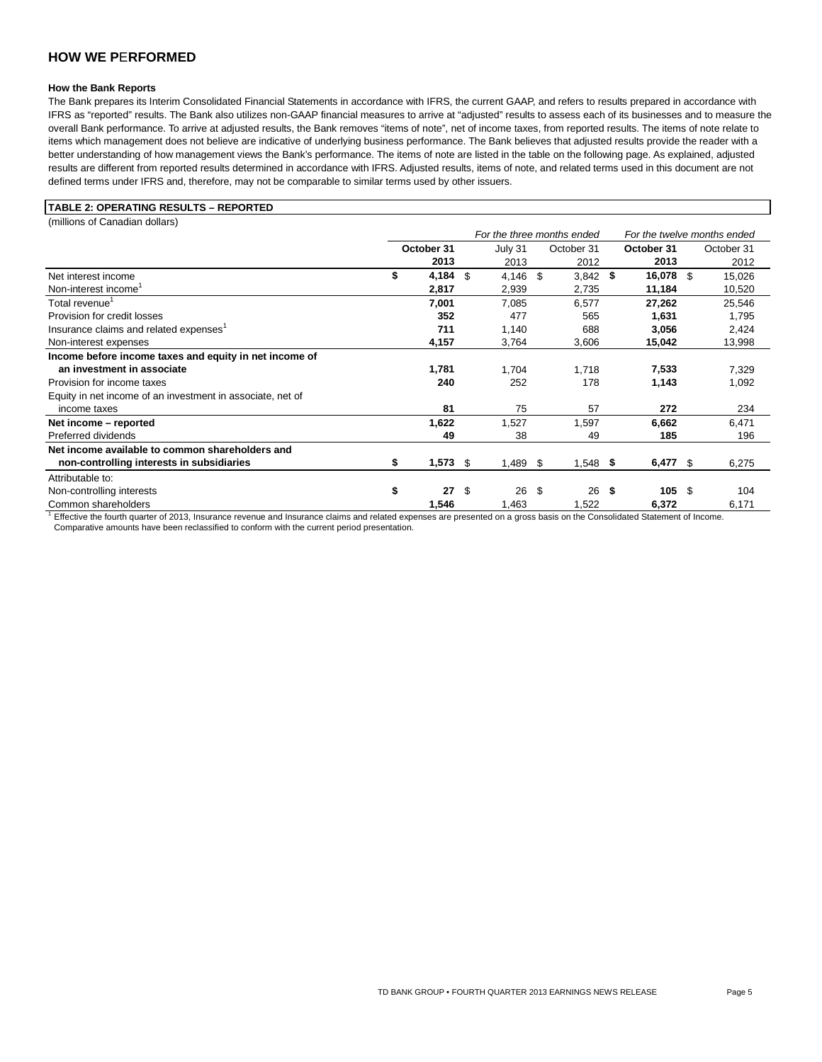# **HOW WE P**E**RFORMED**

#### **How the Bank Reports**

The Bank prepares its Interim Consolidated Financial Statements in accordance with IFRS, the current GAAP, and refers to results prepared in accordance with IFRS as "reported" results. The Bank also utilizes non-GAAP financial measures to arrive at "adjusted" results to assess each of its businesses and to measure the overall Bank performance. To arrive at adjusted results, the Bank removes "items of note", net of income taxes, from reported results. The items of note relate to items which management does not believe are indicative of underlying business performance. The Bank believes that adjusted results provide the reader with a better understanding of how management views the Bank's performance. The items of note are listed in the table on the following page. As explained, adjusted results are different from reported results determined in accordance with IFRS. Adjusted results, items of note, and related terms used in this document are not defined terms under IFRS and, therefore, may not be comparable to similar terms used by other issuers.

# **TABLE 2: OPERATING RESULTS – REPORTED**

(millions of Canadian dollars)

|                                                            |                 |            | For the three months ended |               |    |            | For the twelve months ended |            |
|------------------------------------------------------------|-----------------|------------|----------------------------|---------------|----|------------|-----------------------------|------------|
|                                                            | October 31      |            | July 31                    | October 31    |    | October 31 |                             | October 31 |
|                                                            | 2013            |            | 2013                       | 2012          |    | 2013       |                             | 2012       |
| Net interest income                                        | \$<br>4,184 $$$ |            | 4,146                      | \$<br>3,842   | s. | 16,078 \$  |                             | 15,026     |
| Non-interest income <sup>1</sup>                           | 2,817           |            | 2,939                      | 2,735         |    | 11,184     |                             | 10,520     |
| Total revenue <sup>1</sup>                                 | 7,001           |            | 7,085                      | 6,577         |    | 27,262     |                             | 25,546     |
| Provision for credit losses                                | 352             |            | 477                        | 565           |    | 1,631      |                             | 1,795      |
| Insurance claims and related expenses <sup>1</sup>         | 711             |            | 1,140                      | 688           |    | 3,056      |                             | 2,424      |
| Non-interest expenses                                      | 4,157           |            | 3,764                      | 3,606         |    | 15,042     |                             | 13,998     |
| Income before income taxes and equity in net income of     |                 |            |                            |               |    |            |                             |            |
| an investment in associate                                 | 1,781           |            | 1,704                      | 1,718         |    | 7,533      |                             | 7,329      |
| Provision for income taxes                                 | 240             |            | 252                        | 178           |    | 1,143      |                             | 1,092      |
| Equity in net income of an investment in associate, net of |                 |            |                            |               |    |            |                             |            |
| income taxes                                               | 81              |            | 75                         | 57            |    | 272        |                             | 234        |
| Net income – reported                                      | 1,622           |            | 1,527                      | 1,597         |    | 6,662      |                             | 6,471      |
| Preferred dividends                                        | 49              |            | 38                         | 49            |    | 185        |                             | 196        |
| Net income available to common shareholders and            |                 |            |                            |               |    |            |                             |            |
| non-controlling interests in subsidiaries                  | \$              | $1,573$ \$ | $1,489$ \$                 | $1,548$ \$    |    | 6,477 $$$  |                             | 6,275      |
| Attributable to:                                           |                 |            |                            |               |    |            |                             |            |
| Non-controlling interests                                  | \$              | 27<br>- \$ | 26                         | \$<br>$26$ \$ |    | $105 \t$$  |                             | 104        |
| Common shareholders                                        | 1,546           |            | 1,463                      | 1,522         |    | 6,372      |                             | 6,171      |

<sup>1</sup> Effective the fourth quarter of 2013, Insurance revenue and Insurance claims and related expenses are presented on a gross basis on the Consolidated Statement of Income.

Comparative amounts have been reclassified to conform with the current period presentation.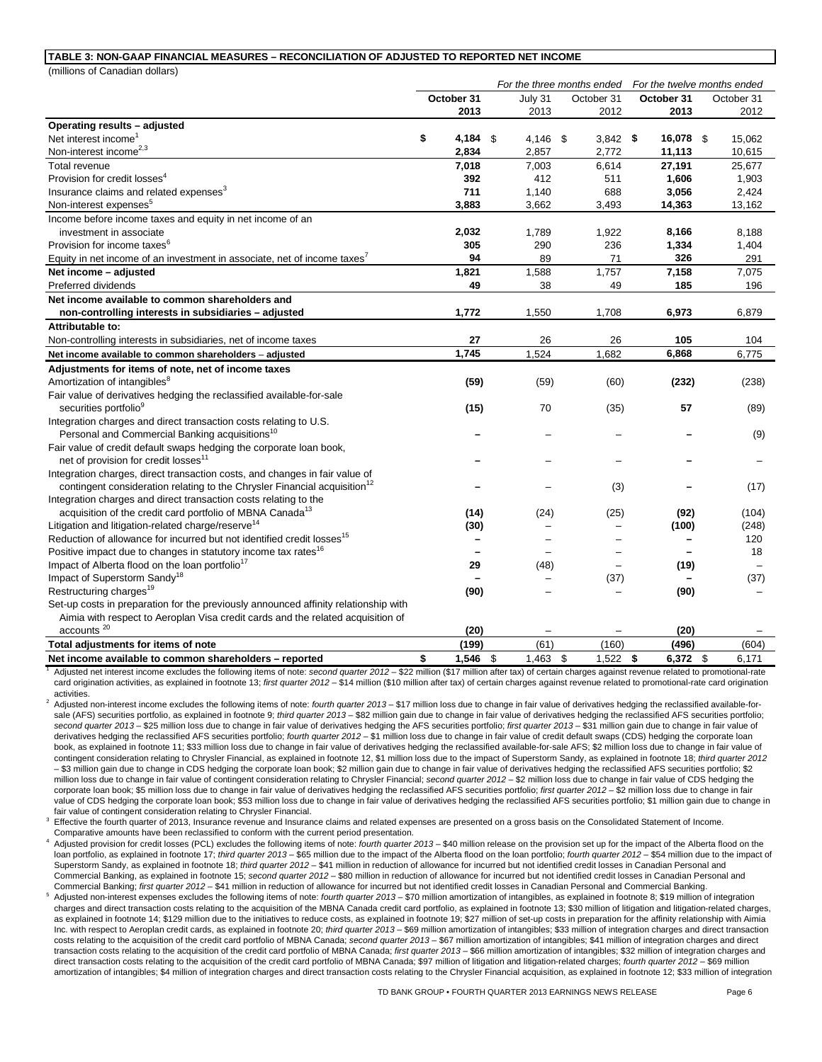#### **TABLE 3: NON-GAAP FINANCIAL MEASURES – RECONCILIATION OF ADJUSTED TO REPORTED NET INCOME**

(millions of Canadian dollars)

|                                                                                       |                          |            |            | For the three months ended For the twelve months ended |              |  |  |
|---------------------------------------------------------------------------------------|--------------------------|------------|------------|--------------------------------------------------------|--------------|--|--|
|                                                                                       | October 31               | July 31    | October 31 | October 31                                             | October 31   |  |  |
|                                                                                       | 2013                     | 2013       | 2012       | 2013                                                   | 2012         |  |  |
| Operating results - adjusted                                                          |                          |            |            |                                                        |              |  |  |
| Net interest income <sup>1</sup>                                                      | \$<br>4,184 \$           | 4,146 \$   | $3,842$ \$ | 16,078                                                 | \$<br>15,062 |  |  |
| Non-interest income <sup>2,3</sup>                                                    | 2,834                    | 2,857      | 2,772      | 11,113                                                 | 10,615       |  |  |
| Total revenue                                                                         | 7,018                    | 7,003      | 6,614      | 27,191                                                 | 25,677       |  |  |
| Provision for credit losses <sup>4</sup>                                              | 392                      | 412        | 511        | 1,606                                                  | 1,903        |  |  |
| Insurance claims and related expenses <sup>3</sup>                                    | 711                      | 1,140      | 688        | 3,056                                                  | 2,424        |  |  |
| Non-interest expenses <sup>5</sup>                                                    | 3,883                    | 3,662      | 3,493      | 14,363                                                 | 13,162       |  |  |
| Income before income taxes and equity in net income of an                             |                          |            |            |                                                        |              |  |  |
| investment in associate                                                               | 2,032                    | 1,789      | 1,922      | 8,166                                                  | 8,188        |  |  |
| Provision for income taxes <sup>6</sup>                                               | 305                      | 290        | 236        | 1,334                                                  | 1,404        |  |  |
| Equity in net income of an investment in associate, net of income taxes <sup>7</sup>  | 94                       | 89         | 71         | 326                                                    | 291          |  |  |
| Net income - adjusted                                                                 | 1,821                    | 1,588      | 1,757      | 7,158                                                  | 7,075        |  |  |
| Preferred dividends                                                                   | 49                       | 38         | 49         | 185                                                    | 196          |  |  |
| Net income available to common shareholders and                                       |                          |            |            |                                                        |              |  |  |
| non-controlling interests in subsidiaries - adjusted                                  | 1,772                    | 1,550      | 1,708      | 6,973                                                  | 6,879        |  |  |
| Attributable to:                                                                      |                          |            |            |                                                        |              |  |  |
| Non-controlling interests in subsidiaries, net of income taxes                        | 27                       | 26         | 26         | 105                                                    | 104          |  |  |
| Net income available to common shareholders - adjusted                                | 1,745                    | 1,524      | 1,682      | 6,868                                                  | 6,775        |  |  |
| Adjustments for items of note, net of income taxes                                    |                          |            |            |                                                        |              |  |  |
| Amortization of intangibles <sup>8</sup>                                              | (59)                     | (59)       | (60)       | (232)                                                  | (238)        |  |  |
| Fair value of derivatives hedging the reclassified available-for-sale                 |                          |            |            |                                                        |              |  |  |
| securities portfolio <sup>9</sup>                                                     | (15)                     | 70         | (35)       | 57                                                     | (89)         |  |  |
| Integration charges and direct transaction costs relating to U.S.                     |                          |            |            |                                                        |              |  |  |
| Personal and Commercial Banking acquisitions <sup>10</sup>                            |                          |            |            |                                                        | (9)          |  |  |
| Fair value of credit default swaps hedging the corporate loan book,                   |                          |            |            |                                                        |              |  |  |
| net of provision for credit losses <sup>11</sup>                                      |                          |            |            |                                                        |              |  |  |
| Integration charges, direct transaction costs, and changes in fair value of           |                          |            |            |                                                        |              |  |  |
| contingent consideration relating to the Chrysler Financial acquisition <sup>12</sup> |                          |            | (3)        |                                                        | (17)         |  |  |
| Integration charges and direct transaction costs relating to the                      |                          |            |            |                                                        |              |  |  |
| acquisition of the credit card portfolio of MBNA Canada <sup>13</sup>                 | (14)                     | (24)       | (25)       | (92)                                                   | (104)        |  |  |
| Litigation and litigation-related charge/reserve <sup>14</sup>                        | (30)                     |            |            | (100)                                                  | (248)        |  |  |
| Reduction of allowance for incurred but not identified credit losses <sup>15</sup>    |                          |            |            |                                                        | 120          |  |  |
| Positive impact due to changes in statutory income tax rates <sup>16</sup>            | $\overline{\phantom{0}}$ |            |            |                                                        | 18           |  |  |
| Impact of Alberta flood on the loan portfolio <sup>17</sup>                           | 29                       | (48)       |            | (19)                                                   |              |  |  |
| Impact of Superstorm Sandy <sup>18</sup>                                              |                          |            | (37)       |                                                        | (37)         |  |  |
| Restructuring charges <sup>19</sup>                                                   | (90)                     |            |            | (90)                                                   |              |  |  |
| Set-up costs in preparation for the previously announced affinity relationship with   |                          |            |            |                                                        |              |  |  |
| Aimia with respect to Aeroplan Visa credit cards and the related acquisition of       |                          |            |            |                                                        |              |  |  |
| accounts <sup>20</sup>                                                                | (20)                     |            |            | (20)                                                   |              |  |  |
| Total adjustments for items of note                                                   | (199)                    | (61)       | (160)      | (496)                                                  | (604)        |  |  |
| Net income available to common shareholders - reported                                | \$<br>1,546 \$           | $1,463$ \$ | $1,522$ \$ | 6,372 \$                                               | 6,171        |  |  |

Adjusted net interest income excludes the following items of note: second quarter 2012 - \$22 million (\$17 million after tax) of certain charges against revenue related to promotional-rate card origination activities, as explained in footnote 13; *first quarter 2012* – \$14 million (\$10 million after tax) of certain charges against revenue related to promotional-rate card origination activities.

Adjusted non-interest income excludes the following items of note: *fourth quarter 2013* - \$17 million loss due to change in fair value of derivatives hedging the reclassified available-forsale (AFS) securities portfolio, as explained in footnote 9; third quarter 2013 - \$82 million gain due to change in fair value of derivatives hedging the reclassified AFS securities portfolio; second quarter 2013 – \$25 million loss due to change in fair value of derivatives hedging the AFS securities portfolio; *first quarter 2013* – \$31 million gain due to change in fair value of derivatives hedging the reclassified AFS securities portfolio; *fourth quarter 2012* – \$1 million loss due to change in fair value of credit default swaps (CDS) hedging the corporate loan book, as explained in footnote 11; \$33 million loss due to change in fair value of derivatives hedging the reclassified available-for-sale AFS; \$2 million loss due to change in fair value of contingent consideration relating to Chrysler Financial, as explained in footnote 12, \$1 million loss due to the impact of Superstorm Sandy, as explained in footnote 18; *third quarter 2012* – \$3 million gain due to change in CDS hedging the corporate loan book; \$2 million gain due to change in fair value of derivatives hedging the reclassified AFS securities portfolio; \$2 million loss due to change in fair value of contingent consideration relating to Chrysler Financial; *second quarter 2012* – \$2 million loss due to change in fair value of CDS hedging the corporate loan book; \$5 million loss due to change in fair value of derivatives hedging the reclassified AFS securities portfolio; *first quarter 2012 -* \$2 million loss due to change in fair value of CDS hedging the corporate loan book; \$53 million loss due to change in fair value of derivatives hedging the reclassified AFS securities portfolio; \$1 million gain due to change in fair value of contingent consideration relating to Chrysler Financial.

Effective the fourth quarter of 2013, Insurance revenue and Insurance claims and related expenses are presented on a gross basis on the Consolidated Statement of Income. Comparative amounts have been reclassified to conform with the current period presentation.

Adjusted provision for credit losses (PCL) excludes the following items of note: *fourth quarter* 2013 - \$40 million release on the provision set up for the impact of the Alberta flood on the loan portfolio, as explained in footnote 17; *third quarter 2013* – \$65 million due to the impact of the Alberta flood on the loan portfolio; *fourth quarter 2012* – \$54 million due to the impact of Superstorm Sandy, as explained in footnote 18; *third quarter 2012* – \$41 million in reduction of allowance for incurred but not identified credit losses in Canadian Personal and Commercial Banking, as explained in footnote 15; *second quarter 2012* – \$80 million in reduction of allowance for incurred but not identified credit losses in Canadian Personal and Commercial Banking; *first quarter 2012* – \$41 million in reduction of allowance for incurred but not identified credit losses in Canadian Personal and Commercial Banking.

Adjusted non-interest expenses excludes the following items of note: *fourth quarter 2013* – \$70 million amortization of intangibles, as explained in footnote 8; \$19 million of integration charges and direct transaction costs relating to the acquisition of the MBNA Canada credit card portfolio, as explained in footnote 13; \$30 million of litigation and litigation-related charges, as explained in footnote 14; \$129 million due to the initiatives to reduce costs, as explained in footnote 19; \$27 million of set-up costs in preparation for the affinity relationship with Aimia Inc. with respect to Aeroplan credit cards, as explained in footnote 20; *third quarter 2013* – \$69 million amortization of intangibles; \$33 million of integration charges and direct transaction costs relating to the acquisition of the credit card portfolio of MBNA Canada; *second quarter 2013* - \$67 million amortization of intangibles; \$41 million of integration charges and direct transaction costs relating to the acquisition of the credit card portfolio of MBNA Canada; *first quarter 2013* – \$66 million amortization of intangibles; \$32 million of integration charges and direct transaction costs relating to the acquisition of the credit card portfolio of MBNA Canada; \$97 million of litigation and litigation-related charges; *fourth quarter 2012* - \$69 million amortization of intangibles; \$4 million of integration charges and direct transaction costs relating to the Chrysler Financial acquisition, as explained in footnote 12; \$33 million of integration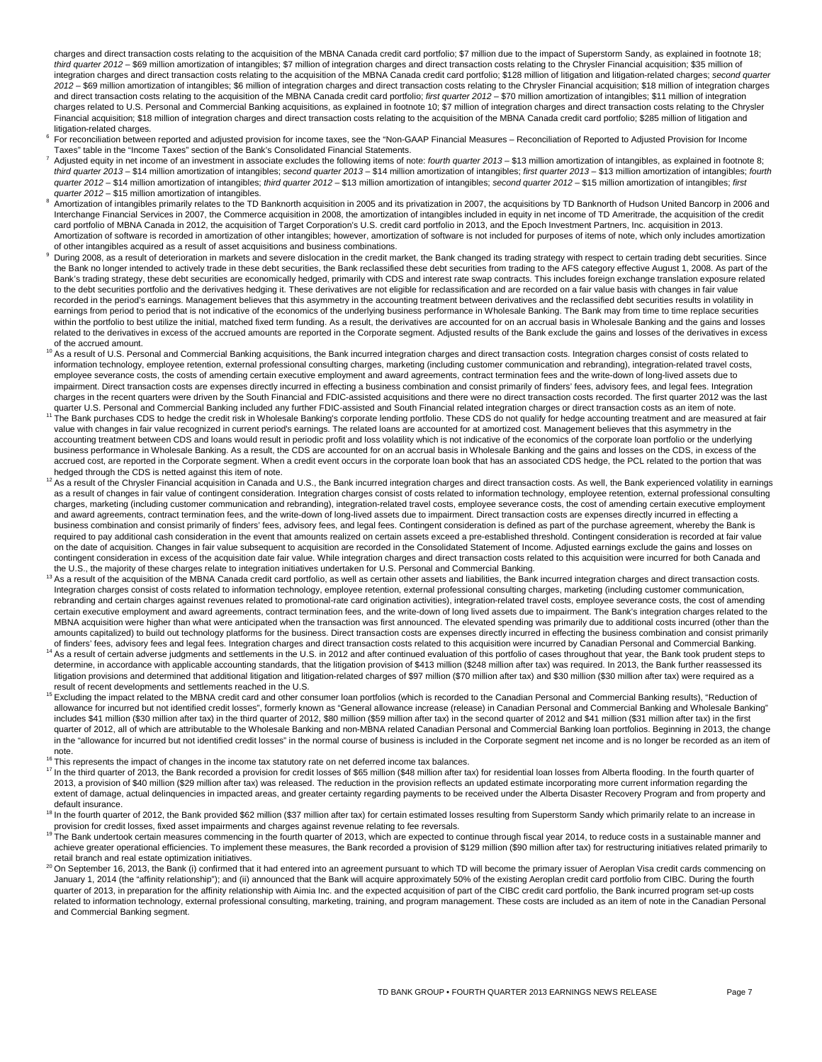charges and direct transaction costs relating to the acquisition of the MBNA Canada credit card portfolio; \$7 million due to the impact of Superstorm Sandy, as explained in footnote 18; *third quarter 2012* – \$69 million amortization of intangibles; \$7 million of integration charges and direct transaction costs relating to the Chrysler Financial acquisition; \$35 million of integration charges and direct transaction costs relating to the acquisition of the MBNA Canada credit card portfolio; \$128 million of litigation and litigation-related charges; *second quarter 2012* – \$69 million amortization of intangibles; \$6 million of integration charges and direct transaction costs relating to the Chrysler Financial acquisition; \$18 million of integration charges and direct transaction costs relating to the acquisition of the MBNA Canada credit card portfolio; *first quarter 2012* – \$70 million amortization of intangibles; \$11 million of integration charges related to U.S. Personal and Commercial Banking acquisitions, as explained in footnote 10; \$7 million of integration charges and direct transaction costs relating to the Chrysler Financial acquisition; \$18 million of integration charges and direct transaction costs relating to the acquisition of the MBNA Canada credit card portfolio; \$285 million of litigation and litigation-related charges.

- <sup>6</sup> For reconciliation between reported and adjusted provision for income taxes, see the "Non-GAAP Financial Measures Reconciliation of Reported to Adjusted Provision for Income Taxes" table in the "Income Taxes" section of the Bank's Consolidated Financial Statements.
- Adjusted equity in net income of an investment in associate excludes the following items of note: *fourth quarter 2013* \$13 million amortization of intangibles, as explained in footnote 8; third quarter 2013 - \$14 million amortization of intangibles; second quarter 2013 - \$14 million amortization of intangibles; first quarter 2013 - \$13 million amortization of intangibles; fourth *quarter 2012 –* \$14 million amortization of intangibles; *third quarter 2012 –* \$13 million amortization of intangibles; *second quarter 2012 –* \$15 million amortization of intangibles; *first quarter 2012* – \$15 million amortization of intangibles.
- Amortization of intangibles primarily relates to the TD Banknorth acquisition in 2005 and its privatization in 2007, the acquisitions by TD Banknorth of Hudson United Bancorp in 2006 and Interchange Financial Services in 2007, the Commerce acquisition in 2008, the amortization of intangibles included in equity in net income of TD Ameritrade, the acquisition of the credit card portfolio of MBNA Canada in 2012, the acquisition of Target Corporation's U.S. credit card portfolio in 2013, and the Epoch Investment Partners, Inc. acquisition in 2013. Amortization of software is recorded in amortization of other intangibles; however, amortization of software is not included for purposes of items of note, which only includes amortization of other intangibles acquired as a result of asset acquisitions and business combinations.
- During 2008, as a result of deterioration in markets and severe dislocation in the credit market, the Bank changed its trading strategy with respect to certain trading debt securities. Since the Bank no longer intended to actively trade in these debt securities, the Bank reclassified these debt securities from trading to the AFS category effective August 1, 2008. As part of the Bank's trading strategy, these debt securities are economically hedged, primarily with CDS and interest rate swap contracts. This includes foreign exchange translation exposure related to the debt securities portfolio and the derivatives hedging it. These derivatives are not eligible for reclassification and are recorded on a fair value basis with changes in fair value recorded in the period's earnings. Management believes that this asymmetry in the accounting treatment between derivatives and the reclassified debt securities results in volatility in earnings from period to period that is not indicative of the economics of the underlying business performance in Wholesale Banking. The Bank may from time to time replace securities within the portfolio to best utilize the initial, matched fixed term funding. As a result, the derivatives are accounted for on an accrual basis in Wholesale Banking and the gains and losses related to the derivatives in excess of the accrued amounts are reported in the Corporate segment. Adjusted results of the Bank exclude the gains and losses of the derivatives in excess of the accrued amount.
- 10 As a result of U.S. Personal and Commercial Banking acquisitions, the Bank incurred integration charges and direct transaction costs. Integration charges consist of costs related to information technology, employee retention, external professional consulting charges, marketing (including customer communication and rebranding), integration-related travel costs, employee severance costs, the costs of amending certain executive employment and award agreements, contract termination fees and the write-down of long-lived assets due to impairment. Direct transaction costs are expenses directly incurred in effecting a business combination and consist primarily of finders' fees, advisory fees, and legal fees. Integration charges in the recent quarters were driven by the South Financial and FDIC-assisted acquisitions and there were no direct transaction costs recorded. The first quarter 2012 was the last quarter U.S. Personal and Commercial Banking included any further FDIC-assisted and South Financial related integration charges or direct transaction costs as an item of note.
- <sup>11</sup> The Bank purchases CDS to hedge the credit risk in Wholesale Banking's corporate lending portfolio. These CDS do not qualify for hedge accounting treatment and are measured at fair value with changes in fair value recognized in current period's earnings. The related loans are accounted for at amortized cost. Management believes that this asymmetry in the accounting treatment between CDS and loans would result in periodic profit and loss volatility which is not indicative of the economics of the corporate loan portfolio or the underlying business performance in Wholesale Banking. As a result, the CDS are accounted for on an accrual basis in Wholesale Banking and the gains and losses on the CDS, in excess of the accrued cost, are reported in the Corporate segment. When a credit event occurs in the corporate loan book that has an associated CDS hedge, the PCL related to the portion that was hedged through the CDS is netted against
- 12 As a result of the Chrysler Financial acquisition in Canada and U.S., the Bank incurred integration charges and direct transaction costs. As well, the Bank experienced volatility in earnings as a result of changes in fair value of contingent consideration. Integration charges consist of costs related to information technology, employee retention, external professional consulting charges, marketing (including customer communication and rebranding), integration-related travel costs, employee severance costs, the cost of amending certain executive employment and award agreements, contract termination fees, and the write-down of long-lived assets due to impairment. Direct transaction costs are expenses directly incurred in effecting a business combination and consist primarily of finders' fees, advisory fees, and legal fees. Contingent consideration is defined as part of the purchase agreement, whereby the Bank is required to pay additional cash consideration in the event that amounts realized on certain assets exceed a pre-established threshold. Contingent consideration is recorded at fair value on the date of acquisition. Changes in fair value subsequent to acquisition are recorded in the Consolidated Statement of Income. Adjusted earnings exclude the gains and losses on contingent consideration in excess of the acquisition date fair value. While integration charges and direct transaction costs related to this acquisition were incurred for both Canada and the U.S., the majority of these charges relate to integration initiatives undertaken for U.S. Personal and Commercial Banking.
- <sup>13</sup> As a result of the acquisition of the MBNA Canada credit card portfolio, as well as certain other assets and liabilities, the Bank incurred integration charges and direct transaction costs. Integration charges consist of costs related to information technology, employee retention, external professional consulting charges, marketing (including customer communication, rebranding and certain charges against revenues related to promotional-rate card origination activities), integration-related travel costs, employee severance costs, the cost of amending certain executive employment and award agreements, contract termination fees, and the write-down of long lived assets due to impairment. The Bank's integration charges related to the MBNA acquisition were higher than what were anticipated when the transaction was first announced. The elevated spending was primarily due to additional costs incurred (other than the amounts capitalized) to build out technology platforms for the business. Direct transaction costs are expenses directly incurred in effecting the business combination and consist primarily of finders' fees, advisory fees and legal fees. Integration charges and direct transaction costs related to this acquisition were incurred by Canadian Personal and Commercial Banking.
- <sup>14</sup> As a result of certain adverse judgments and settlements in the U.S. in 2012 and after continued evaluation of this portfolio of cases throughout that year, the Bank took prudent steps to determine, in accordance with applicable accounting standards, that the litigation provision of \$413 million (\$248 million after tax) was required. In 2013, the Bank further reassessed its litigation provisions and determined that additional litigation and litigation-related charges of \$97 million (\$70 million after tax) and \$30 million (\$30 million after tax) were required as a result of recent developments and settlements reached in the U.S.
- <sup>15</sup> Excluding the impact related to the MBNA credit card and other consumer loan portfolios (which is recorded to the Canadian Personal and Commercial Banking results), "Reduction of allowance for incurred but not identified credit losses", formerly known as "General allowance increase (release) in Canadian Personal and Commercial Banking and Wholesale Banking" includes \$41 million (\$30 million after tax) in the third quarter of 2012, \$80 million (\$59 million after tax) in the second quarter of 2012 and \$41 million (\$31 million after tax) in the first quarter of 2012, all of which are attributable to the Wholesale Banking and non-MBNA related Canadian Personal and Commercial Banking loan portfolios. Beginning in 2013, the change in the "allowance for incurred but not identified credit losses" in the normal course of business is included in the Corporate segment net income and is no longer be recorded as an item of note.
- <sup>16</sup> This represents the impact of changes in the income tax statutory rate on net deferred income tax balances.
- <sup>17</sup> In the third quarter of 2013, the Bank recorded a provision for credit losses of \$65 million (\$48 million after tax) for residential loan losses from Alberta flooding. In the fourth quarter of 2013, a provision of \$40 million (\$29 million after tax) was released. The reduction in the provision reflects an updated estimate incorporating more current information regarding the extent of damage, actual delinquencies in impacted areas, and greater certainty regarding payments to be received under the Alberta Disaster Recovery Program and from property and default insurance.
- <sup>18</sup> In the fourth quarter of 2012, the Bank provided \$62 million (\$37 million after tax) for certain estimated losses resulting from Superstorm Sandy which primarily relate to an increase in provision for credit losses, fixed asset impairments and charges against revenue relating to fee reversals.
- <sup>19</sup> The Bank undertook certain measures commencing in the fourth quarter of 2013, which are expected to continue through fiscal year 2014, to reduce costs in a sustainable manner and achieve greater operational efficiencies. To implement these measures, the Bank recorded a provision of \$129 million (\$90 million after tax) for restructuring initiatives related primarily to retail branch and real estate optimization initiatives.
- <sup>20</sup> On September 16, 2013, the Bank (i) confirmed that it had entered into an agreement pursuant to which TD will become the primary issuer of Aeroplan Visa credit cards commencing on January 1, 2014 (the "affinity relationship"); and (ii) announced that the Bank will acquire approximately 50% of the existing Aeroplan credit card portfolio from CIBC. During the fourth quarter of 2013, in preparation for the affinity relationship with Aimia Inc. and the expected acquisition of part of the CIBC credit card portfolio, the Bank incurred program set-up costs related to information technology, external professional consulting, marketing, training, and program management. These costs are included as an item of note in the Canadian Personal and Commercial Banking segment.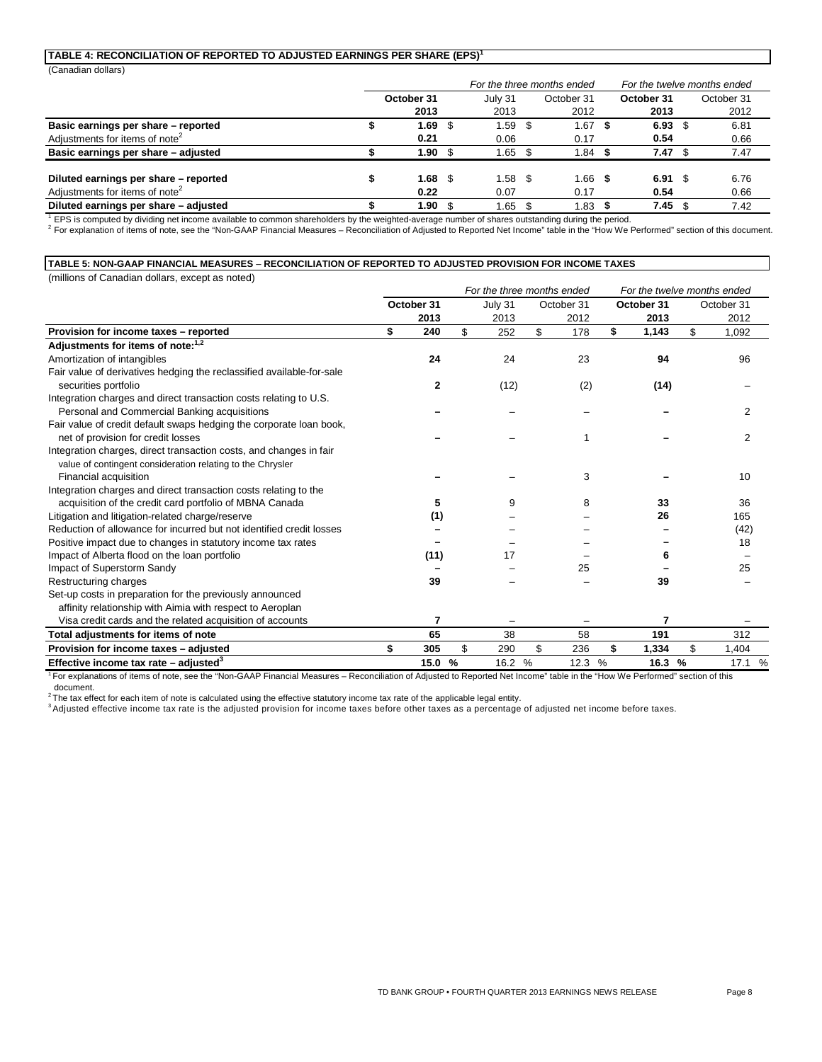#### **TABLE 4: RECONCILIATION OF REPORTED TO ADJUSTED EARNINGS PER SHARE (EPS)<sup>1</sup>**

| (Canadian dollars) |  |
|--------------------|--|

|                                                                                     | For the three months ended |                           |  |                 |  |                   | For the twelve months ended |                   |  |              |  |
|-------------------------------------------------------------------------------------|----------------------------|---------------------------|--|-----------------|--|-------------------|-----------------------------|-------------------|--|--------------|--|
|                                                                                     | October 31                 |                           |  | July 31         |  | October 31        |                             | October 31        |  | October 31   |  |
|                                                                                     |                            | 2013                      |  | 2013            |  | 2012              |                             | 2013              |  | 2012         |  |
| Basic earnings per share – reported                                                 |                            | 1.69 S                    |  | 1.59 \$         |  | $1.67$ \$         |                             | 6.93 <sup>5</sup> |  | 6.81         |  |
| Adjustments for items of note <sup>2</sup>                                          |                            | 0.21                      |  | 0.06            |  | 0.17              |                             | 0.54              |  | 0.66         |  |
| Basic earnings per share - adjusted                                                 |                            | 1.90 S                    |  | 1.65 \$         |  | $1.84$ \$         |                             | 7.47              |  | 7.47         |  |
| Diluted earnings per share - reported<br>Adjustments for items of note <sup>2</sup> |                            | 1.68 <sup>5</sup><br>0.22 |  | 1.58 \$<br>0.07 |  | $1.66$ \$<br>0.17 |                             | 6.91 S<br>0.54    |  | 6.76<br>0.66 |  |
| Diluted earnings per share - adjusted                                               |                            | 1.90 \$                   |  | 1.65 \$         |  | $1.83$ \$         |                             | 7.45              |  | 7.42         |  |

<sup>1</sup> EPS is computed by dividing net income available to common shareholders by the weighted-average number of shares outstanding during the period.

<sup>2</sup> For explanation of items of note, see the "Non-GAAP Financial Measures – Reconciliation of Adjusted to Reported Net Income" table in the "How We Performed" section of this document.

# **TABLE 5: NON-GAAP FINANCIAL MEASURES** – **RECONCILIATION OF REPORTED TO ADJUSTED PROVISION FOR INCOME TAXES**

(millions of Canadian dollars, except as noted)

|                                                                                               | For the three months ended |            |    |         |    |            | For the twelve months ended |    |            |  |
|-----------------------------------------------------------------------------------------------|----------------------------|------------|----|---------|----|------------|-----------------------------|----|------------|--|
|                                                                                               |                            | October 31 |    | July 31 |    | October 31 | October 31                  |    | October 31 |  |
|                                                                                               |                            | 2013       |    | 2013    |    | 2012       | 2013                        |    | 2012       |  |
| Provision for income taxes - reported                                                         | \$                         | 240        | \$ | 252     | \$ | 178        | \$<br>1,143                 | \$ | 1,092      |  |
| Adjustments for items of note: <sup>1,2</sup>                                                 |                            |            |    |         |    |            |                             |    |            |  |
| Amortization of intangibles                                                                   |                            | 24         |    | 24      |    | 23         | 94                          |    | 96         |  |
| Fair value of derivatives hedging the reclassified available-for-sale<br>securities portfolio |                            | 2          |    | (12)    |    | (2)        | (14)                        |    |            |  |
| Integration charges and direct transaction costs relating to U.S.                             |                            |            |    |         |    |            |                             |    |            |  |
| Personal and Commercial Banking acquisitions                                                  |                            |            |    |         |    |            |                             |    | 2          |  |
| Fair value of credit default swaps hedging the corporate loan book,                           |                            |            |    |         |    |            |                             |    |            |  |
| net of provision for credit losses                                                            |                            |            |    |         |    |            |                             |    | 2          |  |
| Integration charges, direct transaction costs, and changes in fair                            |                            |            |    |         |    |            |                             |    |            |  |
| value of contingent consideration relating to the Chrysler                                    |                            |            |    |         |    |            |                             |    |            |  |
| Financial acquisition                                                                         |                            |            |    |         |    | 3          |                             |    | 10         |  |
| Integration charges and direct transaction costs relating to the                              |                            |            |    |         |    |            |                             |    |            |  |
| acquisition of the credit card portfolio of MBNA Canada                                       |                            | 5          |    | 9       |    | 8          | 33                          |    | 36         |  |
| Litigation and litigation-related charge/reserve                                              |                            | (1)        |    |         |    |            | 26                          |    | 165        |  |
| Reduction of allowance for incurred but not identified credit losses                          |                            |            |    |         |    |            |                             |    | (42)       |  |
| Positive impact due to changes in statutory income tax rates                                  |                            |            |    |         |    |            |                             |    | 18         |  |
| Impact of Alberta flood on the loan portfolio                                                 |                            | (11)       |    | 17      |    |            | 6                           |    |            |  |
| Impact of Superstorm Sandy                                                                    |                            |            |    |         |    | 25         |                             |    | 25         |  |
| Restructuring charges                                                                         |                            | 39         |    |         |    |            | 39                          |    |            |  |
| Set-up costs in preparation for the previously announced                                      |                            |            |    |         |    |            |                             |    |            |  |
| affinity relationship with Aimia with respect to Aeroplan                                     |                            |            |    |         |    |            |                             |    |            |  |
| Visa credit cards and the related acquisition of accounts                                     |                            | 7          |    |         |    |            | 7                           |    |            |  |
| Total adjustments for items of note                                                           |                            | 65         |    | 38      |    | 58         | 191                         |    | 312        |  |
| Provision for income taxes - adjusted                                                         | \$                         | 305        | \$ | 290     | \$ | 236        | \$<br>1,334                 | \$ | 1,404      |  |
| Effective income tax rate $-$ adjusted <sup>3</sup>                                           |                            | 15.0 %     |    | 16.2 %  |    | 12.3 %     | 16.3%                       |    | 17.1 %     |  |

1 For explanations of items of note, see the "Non-GAAP Financial Measures – Reconciliation of Adjusted to Reported Net Income" table in the "How We Performed" section of this document.

 $2$  The tax effect for each item of note is calculated using the effective statutory income tax rate of the applicable legal entity.

<sup>3</sup> Adjusted effective income tax rate is the adjusted provision for income taxes before other taxes as a percentage of adjusted net income before taxes.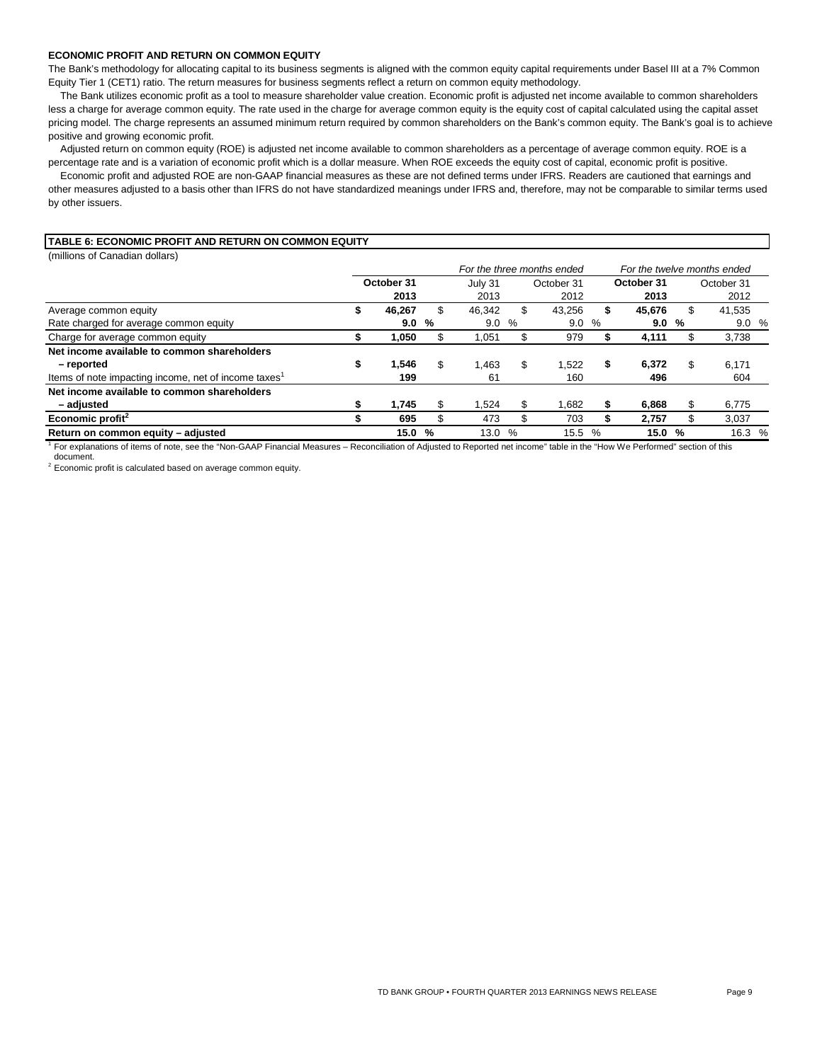## **ECONOMIC PROFIT AND RETURN ON COMMON EQUITY**

The Bank's methodology for allocating capital to its business segments is aligned with the common equity capital requirements under Basel III at a 7% Common Equity Tier 1 (CET1) ratio. The return measures for business segments reflect a return on common equity methodology.

The Bank utilizes economic profit as a tool to measure shareholder value creation. Economic profit is adjusted net income available to common shareholders less a charge for average common equity. The rate used in the charge for average common equity is the equity cost of capital calculated using the capital asset pricing model. The charge represents an assumed minimum return required by common shareholders on the Bank's common equity. The Bank's goal is to achieve positive and growing economic profit.

Adjusted return on common equity (ROE) is adjusted net income available to common shareholders as a percentage of average common equity. ROE is a percentage rate and is a variation of economic profit which is a dollar measure. When ROE exceeds the equity cost of capital, economic profit is positive.

Economic profit and adjusted ROE are non-GAAP financial measures as these are not defined terms under IFRS. Readers are cautioned that earnings and other measures adjusted to a basis other than IFRS do not have standardized meanings under IFRS and, therefore, may not be comparable to similar terms used by other issuers.

## **TABLE 6: ECONOMIC PROFIT AND RETURN ON COMMON EQUITY**

(millions of Canadian dollars)

|                                                                  |    |            |     |         |    | For the three months ended |      | For the twelve months ended |     |            |  |
|------------------------------------------------------------------|----|------------|-----|---------|----|----------------------------|------|-----------------------------|-----|------------|--|
|                                                                  |    | October 31 |     | July 31 |    | October 31                 |      | October 31                  |     | October 31 |  |
|                                                                  |    | 2013       |     | 2013    |    | 2012                       |      | 2013                        |     | 2012       |  |
| Average common equity                                            | S  | 46.267     | \$. | 46.342  | \$ | 43,256                     | ъ    | 45,676                      | \$. | 41,535     |  |
| Rate charged for average common equity                           |    | 9.0        | %   | 9.0     | %  | 9.0%                       |      | 9.0                         | %   | 9.0%       |  |
| Charge for average common equity                                 |    | 1,050      |     | 1,051   |    | 979                        |      | 4,111                       |     | 3,738      |  |
| Net income available to common shareholders                      |    |            |     |         |    |                            |      |                             |     |            |  |
| - reported                                                       | \$ | 1.546      | \$  | 1.463   | \$ | 1.522                      | \$   | 6.372                       | \$. | 6.171      |  |
| Items of note impacting income, net of income taxes <sup>1</sup> |    | 199        |     | 61      |    | 160                        |      | 496                         |     | 604        |  |
| Net income available to common shareholders                      |    |            |     |         |    |                            |      |                             |     |            |  |
| - adiusted                                                       |    | 1,745      |     | 1.524   |    | 1,682                      |      | 6,868                       |     | 6,775      |  |
| Economic profit <sup>2</sup>                                     |    | 695        |     | 473     |    | 703                        |      | 2.757                       | ደ   | 3,037      |  |
| Return on common equity - adjusted                               |    | 15.0       | %   | 13.0    | %  | 15.5                       | $\%$ | 15.0                        | %   | 16.3 %     |  |
|                                                                  |    |            |     |         |    |                            |      |                             |     |            |  |

<sup>1</sup> For explanations of items of note, see the "Non-GAAP Financial Measures – Reconciliation of Adjusted to Reported net income" table in the "How We Performed" section of this document.

 $2$  Economic profit is calculated based on average common equity.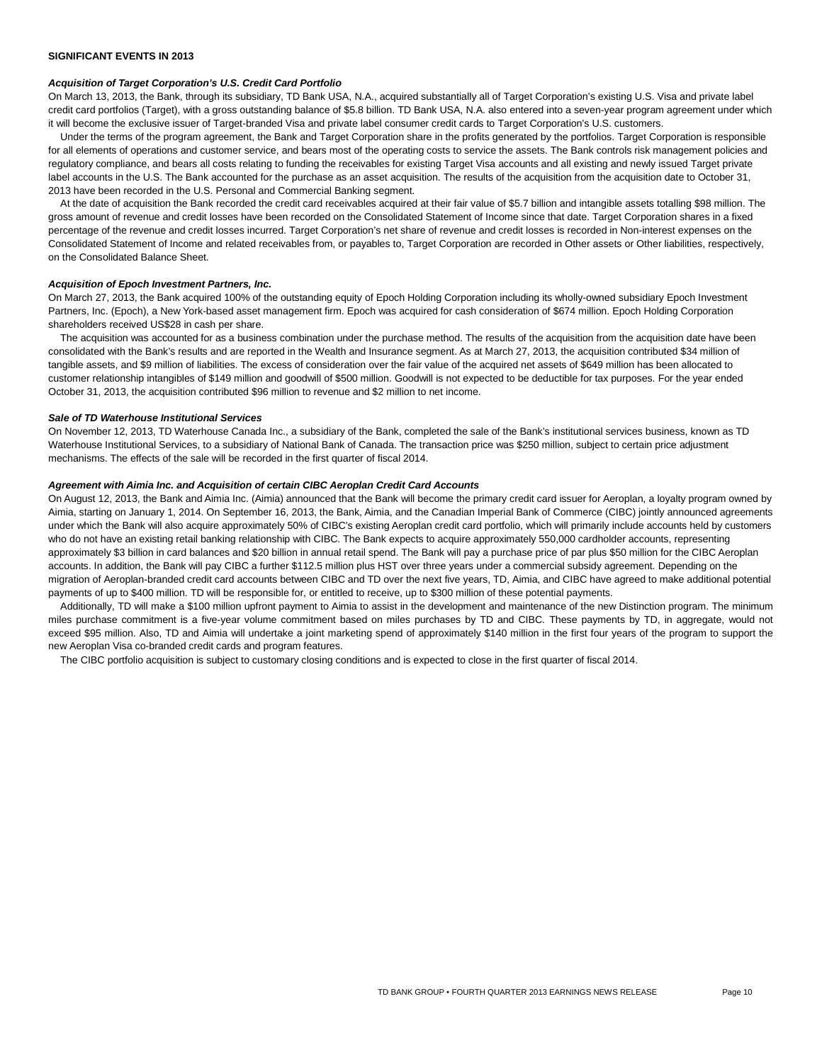#### **SIGNIFICANT EVENTS IN 2013**

# *Acquisition of Target Corporation's U.S. Credit Card Portfolio*

On March 13, 2013, the Bank, through its subsidiary, TD Bank USA, N.A., acquired substantially all of Target Corporation's existing U.S. Visa and private label credit card portfolios (Target), with a gross outstanding balance of \$5.8 billion. TD Bank USA, N.A. also entered into a seven-year program agreement under which it will become the exclusive issuer of Target-branded Visa and private label consumer credit cards to Target Corporation's U.S. customers.

Under the terms of the program agreement, the Bank and Target Corporation share in the profits generated by the portfolios. Target Corporation is responsible for all elements of operations and customer service, and bears most of the operating costs to service the assets. The Bank controls risk management policies and regulatory compliance, and bears all costs relating to funding the receivables for existing Target Visa accounts and all existing and newly issued Target private label accounts in the U.S. The Bank accounted for the purchase as an asset acquisition. The results of the acquisition from the acquisition date to October 31, 2013 have been recorded in the U.S. Personal and Commercial Banking segment.

At the date of acquisition the Bank recorded the credit card receivables acquired at their fair value of \$5.7 billion and intangible assets totalling \$98 million. The gross amount of revenue and credit losses have been recorded on the Consolidated Statement of Income since that date. Target Corporation shares in a fixed percentage of the revenue and credit losses incurred. Target Corporation's net share of revenue and credit losses is recorded in Non-interest expenses on the Consolidated Statement of Income and related receivables from, or payables to, Target Corporation are recorded in Other assets or Other liabilities, respectively, on the Consolidated Balance Sheet.

#### *Acquisition of Epoch Investment Partners, Inc.*

On March 27, 2013, the Bank acquired 100% of the outstanding equity of Epoch Holding Corporation including its wholly-owned subsidiary Epoch Investment Partners, Inc. (Epoch), a New York-based asset management firm. Epoch was acquired for cash consideration of \$674 million. Epoch Holding Corporation shareholders received US\$28 in cash per share.

The acquisition was accounted for as a business combination under the purchase method. The results of the acquisition from the acquisition date have been consolidated with the Bank's results and are reported in the Wealth and Insurance segment. As at March 27, 2013, the acquisition contributed \$34 million of tangible assets, and \$9 million of liabilities. The excess of consideration over the fair value of the acquired net assets of \$649 million has been allocated to customer relationship intangibles of \$149 million and goodwill of \$500 million. Goodwill is not expected to be deductible for tax purposes. For the year ended October 31, 2013, the acquisition contributed \$96 million to revenue and \$2 million to net income.

# *Sale of TD Waterhouse Institutional Services*

On November 12, 2013, TD Waterhouse Canada Inc., a subsidiary of the Bank, completed the sale of the Bank's institutional services business, known as TD Waterhouse Institutional Services, to a subsidiary of National Bank of Canada. The transaction price was \$250 million, subject to certain price adjustment mechanisms. The effects of the sale will be recorded in the first quarter of fiscal 2014.

# *Agreement with Aimia Inc. and Acquisition of certain CIBC Aeroplan Credit Card Accounts*

On August 12, 2013, the Bank and Aimia Inc. (Aimia) announced that the Bank will become the primary credit card issuer for Aeroplan, a loyalty program owned by Aimia, starting on January 1, 2014. On September 16, 2013, the Bank, Aimia, and the Canadian Imperial Bank of Commerce (CIBC) jointly announced agreements under which the Bank will also acquire approximately 50% of CIBC's existing Aeroplan credit card portfolio, which will primarily include accounts held by customers who do not have an existing retail banking relationship with CIBC. The Bank expects to acquire approximately 550,000 cardholder accounts, representing approximately \$3 billion in card balances and \$20 billion in annual retail spend. The Bank will pay a purchase price of par plus \$50 million for the CIBC Aeroplan accounts. In addition, the Bank will pay CIBC a further \$112.5 million plus HST over three years under a commercial subsidy agreement. Depending on the migration of Aeroplan-branded credit card accounts between CIBC and TD over the next five years, TD, Aimia, and CIBC have agreed to make additional potential payments of up to \$400 million. TD will be responsible for, or entitled to receive, up to \$300 million of these potential payments.

Additionally, TD will make a \$100 million upfront payment to Aimia to assist in the development and maintenance of the new Distinction program. The minimum miles purchase commitment is a five-year volume commitment based on miles purchases by TD and CIBC. These payments by TD, in aggregate, would not exceed \$95 million. Also, TD and Aimia will undertake a joint marketing spend of approximately \$140 million in the first four years of the program to support the new Aeroplan Visa co-branded credit cards and program features.

The CIBC portfolio acquisition is subject to customary closing conditions and is expected to close in the first quarter of fiscal 2014.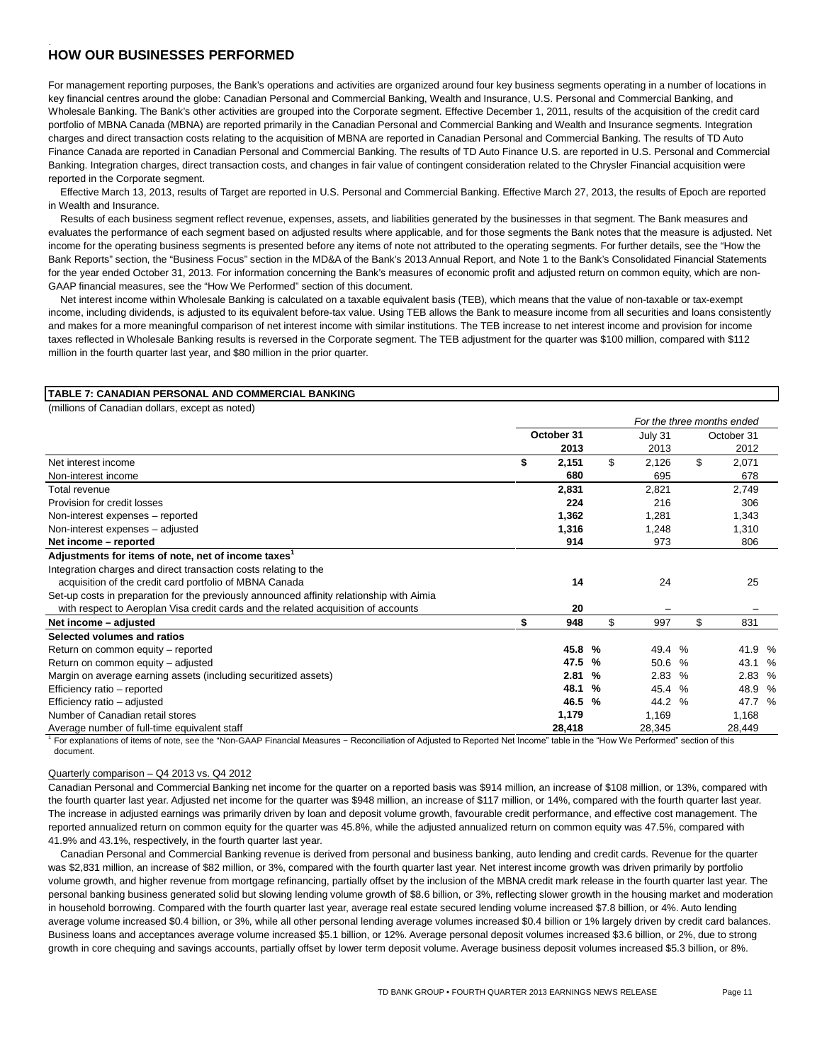# **HOW OUR BUSINESSES PERFORMED**

For management reporting purposes, the Bank's operations and activities are organized around four key business segments operating in a number of locations in key financial centres around the globe: Canadian Personal and Commercial Banking, Wealth and Insurance, U.S. Personal and Commercial Banking, and Wholesale Banking. The Bank's other activities are grouped into the Corporate segment. Effective December 1, 2011, results of the acquisition of the credit card portfolio of MBNA Canada (MBNA) are reported primarily in the Canadian Personal and Commercial Banking and Wealth and Insurance segments. Integration charges and direct transaction costs relating to the acquisition of MBNA are reported in Canadian Personal and Commercial Banking. The results of TD Auto Finance Canada are reported in Canadian Personal and Commercial Banking. The results of TD Auto Finance U.S. are reported in U.S. Personal and Commercial Banking. Integration charges, direct transaction costs, and changes in fair value of contingent consideration related to the Chrysler Financial acquisition were reported in the Corporate segment.

Effective March 13, 2013, results of Target are reported in U.S. Personal and Commercial Banking. Effective March 27, 2013, the results of Epoch are reported in Wealth and Insurance.

Results of each business segment reflect revenue, expenses, assets, and liabilities generated by the businesses in that segment. The Bank measures and evaluates the performance of each segment based on adjusted results where applicable, and for those segments the Bank notes that the measure is adjusted. Net income for the operating business segments is presented before any items of note not attributed to the operating segments. For further details, see the "How the Bank Reports" section, the "Business Focus" section in the MD&A of the Bank's 2013 Annual Report, and Note 1 to the Bank's Consolidated Financial Statements for the year ended October 31, 2013. For information concerning the Bank's measures of economic profit and adjusted return on common equity, which are non-GAAP financial measures, see the "How We Performed" section of this document.

Net interest income within Wholesale Banking is calculated on a taxable equivalent basis (TEB), which means that the value of non-taxable or tax-exempt income, including dividends, is adjusted to its equivalent before-tax value. Using TEB allows the Bank to measure income from all securities and loans consistently and makes for a more meaningful comparison of net interest income with similar institutions. The TEB increase to net interest income and provision for income taxes reflected in Wholesale Banking results is reversed in the Corporate segment. The TEB adjustment for the quarter was \$100 million, compared with \$112 million in the fourth quarter last year, and \$80 million in the prior quarter.

## **TABLE 7: CANADIAN PERSONAL AND COMMERCIAL BANKING**

(millions of Canadian dollars, except as noted)

|                                                                                           | For the three months ended |            |  |             |      |    |            |  |
|-------------------------------------------------------------------------------------------|----------------------------|------------|--|-------------|------|----|------------|--|
|                                                                                           |                            | October 31 |  | July 31     |      |    | October 31 |  |
|                                                                                           |                            | 2013       |  | 2013        |      |    | 2012       |  |
| Net interest income                                                                       | \$                         | 2,151      |  | \$<br>2,126 |      | \$ | 2,071      |  |
| Non-interest income                                                                       |                            | 680        |  | 695         |      |    | 678        |  |
| Total revenue                                                                             |                            | 2,831      |  | 2,821       |      |    | 2,749      |  |
| Provision for credit losses                                                               |                            | 224        |  | 216         |      |    | 306        |  |
| Non-interest expenses – reported                                                          |                            | 1,362      |  | 1,281       |      |    | 1,343      |  |
| Non-interest expenses - adjusted                                                          |                            | 1,316      |  | 1,248       |      |    | 1,310      |  |
| Net income – reported                                                                     |                            | 914        |  | 973         |      |    | 806        |  |
| Adjustments for items of note, net of income taxes <sup>1</sup>                           |                            |            |  |             |      |    |            |  |
| Integration charges and direct transaction costs relating to the                          |                            |            |  |             |      |    |            |  |
| acquisition of the credit card portfolio of MBNA Canada                                   |                            | 14         |  | 24          |      |    | 25         |  |
| Set-up costs in preparation for the previously announced affinity relationship with Aimia |                            |            |  |             |      |    |            |  |
| with respect to Aeroplan Visa credit cards and the related acquisition of accounts        |                            | 20         |  |             |      |    |            |  |
| Net income - adjusted                                                                     | \$                         | 948        |  | \$<br>997   |      | \$ | 831        |  |
| Selected volumes and ratios                                                               |                            |            |  |             |      |    |            |  |
| Return on common equity – reported                                                        |                            | 45.8 %     |  | 49.4 %      |      |    | 41.9 %     |  |
| Return on common equity - adjusted                                                        |                            | 47.5 %     |  | 50.6        | $\%$ |    | 43.1 %     |  |
| Margin on average earning assets (including securitized assets)                           |                            | 2.81%      |  | 2.83        | $\%$ |    | 2.83 %     |  |
| Efficiency ratio - reported                                                               |                            | 48.1 %     |  | 45.4 %      |      |    | 48.9 %     |  |
| Efficiency ratio - adjusted                                                               |                            | 46.5 %     |  | 44.2        | $\%$ |    | 47.7 %     |  |
| Number of Canadian retail stores                                                          |                            | 1,179      |  | 1,169       |      |    | 1,168      |  |
| Average number of full-time equivalent staff                                              |                            | 28,418     |  | 28,345      |      |    | 28,449     |  |

<sup>1</sup> For explanations of items of note, see the "Non-GAAP Financial Measures − Reconciliation of Adjusted to Reported Net Income" table in the "How We Performed" section of this document.

#### Quarterly comparison – Q4 2013 vs. Q4 2012

Canadian Personal and Commercial Banking net income for the quarter on a reported basis was \$914 million, an increase of \$108 million, or 13%, compared with the fourth quarter last year. Adjusted net income for the quarter was \$948 million, an increase of \$117 million, or 14%, compared with the fourth quarter last year. The increase in adjusted earnings was primarily driven by loan and deposit volume growth, favourable credit performance, and effective cost management. The reported annualized return on common equity for the quarter was 45.8%, while the adjusted annualized return on common equity was 47.5%, compared with 41.9% and 43.1%, respectively, in the fourth quarter last year.

Canadian Personal and Commercial Banking revenue is derived from personal and business banking, auto lending and credit cards. Revenue for the quarter was \$2,831 million, an increase of \$82 million, or 3%, compared with the fourth quarter last year. Net interest income growth was driven primarily by portfolio volume growth, and higher revenue from mortgage refinancing, partially offset by the inclusion of the MBNA credit mark release in the fourth quarter last year. The personal banking business generated solid but slowing lending volume growth of \$8.6 billion, or 3%, reflecting slower growth in the housing market and moderation in household borrowing. Compared with the fourth quarter last year, average real estate secured lending volume increased \$7.8 billion, or 4%. Auto lending average volume increased \$0.4 billion, or 3%, while all other personal lending average volumes increased \$0.4 billion or 1% largely driven by credit card balances. Business loans and acceptances average volume increased \$5.1 billion, or 12%. Average personal deposit volumes increased \$3.6 billion, or 2%, due to strong growth in core chequing and savings accounts, partially offset by lower term deposit volume. Average business deposit volumes increased \$5.3 billion, or 8%.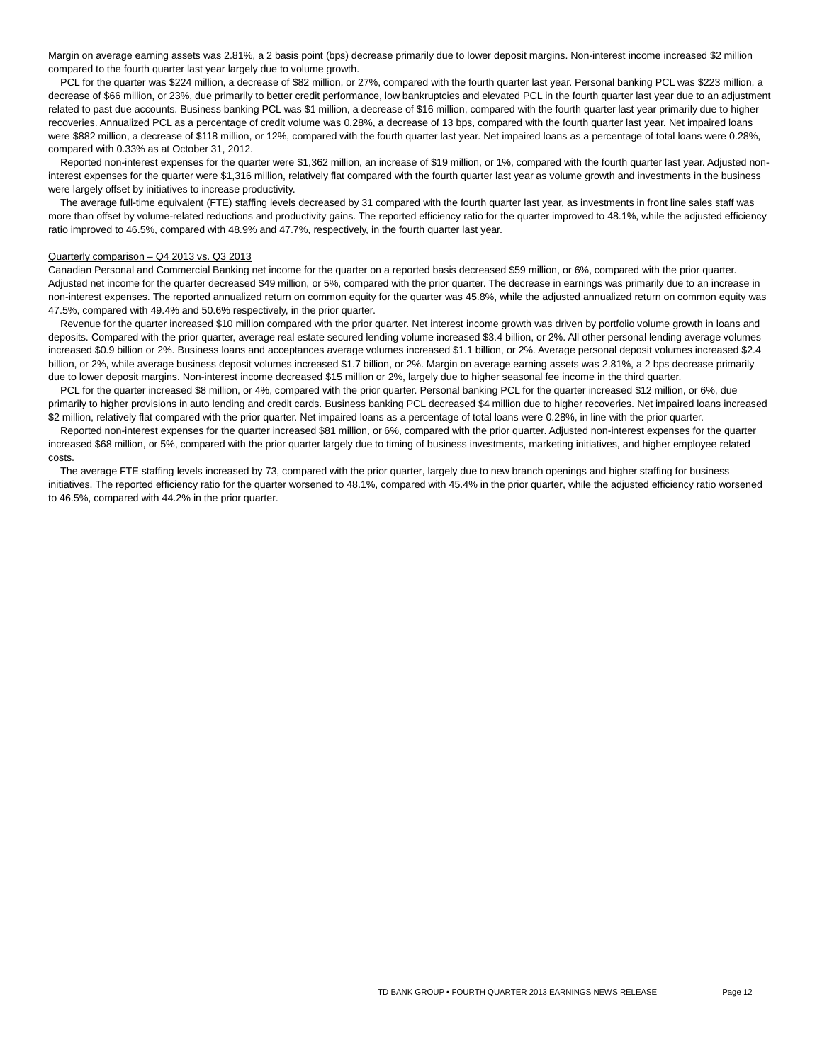Margin on average earning assets was 2.81%, a 2 basis point (bps) decrease primarily due to lower deposit margins. Non-interest income increased \$2 million compared to the fourth quarter last year largely due to volume growth.

PCL for the quarter was \$224 million, a decrease of \$82 million, or 27%, compared with the fourth quarter last year. Personal banking PCL was \$223 million, a decrease of \$66 million, or 23%, due primarily to better credit performance, low bankruptcies and elevated PCL in the fourth quarter last year due to an adjustment related to past due accounts. Business banking PCL was \$1 million, a decrease of \$16 million, compared with the fourth quarter last year primarily due to higher recoveries. Annualized PCL as a percentage of credit volume was 0.28%, a decrease of 13 bps, compared with the fourth quarter last year. Net impaired loans were \$882 million, a decrease of \$118 million, or 12%, compared with the fourth quarter last year. Net impaired loans as a percentage of total loans were 0.28%, compared with 0.33% as at October 31, 2012.

Reported non-interest expenses for the quarter were \$1,362 million, an increase of \$19 million, or 1%, compared with the fourth quarter last year. Adjusted noninterest expenses for the quarter were \$1,316 million, relatively flat compared with the fourth quarter last year as volume growth and investments in the business were largely offset by initiatives to increase productivity.

The average full-time equivalent (FTE) staffing levels decreased by 31 compared with the fourth quarter last year, as investments in front line sales staff was more than offset by volume-related reductions and productivity gains. The reported efficiency ratio for the quarter improved to 48.1%, while the adjusted efficiency ratio improved to 46.5%, compared with 48.9% and 47.7%, respectively, in the fourth quarter last year.

#### Quarterly comparison – Q4 2013 vs. Q3 2013

Canadian Personal and Commercial Banking net income for the quarter on a reported basis decreased \$59 million, or 6%, compared with the prior quarter. Adjusted net income for the quarter decreased \$49 million, or 5%, compared with the prior quarter. The decrease in earnings was primarily due to an increase in non-interest expenses. The reported annualized return on common equity for the quarter was 45.8%, while the adjusted annualized return on common equity was 47.5%, compared with 49.4% and 50.6% respectively, in the prior quarter.

Revenue for the quarter increased \$10 million compared with the prior quarter. Net interest income growth was driven by portfolio volume growth in loans and deposits. Compared with the prior quarter, average real estate secured lending volume increased \$3.4 billion, or 2%. All other personal lending average volumes increased \$0.9 billion or 2%. Business loans and acceptances average volumes increased \$1.1 billion, or 2%. Average personal deposit volumes increased \$2.4 billion, or 2%, while average business deposit volumes increased \$1.7 billion, or 2%. Margin on average earning assets was 2.81%, a 2 bps decrease primarily due to lower deposit margins. Non-interest income decreased \$15 million or 2%, largely due to higher seasonal fee income in the third quarter.

PCL for the quarter increased \$8 million, or 4%, compared with the prior quarter. Personal banking PCL for the quarter increased \$12 million, or 6%, due primarily to higher provisions in auto lending and credit cards. Business banking PCL decreased \$4 million due to higher recoveries. Net impaired loans increased \$2 million, relatively flat compared with the prior quarter. Net impaired loans as a percentage of total loans were 0.28%, in line with the prior quarter.

Reported non-interest expenses for the quarter increased \$81 million, or 6%, compared with the prior quarter. Adjusted non-interest expenses for the quarter increased \$68 million, or 5%, compared with the prior quarter largely due to timing of business investments, marketing initiatives, and higher employee related costs.

The average FTE staffing levels increased by 73, compared with the prior quarter, largely due to new branch openings and higher staffing for business initiatives. The reported efficiency ratio for the quarter worsened to 48.1%, compared with 45.4% in the prior quarter, while the adjusted efficiency ratio worsened to 46.5%, compared with 44.2% in the prior quarter.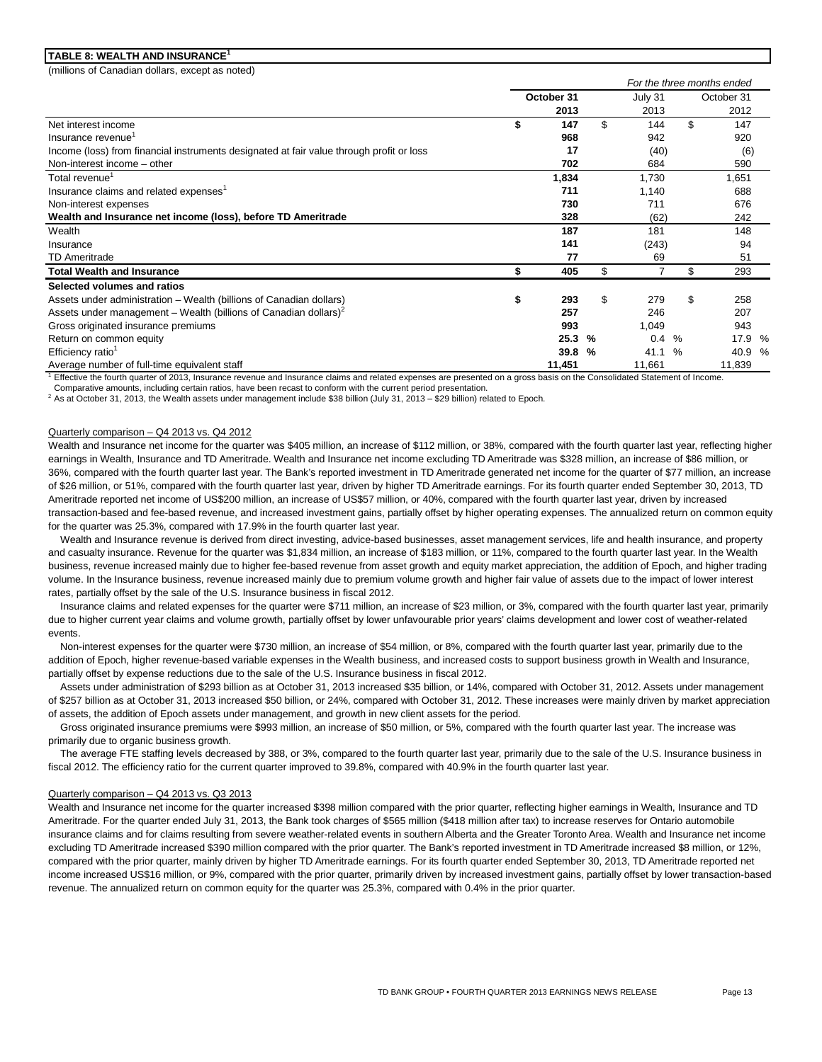## **TABLE 8: WEALTH AND INSURANCE<sup>1</sup>**

(millions of Canadian dollars, except as noted)

|                                                                                          | For the three months ended |            |    |         |      |            |        |  |
|------------------------------------------------------------------------------------------|----------------------------|------------|----|---------|------|------------|--------|--|
|                                                                                          |                            | October 31 |    | July 31 |      | October 31 |        |  |
|                                                                                          |                            | 2013       |    | 2013    |      | 2012       |        |  |
| Net interest income                                                                      | \$                         | 147        | \$ | 144     | \$   | 147        |        |  |
| Insurance revenue                                                                        |                            | 968        |    | 942     |      | 920        |        |  |
| Income (loss) from financial instruments designated at fair value through profit or loss |                            | 17         |    | (40)    |      | (6)        |        |  |
| Non-interest income - other                                                              |                            | 702        |    | 684     |      | 590        |        |  |
| Total revenue <sup>1</sup>                                                               |                            | 1,834      |    | 1,730   |      | 1,651      |        |  |
| Insurance claims and related expenses <sup>1</sup>                                       |                            | 711        |    | 1,140   |      | 688        |        |  |
| Non-interest expenses                                                                    |                            | 730        |    | 711     |      | 676        |        |  |
| Wealth and Insurance net income (loss), before TD Ameritrade                             |                            | 328        |    | (62)    |      | 242        |        |  |
| Wealth                                                                                   |                            | 187        |    | 181     |      | 148        |        |  |
| Insurance                                                                                |                            | 141        |    | (243)   |      | 94         |        |  |
| <b>TD Ameritrade</b>                                                                     |                            | 77         |    | 69      |      | 51         |        |  |
| <b>Total Wealth and Insurance</b>                                                        | \$                         | 405        | \$ | 7       | \$   | 293        |        |  |
| Selected volumes and ratios                                                              |                            |            |    |         |      |            |        |  |
| Assets under administration - Wealth (billions of Canadian dollars)                      | \$                         | 293        | \$ | 279     | \$   | 258        |        |  |
| Assets under management – Wealth (billions of Canadian dollars) <sup>2</sup>             |                            | 257        |    | 246     |      | 207        |        |  |
| Gross originated insurance premiums                                                      |                            | 993        |    | 1,049   |      | 943        |        |  |
| Return on common equity                                                                  |                            | 25.3       | %  | 0.4     | $\%$ |            | 17.9 % |  |
| Efficiency ratio <sup>1</sup>                                                            |                            | 39.8       | %  | 41.1    | $\%$ |            | 40.9 % |  |
| Average number of full-time equivalent staff                                             |                            | 11,451     |    | 11,661  |      | 11,839     |        |  |

Effective the fourth quarter of 2013, Insurance revenue and Insurance claims and related expenses are presented on a gross basis on the Consolidated Statement of Income.

Comparative amounts, including certain ratios, have been recast to conform with the current period presentation.

<sup>2</sup> As at October 31, 2013, the Wealth assets under management include \$38 billion (July 31, 2013 – \$29 billion) related to Epoch.

## Quarterly comparison – Q4 2013 vs. Q4 2012

Wealth and Insurance net income for the quarter was \$405 million, an increase of \$112 million, or 38%, compared with the fourth quarter last year, reflecting higher earnings in Wealth, Insurance and TD Ameritrade. Wealth and Insurance net income excluding TD Ameritrade was \$328 million, an increase of \$86 million, or 36%, compared with the fourth quarter last year. The Bank's reported investment in TD Ameritrade generated net income for the quarter of \$77 million, an increase of \$26 million, or 51%, compared with the fourth quarter last year, driven by higher TD Ameritrade earnings. For its fourth quarter ended September 30, 2013, TD Ameritrade reported net income of US\$200 million, an increase of US\$57 million, or 40%, compared with the fourth quarter last year, driven by increased transaction-based and fee-based revenue, and increased investment gains, partially offset by higher operating expenses. The annualized return on common equity for the quarter was 25.3%, compared with 17.9% in the fourth quarter last year.

Wealth and Insurance revenue is derived from direct investing, advice-based businesses, asset management services, life and health insurance, and property and casualty insurance. Revenue for the quarter was \$1,834 million, an increase of \$183 million, or 11%, compared to the fourth quarter last year. In the Wealth business, revenue increased mainly due to higher fee-based revenue from asset growth and equity market appreciation, the addition of Epoch, and higher trading volume. In the Insurance business, revenue increased mainly due to premium volume growth and higher fair value of assets due to the impact of lower interest rates, partially offset by the sale of the U.S. Insurance business in fiscal 2012.

Insurance claims and related expenses for the quarter were \$711 million, an increase of \$23 million, or 3%, compared with the fourth quarter last year, primarily due to higher current year claims and volume growth, partially offset by lower unfavourable prior years' claims development and lower cost of weather-related events.

Non-interest expenses for the quarter were \$730 million, an increase of \$54 million, or 8%, compared with the fourth quarter last year, primarily due to the addition of Epoch, higher revenue-based variable expenses in the Wealth business, and increased costs to support business growth in Wealth and Insurance, partially offset by expense reductions due to the sale of the U.S. Insurance business in fiscal 2012.

Assets under administration of \$293 billion as at October 31, 2013 increased \$35 billion, or 14%, compared with October 31, 2012. Assets under management of \$257 billion as at October 31, 2013 increased \$50 billion, or 24%, compared with October 31, 2012. These increases were mainly driven by market appreciation of assets, the addition of Epoch assets under management, and growth in new client assets for the period.

Gross originated insurance premiums were \$993 million, an increase of \$50 million, or 5%, compared with the fourth quarter last year. The increase was primarily due to organic business growth.

The average FTE staffing levels decreased by 388, or 3%, compared to the fourth quarter last year, primarily due to the sale of the U.S. Insurance business in fiscal 2012. The efficiency ratio for the current quarter improved to 39.8%, compared with 40.9% in the fourth quarter last year.

## Quarterly comparison – Q4 2013 vs. Q3 2013

Wealth and Insurance net income for the quarter increased \$398 million compared with the prior quarter, reflecting higher earnings in Wealth, Insurance and TD Ameritrade. For the quarter ended July 31, 2013, the Bank took charges of \$565 million (\$418 million after tax) to increase reserves for Ontario automobile insurance claims and for claims resulting from severe weather-related events in southern Alberta and the Greater Toronto Area. Wealth and Insurance net income excluding TD Ameritrade increased \$390 million compared with the prior quarter. The Bank's reported investment in TD Ameritrade increased \$8 million, or 12%, compared with the prior quarter, mainly driven by higher TD Ameritrade earnings. For its fourth quarter ended September 30, 2013, TD Ameritrade reported net income increased US\$16 million, or 9%, compared with the prior quarter, primarily driven by increased investment gains, partially offset by lower transaction-based revenue. The annualized return on common equity for the quarter was 25.3%, compared with 0.4% in the prior quarter.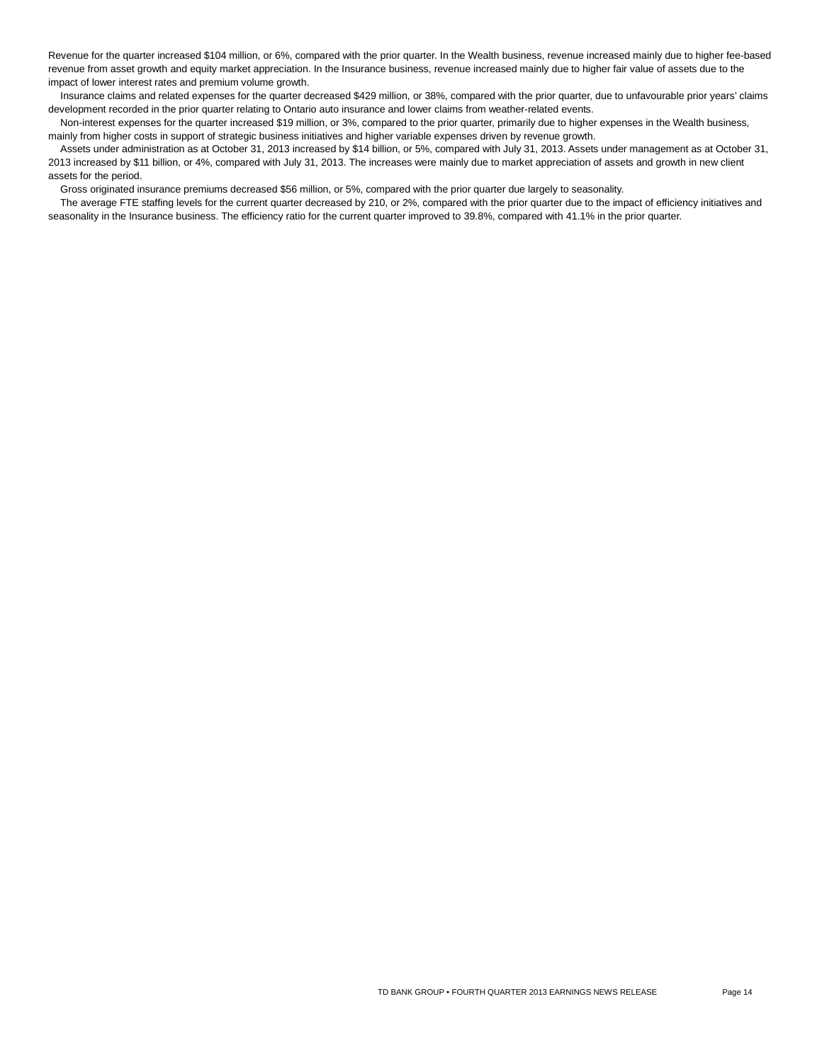Revenue for the quarter increased \$104 million, or 6%, compared with the prior quarter. In the Wealth business, revenue increased mainly due to higher fee-based revenue from asset growth and equity market appreciation. In the Insurance business, revenue increased mainly due to higher fair value of assets due to the impact of lower interest rates and premium volume growth.

Insurance claims and related expenses for the quarter decreased \$429 million, or 38%, compared with the prior quarter, due to unfavourable prior years' claims development recorded in the prior quarter relating to Ontario auto insurance and lower claims from weather-related events.

Non-interest expenses for the quarter increased \$19 million, or 3%, compared to the prior quarter, primarily due to higher expenses in the Wealth business, mainly from higher costs in support of strategic business initiatives and higher variable expenses driven by revenue growth.

Assets under administration as at October 31, 2013 increased by \$14 billion, or 5%, compared with July 31, 2013. Assets under management as at October 31, 2013 increased by \$11 billion, or 4%, compared with July 31, 2013. The increases were mainly due to market appreciation of assets and growth in new client assets for the period.

Gross originated insurance premiums decreased \$56 million, or 5%, compared with the prior quarter due largely to seasonality.

The average FTE staffing levels for the current quarter decreased by 210, or 2%, compared with the prior quarter due to the impact of efficiency initiatives and seasonality in the Insurance business. The efficiency ratio for the current quarter improved to 39.8%, compared with 41.1% in the prior quarter.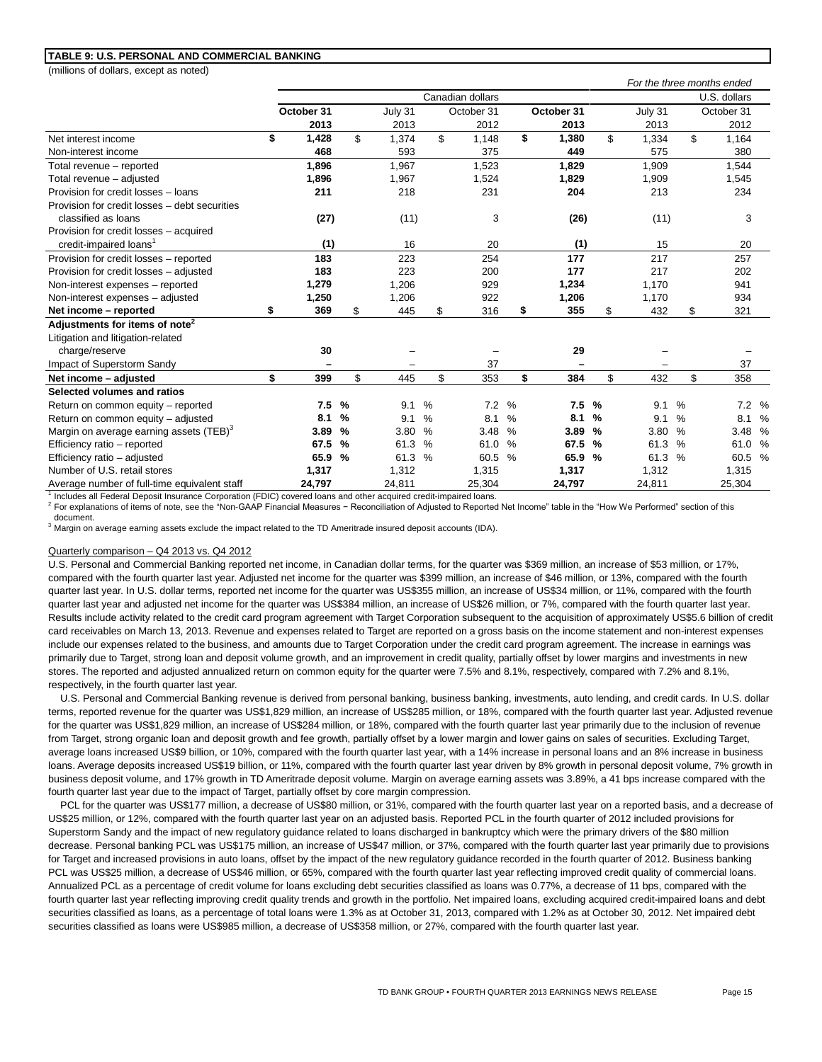#### **TABLE 9: U.S. PERSONAL AND COMMERCIAL BANKING**

(millions of dollars, except as noted)

|                                                     |             |               |         |      |                  |               |            |               |         |    | For the three months ended |               |
|-----------------------------------------------------|-------------|---------------|---------|------|------------------|---------------|------------|---------------|---------|----|----------------------------|---------------|
|                                                     |             |               |         |      | Canadian dollars |               |            |               |         |    | U.S. dollars               |               |
|                                                     | October 31  |               | July 31 |      | October 31       |               | October 31 |               | July 31 |    | October 31                 |               |
|                                                     | 2013        |               | 2013    |      | 2012             |               | 2013       |               | 2013    |    | 2012                       |               |
| Net interest income                                 | \$<br>1,428 | \$            | 1,374   | \$   | 1,148            | \$            | 1,380      | \$            | 1,334   | \$ | 1,164                      |               |
| Non-interest income                                 | 468         |               | 593     |      | 375              |               | 449        |               | 575     |    | 380                        |               |
| Total revenue - reported                            | 1,896       |               | 1,967   |      | 1,523            |               | 1,829      |               | 1,909   |    | 1,544                      |               |
| Total revenue - adjusted                            | 1,896       |               | 1,967   |      | 1,524            |               | 1,829      |               | 1,909   |    | 1,545                      |               |
| Provision for credit losses - loans                 | 211         |               | 218     |      | 231              |               | 204        |               | 213     |    | 234                        |               |
| Provision for credit losses - debt securities       |             |               |         |      |                  |               |            |               |         |    |                            |               |
| classified as loans                                 | (27)        |               | (11)    |      | 3                |               | (26)       |               | (11)    |    | 3                          |               |
| Provision for credit losses - acquired              |             |               |         |      |                  |               |            |               |         |    |                            |               |
| credit-impaired loans <sup>1</sup>                  | (1)         |               | 16      |      | 20               |               | (1)        |               | 15      |    | 20                         |               |
| Provision for credit losses - reported              | 183         |               | 223     |      | 254              |               | 177        |               | 217     |    | 257                        |               |
| Provision for credit losses - adjusted              | 183         |               | 223     |      | 200              |               | 177        |               | 217     |    | 202                        |               |
| Non-interest expenses - reported                    | 1,279       |               | 1,206   |      | 929              |               | 1,234      |               | 1,170   |    | 941                        |               |
| Non-interest expenses - adjusted                    | 1,250       |               | 1,206   |      | 922              |               | 1,206      |               | 1,170   |    | 934                        |               |
| Net income - reported                               | \$<br>369   | \$            | 445     | \$   | 316              | \$            | 355        | \$            | 432     | \$ | 321                        |               |
| Adiustments for items of note <sup>2</sup>          |             |               |         |      |                  |               |            |               |         |    |                            |               |
| Litigation and litigation-related                   |             |               |         |      |                  |               |            |               |         |    |                            |               |
| charge/reserve                                      | 30          |               |         |      |                  |               | 29         |               |         |    |                            |               |
| Impact of Superstorm Sandy                          |             |               |         |      | 37               |               |            |               |         |    | 37                         |               |
| Net income - adjusted                               | \$<br>399   | \$            | 445     | \$   | 353              | \$            | 384        | \$            | 432     | \$ | 358                        |               |
| Selected volumes and ratios                         |             |               |         |      |                  |               |            |               |         |    |                            |               |
| Return on common equity - reported                  | 7.5         | $\frac{9}{6}$ | 9.1     | $\%$ | 7.2              | $\%$          | 7.5        | %             | 9.1     | %  | 7.2 %                      |               |
| Return on common equity - adjusted                  | 8.1         | $\frac{0}{0}$ | 9.1     | %    | 8.1              | %             | 8.1        | %             | 9.1     | %  | 8.1                        | $\frac{0}{0}$ |
| Margin on average earning assets (TEB) <sup>3</sup> | 3.89        | $\frac{9}{6}$ | 3.80    | %    | 3.48             | $\frac{0}{0}$ | 3.89       | %             | 3.80    | %  | 3.48 %                     |               |
| Efficiency ratio - reported                         | 67.5        | $\frac{9}{6}$ | 61.3    | %    | 61.0             | %             | 67.5       | $\frac{9}{6}$ | 61.3    | %  | 61.0                       | %             |
| Efficiency ratio - adjusted                         | 65.9        | %             | 61.3    | %    | 60.5             | %             | 65.9       | %             | 61.3    | %  | 60.5 %                     |               |
| Number of U.S. retail stores                        | 1,317       |               | 1,312   |      | 1,315            |               | 1,317      |               | 1,312   |    | 1,315                      |               |
| Average number of full-time equivalent staff        | 24,797      |               | 24,811  |      | 25,304           |               | 24,797     |               | 24,811  |    | 25,304                     |               |

<sup>1</sup> Includes all Federal Deposit Insurance Corporation (FDIC) covered loans and other acquired credit-impaired loans.

<sup>2</sup> For explanations of items of note, see the "Non-GAAP Financial Measures − Reconciliation of Adjusted to Reported Net Income" table in the "How We Performed" section of this document.

 $3$  Margin on average earning assets exclude the impact related to the TD Ameritrade insured deposit accounts (IDA).

## Quarterly comparison – Q4 2013 vs. Q4 2012

U.S. Personal and Commercial Banking reported net income, in Canadian dollar terms, for the quarter was \$369 million, an increase of \$53 million, or 17%, compared with the fourth quarter last year. Adjusted net income for the quarter was \$399 million, an increase of \$46 million, or 13%, compared with the fourth quarter last year. In U.S. dollar terms, reported net income for the quarter was US\$355 million, an increase of US\$34 million, or 11%, compared with the fourth quarter last year and adjusted net income for the quarter was US\$384 million, an increase of US\$26 million, or 7%, compared with the fourth quarter last year. Results include activity related to the credit card program agreement with Target Corporation subsequent to the acquisition of approximately US\$5.6 billion of credit card receivables on March 13, 2013. Revenue and expenses related to Target are reported on a gross basis on the income statement and non-interest expenses include our expenses related to the business, and amounts due to Target Corporation under the credit card program agreement. The increase in earnings was primarily due to Target, strong loan and deposit volume growth, and an improvement in credit quality, partially offset by lower margins and investments in new stores. The reported and adjusted annualized return on common equity for the quarter were 7.5% and 8.1%, respectively, compared with 7.2% and 8.1%, respectively, in the fourth quarter last year.

U.S. Personal and Commercial Banking revenue is derived from personal banking, business banking, investments, auto lending, and credit cards. In U.S. dollar terms, reported revenue for the quarter was US\$1,829 million, an increase of US\$285 million, or 18%, compared with the fourth quarter last year. Adjusted revenue for the quarter was US\$1,829 million, an increase of US\$284 million, or 18%, compared with the fourth quarter last year primarily due to the inclusion of revenue from Target, strong organic loan and deposit growth and fee growth, partially offset by a lower margin and lower gains on sales of securities. Excluding Target, average loans increased US\$9 billion, or 10%, compared with the fourth quarter last year, with a 14% increase in personal loans and an 8% increase in business loans. Average deposits increased US\$19 billion, or 11%, compared with the fourth quarter last year driven by 8% growth in personal deposit volume, 7% growth in business deposit volume, and 17% growth in TD Ameritrade deposit volume. Margin on average earning assets was 3.89%, a 41 bps increase compared with the fourth quarter last year due to the impact of Target, partially offset by core margin compression.

PCL for the quarter was US\$177 million, a decrease of US\$80 million, or 31%, compared with the fourth quarter last year on a reported basis, and a decrease of US\$25 million, or 12%, compared with the fourth quarter last year on an adjusted basis. Reported PCL in the fourth quarter of 2012 included provisions for Superstorm Sandy and the impact of new regulatory guidance related to loans discharged in bankruptcy which were the primary drivers of the \$80 million decrease. Personal banking PCL was US\$175 million, an increase of US\$47 million, or 37%, compared with the fourth quarter last year primarily due to provisions for Target and increased provisions in auto loans, offset by the impact of the new regulatory guidance recorded in the fourth quarter of 2012. Business banking PCL was US\$25 million, a decrease of US\$46 million, or 65%, compared with the fourth quarter last year reflecting improved credit quality of commercial loans. Annualized PCL as a percentage of credit volume for loans excluding debt securities classified as loans was 0.77%, a decrease of 11 bps, compared with the fourth quarter last year reflecting improving credit quality trends and growth in the portfolio. Net impaired loans, excluding acquired credit-impaired loans and debt securities classified as loans, as a percentage of total loans were 1.3% as at October 31, 2013, compared with 1.2% as at October 30, 2012. Net impaired debt securities classified as loans were US\$985 million, a decrease of US\$358 million, or 27%, compared with the fourth quarter last year.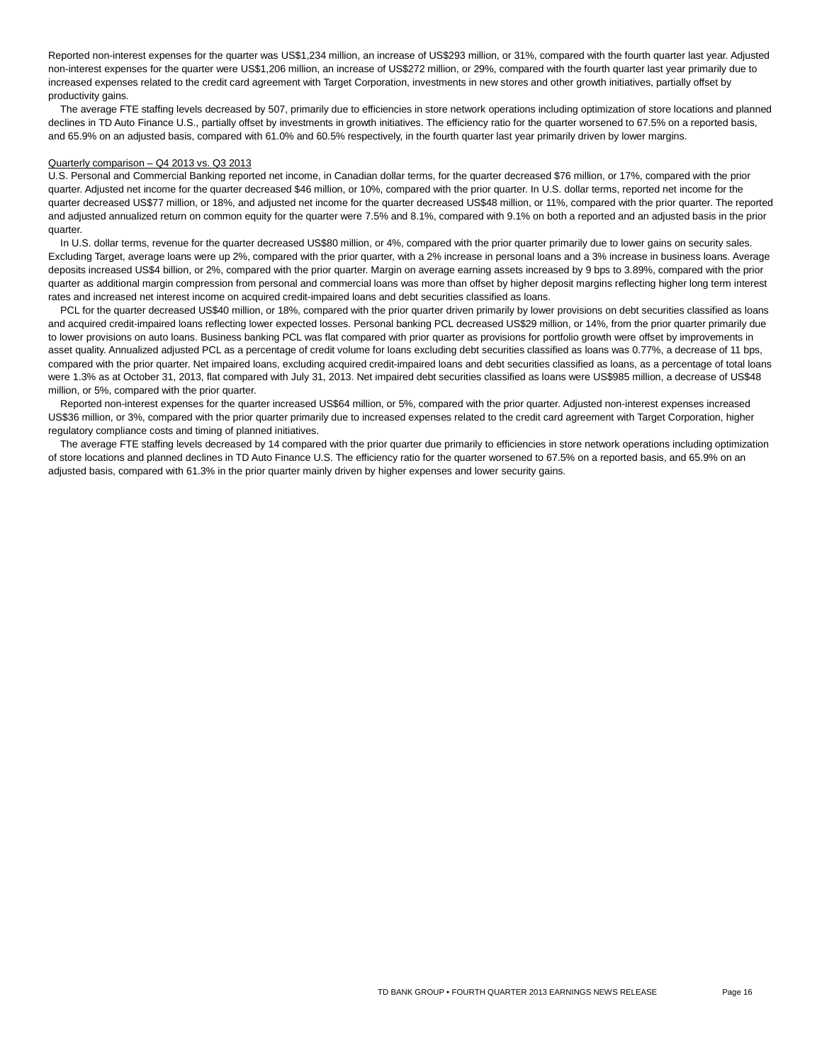Reported non-interest expenses for the quarter was US\$1,234 million, an increase of US\$293 million, or 31%, compared with the fourth quarter last year. Adjusted non-interest expenses for the quarter were US\$1,206 million, an increase of US\$272 million, or 29%, compared with the fourth quarter last year primarily due to increased expenses related to the credit card agreement with Target Corporation, investments in new stores and other growth initiatives, partially offset by productivity gains.

The average FTE staffing levels decreased by 507, primarily due to efficiencies in store network operations including optimization of store locations and planned declines in TD Auto Finance U.S., partially offset by investments in growth initiatives. The efficiency ratio for the quarter worsened to 67.5% on a reported basis, and 65.9% on an adjusted basis, compared with 61.0% and 60.5% respectively, in the fourth quarter last year primarily driven by lower margins.

#### Quarterly comparison – Q4 2013 vs. Q3 2013

U.S. Personal and Commercial Banking reported net income, in Canadian dollar terms, for the quarter decreased \$76 million, or 17%, compared with the prior quarter. Adjusted net income for the quarter decreased \$46 million, or 10%, compared with the prior quarter. In U.S. dollar terms, reported net income for the quarter decreased US\$77 million, or 18%, and adjusted net income for the quarter decreased US\$48 million, or 11%, compared with the prior quarter. The reported and adjusted annualized return on common equity for the quarter were 7.5% and 8.1%, compared with 9.1% on both a reported and an adjusted basis in the prior quarter.

In U.S. dollar terms, revenue for the quarter decreased US\$80 million, or 4%, compared with the prior quarter primarily due to lower gains on security sales. Excluding Target, average loans were up 2%, compared with the prior quarter, with a 2% increase in personal loans and a 3% increase in business loans. Average deposits increased US\$4 billion, or 2%, compared with the prior quarter. Margin on average earning assets increased by 9 bps to 3.89%, compared with the prior quarter as additional margin compression from personal and commercial loans was more than offset by higher deposit margins reflecting higher long term interest rates and increased net interest income on acquired credit-impaired loans and debt securities classified as loans.

PCL for the quarter decreased US\$40 million, or 18%, compared with the prior quarter driven primarily by lower provisions on debt securities classified as loans and acquired credit-impaired loans reflecting lower expected losses. Personal banking PCL decreased US\$29 million, or 14%, from the prior quarter primarily due to lower provisions on auto loans. Business banking PCL was flat compared with prior quarter as provisions for portfolio growth were offset by improvements in asset quality. Annualized adjusted PCL as a percentage of credit volume for loans excluding debt securities classified as loans was 0.77%, a decrease of 11 bps, compared with the prior quarter. Net impaired loans, excluding acquired credit-impaired loans and debt securities classified as loans, as a percentage of total loans were 1.3% as at October 31, 2013, flat compared with July 31, 2013. Net impaired debt securities classified as loans were US\$985 million, a decrease of US\$48 million, or 5%, compared with the prior quarter.

Reported non-interest expenses for the quarter increased US\$64 million, or 5%, compared with the prior quarter. Adjusted non-interest expenses increased US\$36 million, or 3%, compared with the prior quarter primarily due to increased expenses related to the credit card agreement with Target Corporation, higher regulatory compliance costs and timing of planned initiatives.

The average FTE staffing levels decreased by 14 compared with the prior quarter due primarily to efficiencies in store network operations including optimization of store locations and planned declines in TD Auto Finance U.S. The efficiency ratio for the quarter worsened to 67.5% on a reported basis, and 65.9% on an adjusted basis, compared with 61.3% in the prior quarter mainly driven by higher expenses and lower security gains.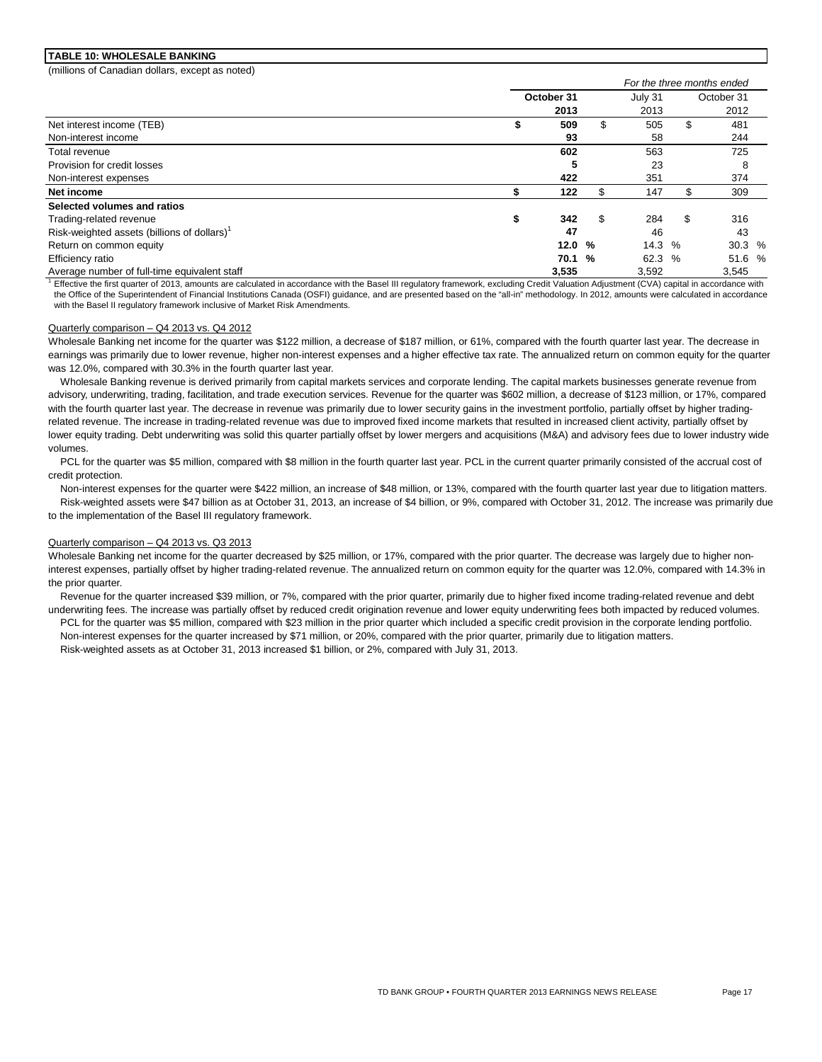#### **TABLE 10: WHOLESALE BANKING**

(millions of Canadian dollars, except as noted)

|                                                         |    |            | For the three months ended |         |      |            |  |
|---------------------------------------------------------|----|------------|----------------------------|---------|------|------------|--|
|                                                         |    | October 31 |                            | July 31 |      | October 31 |  |
|                                                         |    | 2013       |                            | 2013    |      | 2012       |  |
| Net interest income (TEB)                               |    | 509        | \$                         | 505     | \$.  | 481        |  |
| Non-interest income                                     |    | 93         |                            | 58      |      | 244        |  |
| Total revenue                                           |    | 602        |                            | 563     |      | 725        |  |
| Provision for credit losses                             |    |            |                            | 23      |      | 8          |  |
| Non-interest expenses                                   |    | 422        |                            | 351     |      | 374        |  |
| Net income                                              |    | 122        |                            | 147     |      | 309        |  |
| Selected volumes and ratios                             |    |            |                            |         |      |            |  |
| Trading-related revenue                                 | \$ | 342        | S                          | 284     | \$   | 316        |  |
| Risk-weighted assets (billions of dollars) <sup>1</sup> |    | 47         |                            | 46      |      | 43         |  |
| Return on common equity                                 |    | 12.0       | %                          | 14.3    | $\%$ | 30.3 %     |  |
| Efficiency ratio                                        |    | 70.1       | %                          | 62.3    | %    | 51.6 %     |  |
| Average number of full-time equivalent staff            |    | 3,535      |                            | 3,592   |      | 3,545      |  |
| .<br>$\cdots$ $\cdots$<br>$\cdots$                      |    |            |                            |         |      |            |  |

Effective the first quarter of 2013, amounts are calculated in accordance with the Basel III regulatory framework, excluding Credit Valuation Adjustment (CVA) capital in accordance with the Office of the Superintendent of Financial Institutions Canada (OSFI) guidance, and are presented based on the "all-in" methodology. In 2012, amounts were calculated in accordance with the Basel II regulatory framework inclusive of Market Risk Amendments.

#### Quarterly comparison – Q4 2013 vs. Q4 2012

Wholesale Banking net income for the quarter was \$122 million, a decrease of \$187 million, or 61%, compared with the fourth quarter last year. The decrease in earnings was primarily due to lower revenue, higher non-interest expenses and a higher effective tax rate. The annualized return on common equity for the quarter was 12.0%, compared with 30.3% in the fourth quarter last year.

Wholesale Banking revenue is derived primarily from capital markets services and corporate lending. The capital markets businesses generate revenue from advisory, underwriting, trading, facilitation, and trade execution services. Revenue for the quarter was \$602 million, a decrease of \$123 million, or 17%, compared with the fourth quarter last year. The decrease in revenue was primarily due to lower security gains in the investment portfolio, partially offset by higher tradingrelated revenue. The increase in trading-related revenue was due to improved fixed income markets that resulted in increased client activity, partially offset by lower equity trading. Debt underwriting was solid this quarter partially offset by lower mergers and acquisitions (M&A) and advisory fees due to lower industry wide volumes.

PCL for the quarter was \$5 million, compared with \$8 million in the fourth quarter last year. PCL in the current quarter primarily consisted of the accrual cost of credit protection.

Non-interest expenses for the quarter were \$422 million, an increase of \$48 million, or 13%, compared with the fourth quarter last year due to litigation matters. Risk-weighted assets were \$47 billion as at October 31, 2013, an increase of \$4 billion, or 9%, compared with October 31, 2012. The increase was primarily due to the implementation of the Basel III regulatory framework.

#### Quarterly comparison – Q4 2013 vs. Q3 2013

Wholesale Banking net income for the quarter decreased by \$25 million, or 17%, compared with the prior quarter. The decrease was largely due to higher noninterest expenses, partially offset by higher trading-related revenue. The annualized return on common equity for the quarter was 12.0%, compared with 14.3% in the prior quarter.

Revenue for the quarter increased \$39 million, or 7%, compared with the prior quarter, primarily due to higher fixed income trading-related revenue and debt underwriting fees. The increase was partially offset by reduced credit origination revenue and lower equity underwriting fees both impacted by reduced volumes. PCL for the quarter was \$5 million, compared with \$23 million in the prior quarter which included a specific credit provision in the corporate lending portfolio. Non-interest expenses for the quarter increased by \$71 million, or 20%, compared with the prior quarter, primarily due to litigation matters. Risk-weighted assets as at October 31, 2013 increased \$1 billion, or 2%, compared with July 31, 2013.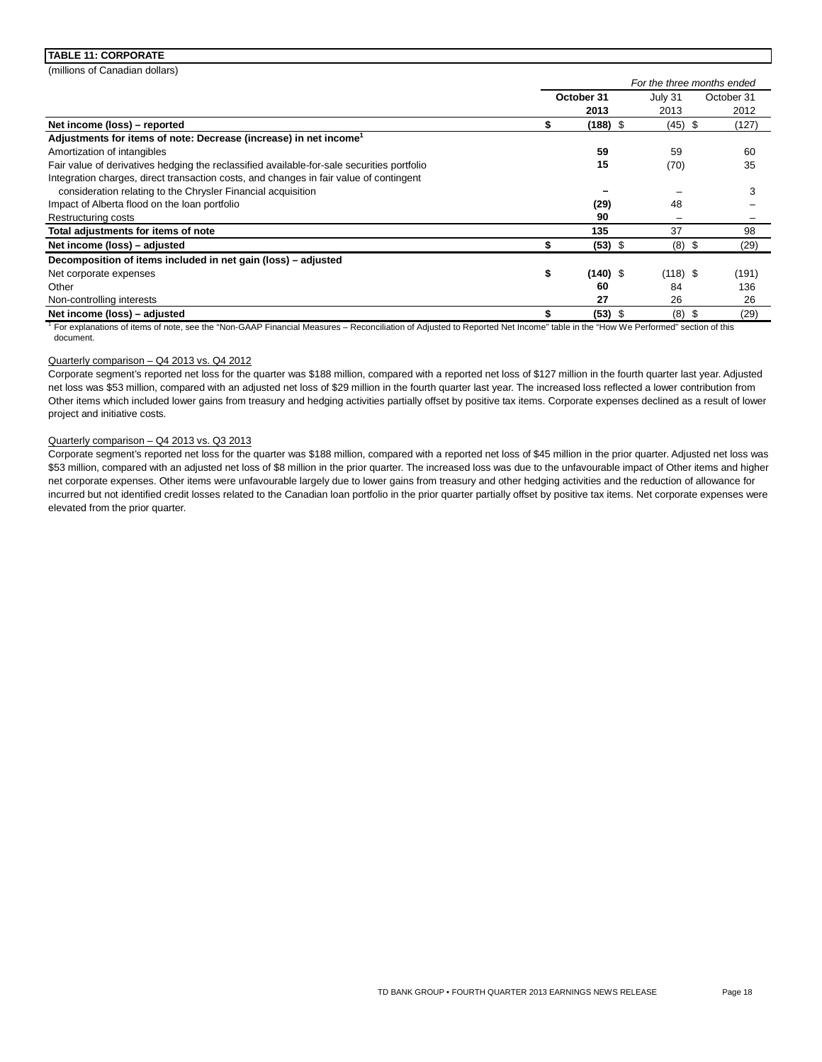# **TABLE 11: CORPORATE**

(millions of Canadian dollars)

|                                                                                            | For the three months ended |            |            |            |  |  |  |  |  |  |
|--------------------------------------------------------------------------------------------|----------------------------|------------|------------|------------|--|--|--|--|--|--|
|                                                                                            |                            | October 31 | July 31    | October 31 |  |  |  |  |  |  |
|                                                                                            |                            | 2013       | 2013       | 2012       |  |  |  |  |  |  |
| Net income (loss) – reported                                                               |                            | $(188)$ \$ | $(45)$ \$  | (127)      |  |  |  |  |  |  |
| Adjustments for items of note: Decrease (increase) in net income <sup>1</sup>              |                            |            |            |            |  |  |  |  |  |  |
| Amortization of intangibles                                                                |                            | 59         | 59         | 60         |  |  |  |  |  |  |
| Fair value of derivatives hedging the reclassified available-for-sale securities portfolio |                            | 15         | (70)       | 35         |  |  |  |  |  |  |
| Integration charges, direct transaction costs, and changes in fair value of contingent     |                            |            |            |            |  |  |  |  |  |  |
| consideration relating to the Chrysler Financial acquisition                               |                            |            |            | 3          |  |  |  |  |  |  |
| Impact of Alberta flood on the loan portfolio                                              |                            | (29)       | 48         |            |  |  |  |  |  |  |
| Restructuring costs                                                                        |                            | 90         |            |            |  |  |  |  |  |  |
| Total adjustments for items of note                                                        |                            | 135        | 37         | 98         |  |  |  |  |  |  |
| Net income (loss) - adjusted                                                               |                            | $(53)$ \$  | $(8)$ \$   | (29)       |  |  |  |  |  |  |
| Decomposition of items included in net gain (loss) - adjusted                              |                            |            |            |            |  |  |  |  |  |  |
| Net corporate expenses                                                                     | \$                         | $(140)$ \$ | $(118)$ \$ | (191)      |  |  |  |  |  |  |
| Other                                                                                      |                            | 60         | 84         | 136        |  |  |  |  |  |  |
| Non-controlling interests                                                                  |                            | 27         | 26         | 26         |  |  |  |  |  |  |
| Net income (loss) - adjusted                                                               |                            | $(53)$ \$  | $(8)$ \$   | (29)       |  |  |  |  |  |  |

<sup>1</sup> For explanations of items of note, see the "Non-GAAP Financial Measures – Reconciliation of Adjusted to Reported Net Income" table in the "How We Performed" section of this document.

## Quarterly comparison – Q4 2013 vs. Q4 2012

Corporate segment's reported net loss for the quarter was \$188 million, compared with a reported net loss of \$127 million in the fourth quarter last year. Adjusted net loss was \$53 million, compared with an adjusted net loss of \$29 million in the fourth quarter last year. The increased loss reflected a lower contribution from Other items which included lower gains from treasury and hedging activities partially offset by positive tax items. Corporate expenses declined as a result of lower project and initiative costs.

# Quarterly comparison - Q4 2013 vs. Q3 2013

Corporate segment's reported net loss for the quarter was \$188 million, compared with a reported net loss of \$45 million in the prior quarter. Adjusted net loss was \$53 million, compared with an adjusted net loss of \$8 million in the prior quarter. The increased loss was due to the unfavourable impact of Other items and higher net corporate expenses. Other items were unfavourable largely due to lower gains from treasury and other hedging activities and the reduction of allowance for incurred but not identified credit losses related to the Canadian loan portfolio in the prior quarter partially offset by positive tax items. Net corporate expenses were elevated from the prior quarter.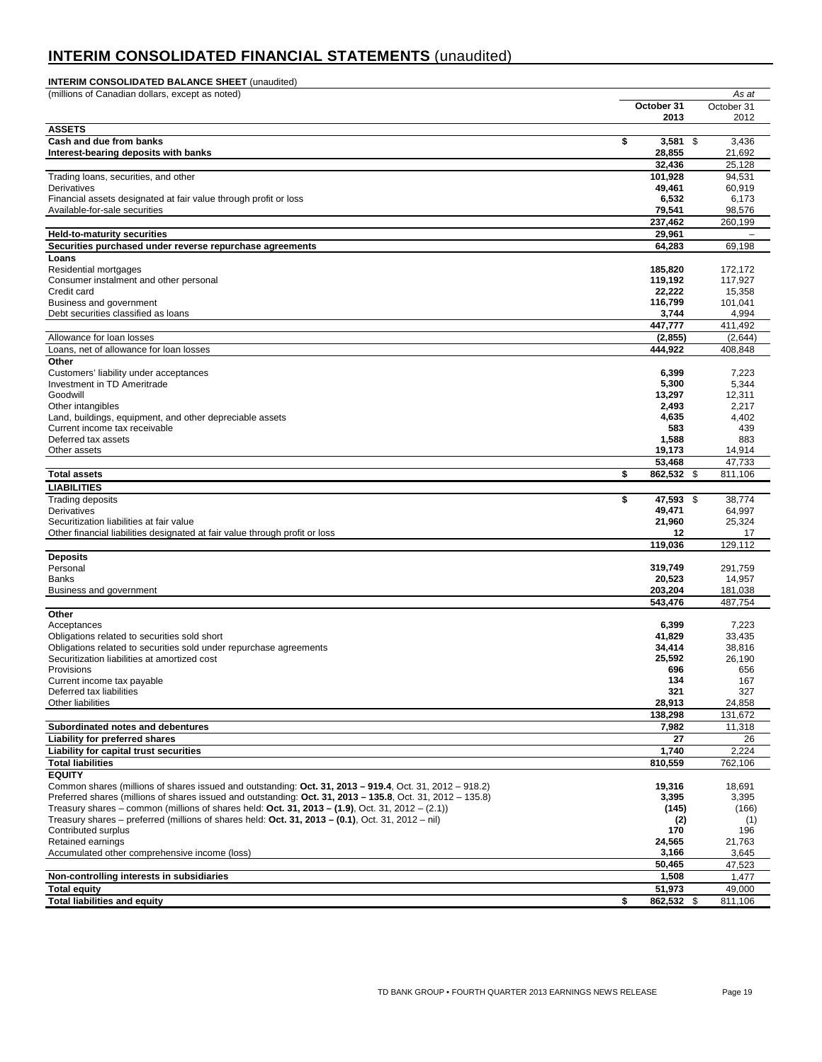# **INTERIM CONSOLIDATED FINANCIAL STATEMENTS** (unaudited)

| <b>INTERIM CONSOLIDATED BALANCE SHEET (unaudited)</b>                                                                                                                                                 |                  |            |
|-------------------------------------------------------------------------------------------------------------------------------------------------------------------------------------------------------|------------------|------------|
| (millions of Canadian dollars, except as noted)                                                                                                                                                       |                  | As at      |
|                                                                                                                                                                                                       | October 31       | October 31 |
|                                                                                                                                                                                                       | 2013             | 2012       |
| <b>ASSETS</b>                                                                                                                                                                                         |                  |            |
| Cash and due from banks                                                                                                                                                                               | \$<br>$3,581$ \$ | 3,436      |
| Interest-bearing deposits with banks                                                                                                                                                                  | 28,855           | 21,692     |
|                                                                                                                                                                                                       | 32,436           | 25.128     |
| Trading loans, securities, and other                                                                                                                                                                  | 101,928          | 94,531     |
| Derivatives                                                                                                                                                                                           | 49,461           | 60,919     |
| Financial assets designated at fair value through profit or loss                                                                                                                                      | 6,532            | 6,173      |
| Available-for-sale securities                                                                                                                                                                         | 79,541           | 98,576     |
|                                                                                                                                                                                                       | 237,462          | 260,199    |
| <b>Held-to-maturity securities</b>                                                                                                                                                                    | 29,961           |            |
| Securities purchased under reverse repurchase agreements                                                                                                                                              | 64,283           | 69,198     |
| Loans                                                                                                                                                                                                 |                  |            |
| Residential mortgages                                                                                                                                                                                 | 185,820          | 172,172    |
| Consumer instalment and other personal                                                                                                                                                                | 119,192          | 117,927    |
| Credit card                                                                                                                                                                                           | 22,222           | 15,358     |
| Business and government                                                                                                                                                                               | 116,799          | 101,041    |
| Debt securities classified as loans                                                                                                                                                                   | 3,744            | 4,994      |
|                                                                                                                                                                                                       | 447,777          | 411,492    |
| Allowance for loan losses                                                                                                                                                                             | (2, 855)         | (2,644)    |
| Loans, net of allowance for loan losses                                                                                                                                                               | 444,922          | 408,848    |
| Other                                                                                                                                                                                                 |                  |            |
| Customers' liability under acceptances                                                                                                                                                                | 6,399            | 7,223      |
| Investment in TD Ameritrade                                                                                                                                                                           | 5,300            | 5,344      |
| Goodwill                                                                                                                                                                                              | 13,297           | 12,311     |
| Other intangibles                                                                                                                                                                                     | 2,493            | 2,217      |
| Land, buildings, equipment, and other depreciable assets                                                                                                                                              | 4,635            | 4,402      |
| Current income tax receivable                                                                                                                                                                         | 583              | 439        |
| Deferred tax assets                                                                                                                                                                                   | 1,588            | 883        |
| Other assets                                                                                                                                                                                          | 19,173           | 14,914     |
|                                                                                                                                                                                                       | 53.468           | 47,733     |
| <b>Total assets</b>                                                                                                                                                                                   | \$<br>862,532 \$ | 811,106    |
| <b>LIABILITIES</b>                                                                                                                                                                                    |                  |            |
| <b>Trading deposits</b>                                                                                                                                                                               | \$<br>47,593 \$  | 38,774     |
| Derivatives                                                                                                                                                                                           | 49,471           | 64,997     |
| Securitization liabilities at fair value                                                                                                                                                              | 21,960           | 25,324     |
| Other financial liabilities designated at fair value through profit or loss                                                                                                                           | 12               | 17         |
|                                                                                                                                                                                                       | 119,036          | 129,112    |
| <b>Deposits</b>                                                                                                                                                                                       |                  |            |
| Personal                                                                                                                                                                                              | 319,749          | 291,759    |
| Banks                                                                                                                                                                                                 | 20,523           | 14,957     |
| Business and government                                                                                                                                                                               | 203,204          | 181,038    |
|                                                                                                                                                                                                       | 543,476          | 487,754    |
| Other                                                                                                                                                                                                 |                  |            |
| Acceptances                                                                                                                                                                                           | 6,399            | 7,223      |
| Obligations related to securities sold short                                                                                                                                                          | 41,829           | 33,435     |
| Obligations related to securities sold under repurchase agreements                                                                                                                                    | 34,414           | 38,816     |
| Securitization liabilities at amortized cost                                                                                                                                                          | 25,592           | 26,190     |
| Provisions                                                                                                                                                                                            | 696              | 656        |
| Current income tax payable<br>Deferred tax liabilities                                                                                                                                                | 134<br>321       | 167<br>327 |
| Other liabilities                                                                                                                                                                                     | 28,913           | 24,858     |
|                                                                                                                                                                                                       | 138,298          | 131,672    |
| Subordinated notes and debentures                                                                                                                                                                     |                  |            |
|                                                                                                                                                                                                       | 7,982            | 11,318     |
| <b>Liability for preferred shares</b>                                                                                                                                                                 | 27               | 26         |
| Liability for capital trust securities                                                                                                                                                                | 1,740            | 2,224      |
| <b>Total liabilities</b>                                                                                                                                                                              | 810,559          | 762,106    |
| <b>EQUITY</b>                                                                                                                                                                                         |                  |            |
| Common shares (millions of shares issued and outstanding: Oct. 31, 2013 – 919.4, Oct. 31, 2012 – 918.2)                                                                                               | 19,316           | 18,691     |
| Preferred shares (millions of shares issued and outstanding: Oct. 31, 2013 – 135.8, Oct. 31, 2012 – 135.8)                                                                                            | 3,395            | 3,395      |
| Treasury shares – common (millions of shares held: Oct. 31, 2013 – (1.9), Oct. 31, 2012 – (2.1))<br>Treasury shares – preferred (millions of shares held: Oct. 31, 2013 – (0.1), Oct. 31, 2012 – nil) | (145)            | (166)      |
| Contributed surplus                                                                                                                                                                                   | (2)<br>170       | (1)<br>196 |
| Retained earnings                                                                                                                                                                                     | 24,565           | 21,763     |
| Accumulated other comprehensive income (loss)                                                                                                                                                         | 3,166            | 3,645      |
|                                                                                                                                                                                                       | 50,465           | 47,523     |
| Non-controlling interests in subsidiaries                                                                                                                                                             |                  | 1,477      |
|                                                                                                                                                                                                       | 1,508            |            |
| <b>Total equity</b>                                                                                                                                                                                   | 51,973           | 49,000     |
| <b>Total liabilities and equity</b>                                                                                                                                                                   | \$<br>862,532 \$ | 811,106    |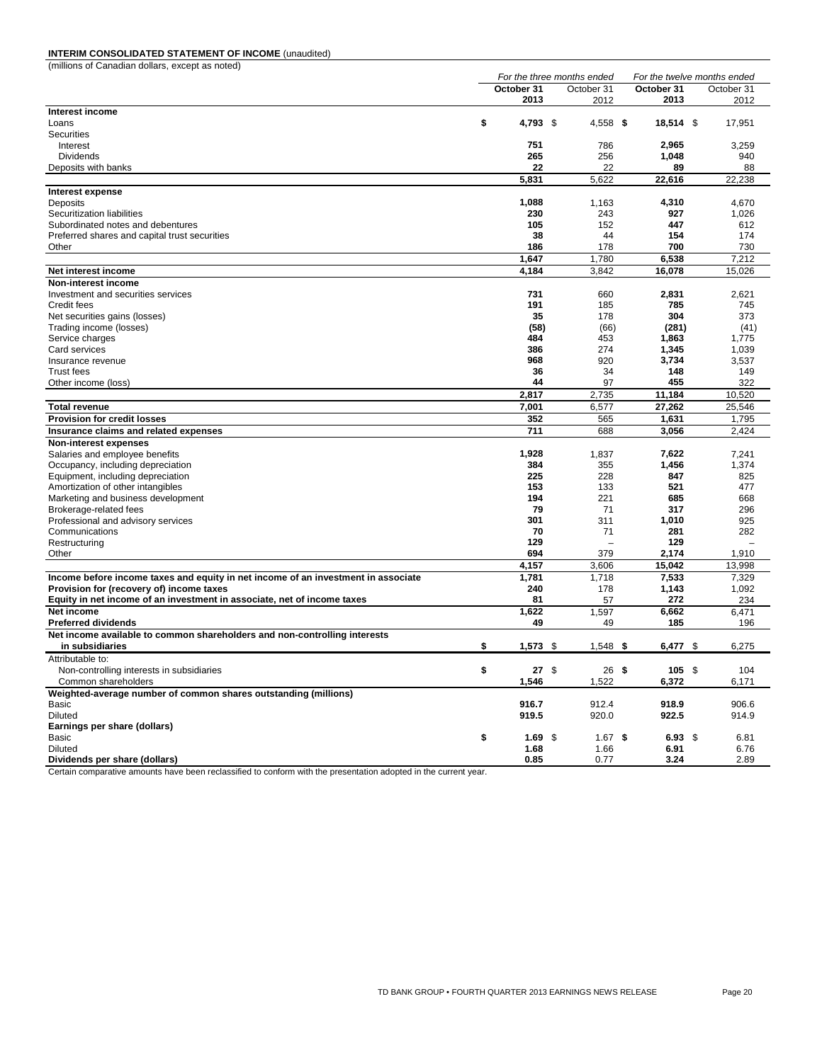# **INTERIM CONSOLIDATED STATEMENT OF INCOME** (unaudited)

| (millions of Canadian dollars, except as noted)                                   |                  |                            |         |                             |            |
|-----------------------------------------------------------------------------------|------------------|----------------------------|---------|-----------------------------|------------|
|                                                                                   |                  | For the three months ended |         | For the twelve months ended |            |
|                                                                                   | October 31       | October 31                 |         | October 31                  | October 31 |
|                                                                                   | 2013             | 2012                       |         | 2013                        | 2012       |
| Interest income                                                                   |                  |                            |         |                             |            |
| Loans                                                                             | \$<br>4,793 \$   | $4,558$ \$                 |         | $18,514$ \$                 | 17,951     |
| Securities                                                                        |                  |                            |         |                             |            |
| Interest                                                                          | 751              | 786                        |         | 2,965                       | 3,259      |
| <b>Dividends</b>                                                                  | 265              | 256                        |         | 1,048                       | 940        |
| Deposits with banks                                                               | 22               | 22                         |         | 89                          | 88         |
|                                                                                   | 5,831            | 5,622                      |         | 22,616                      | 22,238     |
| Interest expense                                                                  |                  |                            |         |                             |            |
| Deposits                                                                          | 1,088            | 1,163                      |         | 4,310                       | 4,670      |
| Securitization liabilities                                                        | 230              | 243                        |         | 927                         | 1,026      |
| Subordinated notes and debentures                                                 | 105              | 152                        |         | 447                         | 612        |
| Preferred shares and capital trust securities                                     | 38               | 44                         |         | 154                         | 174        |
| Other                                                                             | 186              | 178                        |         | 700                         | 730        |
|                                                                                   | 1,647            | 1,780                      |         | 6,538                       | 7,212      |
| Net interest income                                                               | 4,184            | 3,842                      |         | 16,078                      | 15,026     |
| Non-interest income                                                               |                  |                            |         |                             |            |
| Investment and securities services                                                | 731              | 660                        |         | 2,831                       | 2,621      |
| Credit fees                                                                       | 191              | 185                        |         | 785                         | 745        |
| Net securities gains (losses)                                                     | 35               | 178                        |         | 304                         | 373        |
| Trading income (losses)                                                           | (58)             | (66)                       |         | (281)                       | (41)       |
| Service charges                                                                   | 484              | 453                        |         | 1,863                       | 1,775      |
| Card services                                                                     | 386              | 274                        |         | 1,345                       | 1,039      |
| Insurance revenue                                                                 | 968              | 920                        |         | 3,734                       | 3,537      |
| <b>Trust fees</b>                                                                 | 36               | 34                         |         | 148                         | 149        |
| Other income (loss)                                                               | 44               | 97                         |         | 455                         | 322        |
|                                                                                   | 2,817            | 2,735                      |         | 11,184                      | 10.520     |
| <b>Total revenue</b>                                                              | 7,001            | 6,577                      |         | 27,262                      | 25,546     |
| <b>Provision for credit losses</b>                                                | 352              | 565                        |         | 1,631                       | 1,795      |
| Insurance claims and related expenses                                             | 711              | 688                        |         | 3,056                       | 2,424      |
| <b>Non-interest expenses</b>                                                      |                  |                            |         |                             |            |
| Salaries and employee benefits                                                    | 1,928            | 1,837                      |         | 7,622                       | 7,241      |
| Occupancy, including depreciation                                                 | 384              | 355                        |         | 1,456                       | 1,374      |
| Equipment, including depreciation                                                 | 225              | 228                        |         | 847                         | 825        |
| Amortization of other intangibles                                                 | 153              | 133                        |         | 521                         | 477        |
| Marketing and business development                                                | 194              | 221                        |         | 685                         | 668        |
| Brokerage-related fees                                                            | 79               | 71                         |         | 317                         | 296        |
| Professional and advisory services                                                | 301              | 311                        |         | 1,010                       | 925        |
| Communications                                                                    | 70               | 71                         |         | 281                         | 282        |
| Restructuring                                                                     | 129              |                            |         | 129                         |            |
| Other                                                                             | 694              | 379                        |         | 2,174                       | 1,910      |
|                                                                                   | 4,157            | 3,606                      |         | 15,042                      | 13,998     |
| Income before income taxes and equity in net income of an investment in associate | 1,781            | 1,718                      |         | 7,533                       | 7,329      |
| Provision for (recovery of) income taxes                                          | 240              | 178                        |         | 1,143                       | 1,092      |
| Equity in net income of an investment in associate, net of income taxes           | 81               | 57                         |         | 272                         | 234        |
| Net income                                                                        | 1,622            | 1,597                      |         | 6,662                       | 6,471      |
| <b>Preferred dividends</b>                                                        | 49               | 49                         |         | 185                         | 196        |
| Net income available to common shareholders and non-controlling interests         |                  |                            |         |                             |            |
| in subsidiaries                                                                   | \$<br>$1,573$ \$ | $1,548$ \$                 |         | 6,477 $$$                   | 6,275      |
| Attributable to:                                                                  |                  |                            |         |                             |            |
| Non-controlling interests in subsidiaries                                         | \$<br>$27 \quad$ |                            | $26$ \$ | $105 \text{ }$ \$           | 104        |
| Common shareholders                                                               | 1,546            | 1,522                      |         | 6,372                       | 6,171      |
| Weighted-average number of common shares outstanding (millions)                   |                  |                            |         |                             |            |
| Basic                                                                             | 916.7            | 912.4                      |         | 918.9                       | 906.6      |
| Diluted                                                                           | 919.5            | 920.0                      |         | 922.5                       | 914.9      |
| Earnings per share (dollars)                                                      |                  |                            |         |                             |            |
| Basic                                                                             | \$<br>$1.69$ \$  | $1.67$ \$                  |         | 6.93 $$$                    | 6.81       |
| <b>Diluted</b>                                                                    | 1.68             | 1.66                       |         | 6.91                        | 6.76       |
| Dividends per share (dollars)                                                     | 0.85             | 0.77                       |         | 3.24                        | 2.89       |

Certain comparative amounts have been reclassified to conform with the presentation adopted in the current year.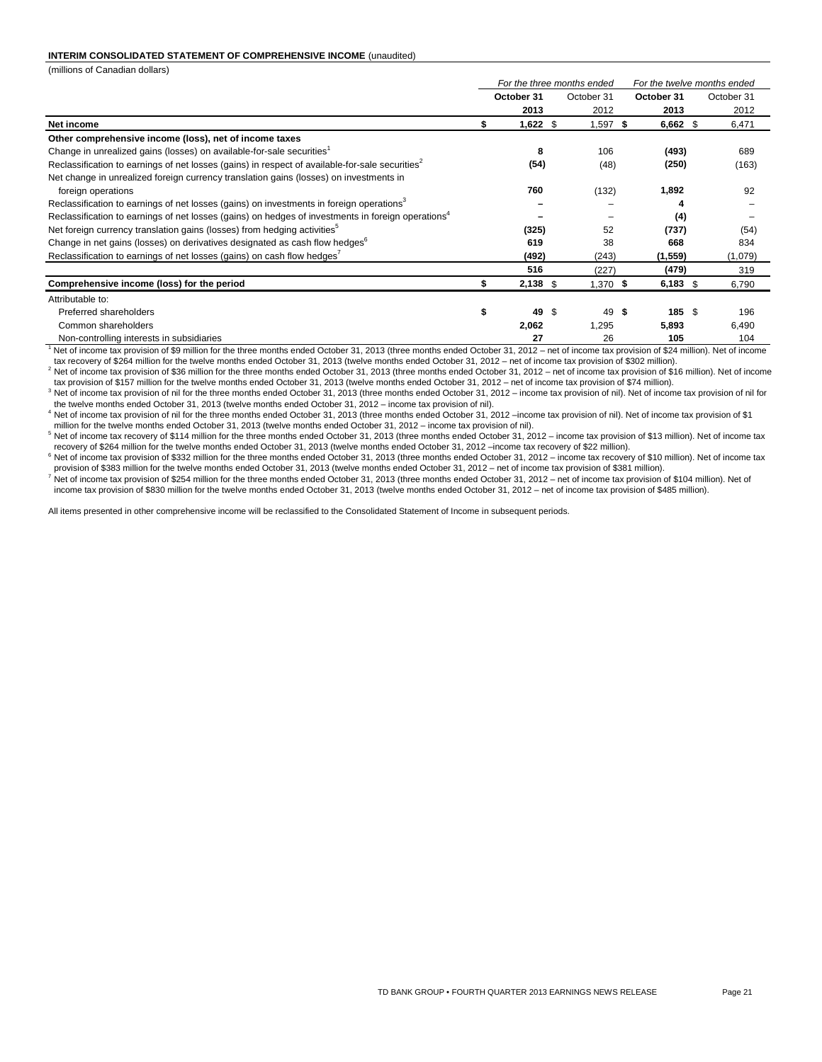#### **INTERIM CONSOLIDATED STATEMENT OF COMPREHENSIVE INCOME** (unaudited)

(millions of Canadian dollars)

|                                                                                                                                                                                                                              |             | For the three months ended |    | For the twelve months ended                                                                           |            |
|------------------------------------------------------------------------------------------------------------------------------------------------------------------------------------------------------------------------------|-------------|----------------------------|----|-------------------------------------------------------------------------------------------------------|------------|
|                                                                                                                                                                                                                              | October 31  | October 31                 |    | October 31                                                                                            | October 31 |
|                                                                                                                                                                                                                              | 2013        | 2012                       |    | 2013                                                                                                  | 2012       |
| Net income                                                                                                                                                                                                                   | $1,622$ \$  | $1,597$ \$                 |    | $6,662$ \$                                                                                            | 6,471      |
| Other comprehensive income (loss), net of income taxes                                                                                                                                                                       |             |                            |    |                                                                                                       |            |
| Change in unrealized gains (losses) on available-for-sale securities <sup>1</sup>                                                                                                                                            | 8           | 106                        |    | (493)                                                                                                 | 689        |
| Reclassification to earnings of net losses (gains) in respect of available-for-sale securities <sup>2</sup>                                                                                                                  | (54)        | (48)                       |    | (250)                                                                                                 | (163)      |
| Net change in unrealized foreign currency translation gains (losses) on investments in                                                                                                                                       |             |                            |    |                                                                                                       |            |
| foreign operations                                                                                                                                                                                                           | 760         | (132)                      |    | 1,892                                                                                                 | 92         |
| Reclassification to earnings of net losses (gains) on investments in foreign operations <sup>3</sup>                                                                                                                         |             |                            |    |                                                                                                       |            |
| Reclassification to earnings of net losses (gains) on hedges of investments in foreign operations <sup>4</sup>                                                                                                               |             |                            |    | (4)                                                                                                   |            |
| Net foreign currency translation gains (losses) from hedging activities <sup>3</sup>                                                                                                                                         | (325)       | 52                         |    | (737)                                                                                                 | (54)       |
| Change in net gains (losses) on derivatives designated as cash flow hedges <sup>6</sup>                                                                                                                                      | 619         | 38                         |    | 668                                                                                                   | 834        |
| Reclassification to earnings of net losses (gains) on cash flow hedges'                                                                                                                                                      | (492)       | (243)                      |    | (1, 559)                                                                                              | (1,079)    |
|                                                                                                                                                                                                                              | 516         | (227)                      |    | (479)                                                                                                 | 319        |
| Comprehensive income (loss) for the period                                                                                                                                                                                   | $2,138$ \$  | $1,370$ \$                 |    | 6,183 $$$                                                                                             | 6,790      |
| Attributable to:                                                                                                                                                                                                             |             |                            |    |                                                                                                       |            |
| Preferred shareholders                                                                                                                                                                                                       | \$<br>49 \$ | 49                         | -5 | 185 \$                                                                                                | 196        |
| Common shareholders                                                                                                                                                                                                          | 2,062       | 1,295                      |    | 5,893                                                                                                 | 6,490      |
| Non-controlling interests in subsidiaries                                                                                                                                                                                    | 27          | 26                         |    | 105                                                                                                   | 104        |
| 1 Mart 19 and the contract of the state of a state of a state of the state of the contract of the state of the state of the state of the state of the state of the state of the state of the state of the state of the state |             |                            |    | $\mathcal{L}$ . The state of $\mathcal{L}$ is the state of $\mathcal{L}$ . The state of $\mathcal{L}$ |            |

Net of income tax provision of \$9 million for the three months ended October 31, 2013 (three months ended October 31, 2012 – net of income tax provision of \$24 million). Net of income tax recovery of \$264 million for the twelve months ended October 31, 2013 (twelve months ended October 31, 2012 – net of income tax provision of \$302 million).  $^2$  Net of income tax provision of \$36 million for the three months ended October 31, 2013 (three months ended October 31, 2012 – net of income tax provision of \$16 million). Net of income

tax provision of \$157 million for the twelve months ended October 31, 2013 (twelve months ended October 31, 2012 – net of income tax provision of \$74 million). <sup>3</sup> Net of income tax provision of nil for the three months ended October 31, 2013 (three months ended October 31, 2012 – income tax provision of nil). Net of income tax provision of nil for

the twelve months ended October 31, 2013 (twelve months ended October 31, 2012 – income tax provision of nil).

<sup>4</sup> Net of income tax provision of nil for the three months ended October 31, 2013 (three months ended October 31, 2012 –income tax provision of nil). Net of income tax provision of \$1 million for the twelve months ended October 31, 2013 (twelve months ended October 31, 2012 – income tax provision of nil).

<sup>5</sup> Net of income tax recovery of \$114 million for the three months ended October 31, 2013 (three months ended October 31, 2012 – income tax provision of \$13 million). Net of income tax recovery of \$264 million for the twelve months ended October 31, 2013 (twelve months ended October 31, 2012 –income tax recovery of \$22 million).

<sup>6</sup> Net of income tax provision of \$332 million for the three months ended October 31, 2013 (three months ended October 31, 2012 – income tax recovery of \$10 million). Net of income tax provision of \$383 million for the twelve months ended October 31, 2013 (twelve months ended October 31, 2012 – net of income tax provision of \$381 million).

 $^7$  Net of income tax provision of \$254 million for the three months ended October 31, 2013 (three months ended October 31, 2012 – net of income tax provision of \$104 million). Net of income tax provision of \$830 million for the twelve months ended October 31, 2013 (twelve months ended October 31, 2012 – net of income tax provision of \$485 million).

All items presented in other comprehensive income will be reclassified to the Consolidated Statement of Income in subsequent periods.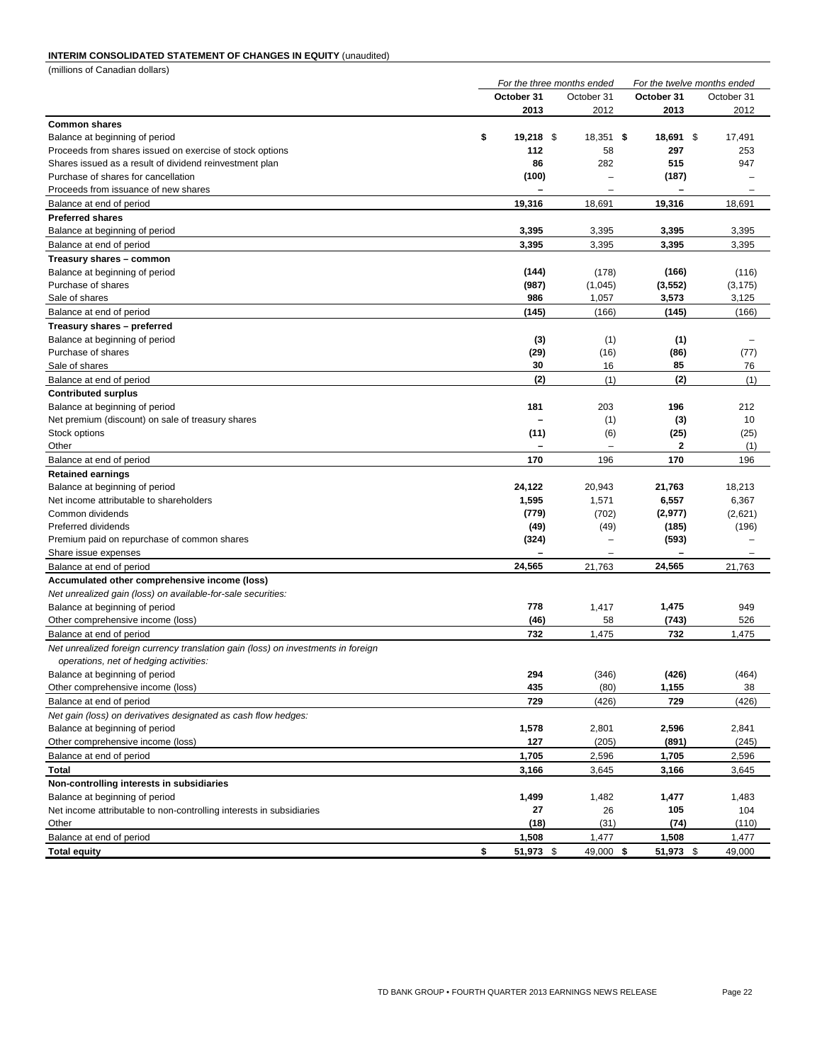# **INTERIM CONSOLIDATED STATEMENT OF CHANGES IN EQUITY** (unaudited)

| (millions of Canadian dollars) |  |  |
|--------------------------------|--|--|
|--------------------------------|--|--|

| October 31<br>October 31<br>October 31<br>October 31<br>2013<br>2012<br>2013<br>2012<br><b>Common shares</b><br>\$<br>19,218 \$<br>18,351 \$<br>18,691 \$<br>Balance at beginning of period<br>17,491<br>Proceeds from shares issued on exercise of stock options<br>112<br>58<br>297<br>253<br>515<br>86<br>282<br>947<br>Shares issued as a result of dividend reinvestment plan<br>Purchase of shares for cancellation<br>(100)<br>(187)<br>L,<br>Proceeds from issuance of new shares<br>19,316<br>18,691<br>19,316<br>18,691<br>Balance at end of period<br><b>Preferred shares</b><br>3,395<br>3,395<br>3,395<br>3,395<br>Balance at beginning of period<br>3,395<br>3,395<br>3,395<br>3,395<br>Balance at end of period<br>Treasury shares - common<br>Balance at beginning of period<br>(144)<br>(178)<br>(166)<br>(116)<br>Purchase of shares<br>(987)<br>(3, 552)<br>(3, 175)<br>(1,045)<br>986<br>1,057<br>3,573<br>3,125<br>Sale of shares<br>(145)<br>(166)<br>(145)<br>(166)<br>Balance at end of period<br>Treasury shares - preferred<br>(1)<br>Balance at beginning of period<br>(3)<br>(1)<br>Purchase of shares<br>(29)<br>(16)<br>(86)<br>(77)<br>30<br>85<br>Sale of shares<br>16<br>76<br>(2)<br>(1)<br>(2)<br>(1)<br>Balance at end of period<br><b>Contributed surplus</b><br>181<br>203<br>196<br>Balance at beginning of period<br>212<br>Net premium (discount) on sale of treasury shares<br>(1)<br>(3)<br>10<br>$\overline{\phantom{0}}$<br>(11)<br>(6)<br>(25)<br>(25)<br>Stock options<br>2<br>Other<br>(1)<br>L.<br>170<br>170<br>196<br>196<br>Balance at end of period<br><b>Retained earnings</b><br>24,122<br>20,943<br>21,763<br>18,213<br>Balance at beginning of period<br>Net income attributable to shareholders<br>1,595<br>1,571<br>6,557<br>6,367<br>Common dividends<br>(702)<br>(2,621)<br>(779)<br>(2,977)<br>Preferred dividends<br>(49)<br>(185)<br>(49)<br>(196)<br>(593)<br>(324)<br>Premium paid on repurchase of common shares<br>Share issue expenses<br>$\overline{\phantom{0}}$<br>24,565<br>24,565<br>21,763<br>Balance at end of period<br>21,763<br>Accumulated other comprehensive income (loss)<br>Net unrealized gain (loss) on available-for-sale securities:<br>778<br>1,475<br>1,417<br>949<br>Balance at beginning of period<br>(46)<br>(743)<br>58<br>526<br>Other comprehensive income (loss)<br>732<br>1,475<br>732<br>1,475<br>Balance at end of period<br>Net unrealized foreign currency translation gain (loss) on investments in foreign<br>operations, net of hedging activities:<br>294<br>(426)<br>(346)<br>(464)<br>Balance at beginning of period<br>435<br>1,155<br>Other comprehensive income (loss)<br>(80)<br>38<br>729<br>Balance at end of period<br>729<br>(426)<br>(426)<br>Net gain (loss) on derivatives designated as cash flow hedges:<br>1,578<br>Balance at beginning of period<br>2,801<br>2,596<br>2,841<br>Other comprehensive income (loss)<br>127<br>(205)<br>(891)<br>(245)<br>1,705<br>1,705<br>Balance at end of period<br>2,596<br>2,596<br>Total<br>3,166<br>3,645<br>3,166<br>3,645<br>Non-controlling interests in subsidiaries<br>Balance at beginning of period<br>1,499<br>1,477<br>1,482<br>1,483<br>Net income attributable to non-controlling interests in subsidiaries<br>105<br>104<br>27<br>26<br>(31)<br>(110)<br>Other<br>(18)<br>(74)<br>1,508<br>1,477<br>1,508<br>Balance at end of period<br>1,477<br>\$<br>51,973 \$<br>49,000 \$<br>51,973 \$<br>49,000<br><b>Total equity</b> |  | For the three months ended | For the twelve months ended |
|----------------------------------------------------------------------------------------------------------------------------------------------------------------------------------------------------------------------------------------------------------------------------------------------------------------------------------------------------------------------------------------------------------------------------------------------------------------------------------------------------------------------------------------------------------------------------------------------------------------------------------------------------------------------------------------------------------------------------------------------------------------------------------------------------------------------------------------------------------------------------------------------------------------------------------------------------------------------------------------------------------------------------------------------------------------------------------------------------------------------------------------------------------------------------------------------------------------------------------------------------------------------------------------------------------------------------------------------------------------------------------------------------------------------------------------------------------------------------------------------------------------------------------------------------------------------------------------------------------------------------------------------------------------------------------------------------------------------------------------------------------------------------------------------------------------------------------------------------------------------------------------------------------------------------------------------------------------------------------------------------------------------------------------------------------------------------------------------------------------------------------------------------------------------------------------------------------------------------------------------------------------------------------------------------------------------------------------------------------------------------------------------------------------------------------------------------------------------------------------------------------------------------------------------------------------------------------------------------------------------------------------------------------------------------------------------------------------------------------------------------------------------------------------------------------------------------------------------------------------------------------------------------------------------------------------------------------------------------------------------------------------------------------------------------------------------------------------------------------------------------------------------------------------------------------------------------------------------------------------------------------------------------------------------------------------------------------------------------------------------------------------------------------------------------------------------------------------------------------------------------------|--|----------------------------|-----------------------------|
|                                                                                                                                                                                                                                                                                                                                                                                                                                                                                                                                                                                                                                                                                                                                                                                                                                                                                                                                                                                                                                                                                                                                                                                                                                                                                                                                                                                                                                                                                                                                                                                                                                                                                                                                                                                                                                                                                                                                                                                                                                                                                                                                                                                                                                                                                                                                                                                                                                                                                                                                                                                                                                                                                                                                                                                                                                                                                                                                                                                                                                                                                                                                                                                                                                                                                                                                                                                                                                                                                                          |  |                            |                             |
|                                                                                                                                                                                                                                                                                                                                                                                                                                                                                                                                                                                                                                                                                                                                                                                                                                                                                                                                                                                                                                                                                                                                                                                                                                                                                                                                                                                                                                                                                                                                                                                                                                                                                                                                                                                                                                                                                                                                                                                                                                                                                                                                                                                                                                                                                                                                                                                                                                                                                                                                                                                                                                                                                                                                                                                                                                                                                                                                                                                                                                                                                                                                                                                                                                                                                                                                                                                                                                                                                                          |  |                            |                             |
|                                                                                                                                                                                                                                                                                                                                                                                                                                                                                                                                                                                                                                                                                                                                                                                                                                                                                                                                                                                                                                                                                                                                                                                                                                                                                                                                                                                                                                                                                                                                                                                                                                                                                                                                                                                                                                                                                                                                                                                                                                                                                                                                                                                                                                                                                                                                                                                                                                                                                                                                                                                                                                                                                                                                                                                                                                                                                                                                                                                                                                                                                                                                                                                                                                                                                                                                                                                                                                                                                                          |  |                            |                             |
|                                                                                                                                                                                                                                                                                                                                                                                                                                                                                                                                                                                                                                                                                                                                                                                                                                                                                                                                                                                                                                                                                                                                                                                                                                                                                                                                                                                                                                                                                                                                                                                                                                                                                                                                                                                                                                                                                                                                                                                                                                                                                                                                                                                                                                                                                                                                                                                                                                                                                                                                                                                                                                                                                                                                                                                                                                                                                                                                                                                                                                                                                                                                                                                                                                                                                                                                                                                                                                                                                                          |  |                            |                             |
|                                                                                                                                                                                                                                                                                                                                                                                                                                                                                                                                                                                                                                                                                                                                                                                                                                                                                                                                                                                                                                                                                                                                                                                                                                                                                                                                                                                                                                                                                                                                                                                                                                                                                                                                                                                                                                                                                                                                                                                                                                                                                                                                                                                                                                                                                                                                                                                                                                                                                                                                                                                                                                                                                                                                                                                                                                                                                                                                                                                                                                                                                                                                                                                                                                                                                                                                                                                                                                                                                                          |  |                            |                             |
|                                                                                                                                                                                                                                                                                                                                                                                                                                                                                                                                                                                                                                                                                                                                                                                                                                                                                                                                                                                                                                                                                                                                                                                                                                                                                                                                                                                                                                                                                                                                                                                                                                                                                                                                                                                                                                                                                                                                                                                                                                                                                                                                                                                                                                                                                                                                                                                                                                                                                                                                                                                                                                                                                                                                                                                                                                                                                                                                                                                                                                                                                                                                                                                                                                                                                                                                                                                                                                                                                                          |  |                            |                             |
|                                                                                                                                                                                                                                                                                                                                                                                                                                                                                                                                                                                                                                                                                                                                                                                                                                                                                                                                                                                                                                                                                                                                                                                                                                                                                                                                                                                                                                                                                                                                                                                                                                                                                                                                                                                                                                                                                                                                                                                                                                                                                                                                                                                                                                                                                                                                                                                                                                                                                                                                                                                                                                                                                                                                                                                                                                                                                                                                                                                                                                                                                                                                                                                                                                                                                                                                                                                                                                                                                                          |  |                            |                             |
|                                                                                                                                                                                                                                                                                                                                                                                                                                                                                                                                                                                                                                                                                                                                                                                                                                                                                                                                                                                                                                                                                                                                                                                                                                                                                                                                                                                                                                                                                                                                                                                                                                                                                                                                                                                                                                                                                                                                                                                                                                                                                                                                                                                                                                                                                                                                                                                                                                                                                                                                                                                                                                                                                                                                                                                                                                                                                                                                                                                                                                                                                                                                                                                                                                                                                                                                                                                                                                                                                                          |  |                            |                             |
|                                                                                                                                                                                                                                                                                                                                                                                                                                                                                                                                                                                                                                                                                                                                                                                                                                                                                                                                                                                                                                                                                                                                                                                                                                                                                                                                                                                                                                                                                                                                                                                                                                                                                                                                                                                                                                                                                                                                                                                                                                                                                                                                                                                                                                                                                                                                                                                                                                                                                                                                                                                                                                                                                                                                                                                                                                                                                                                                                                                                                                                                                                                                                                                                                                                                                                                                                                                                                                                                                                          |  |                            |                             |
|                                                                                                                                                                                                                                                                                                                                                                                                                                                                                                                                                                                                                                                                                                                                                                                                                                                                                                                                                                                                                                                                                                                                                                                                                                                                                                                                                                                                                                                                                                                                                                                                                                                                                                                                                                                                                                                                                                                                                                                                                                                                                                                                                                                                                                                                                                                                                                                                                                                                                                                                                                                                                                                                                                                                                                                                                                                                                                                                                                                                                                                                                                                                                                                                                                                                                                                                                                                                                                                                                                          |  |                            |                             |
|                                                                                                                                                                                                                                                                                                                                                                                                                                                                                                                                                                                                                                                                                                                                                                                                                                                                                                                                                                                                                                                                                                                                                                                                                                                                                                                                                                                                                                                                                                                                                                                                                                                                                                                                                                                                                                                                                                                                                                                                                                                                                                                                                                                                                                                                                                                                                                                                                                                                                                                                                                                                                                                                                                                                                                                                                                                                                                                                                                                                                                                                                                                                                                                                                                                                                                                                                                                                                                                                                                          |  |                            |                             |
|                                                                                                                                                                                                                                                                                                                                                                                                                                                                                                                                                                                                                                                                                                                                                                                                                                                                                                                                                                                                                                                                                                                                                                                                                                                                                                                                                                                                                                                                                                                                                                                                                                                                                                                                                                                                                                                                                                                                                                                                                                                                                                                                                                                                                                                                                                                                                                                                                                                                                                                                                                                                                                                                                                                                                                                                                                                                                                                                                                                                                                                                                                                                                                                                                                                                                                                                                                                                                                                                                                          |  |                            |                             |
|                                                                                                                                                                                                                                                                                                                                                                                                                                                                                                                                                                                                                                                                                                                                                                                                                                                                                                                                                                                                                                                                                                                                                                                                                                                                                                                                                                                                                                                                                                                                                                                                                                                                                                                                                                                                                                                                                                                                                                                                                                                                                                                                                                                                                                                                                                                                                                                                                                                                                                                                                                                                                                                                                                                                                                                                                                                                                                                                                                                                                                                                                                                                                                                                                                                                                                                                                                                                                                                                                                          |  |                            |                             |
|                                                                                                                                                                                                                                                                                                                                                                                                                                                                                                                                                                                                                                                                                                                                                                                                                                                                                                                                                                                                                                                                                                                                                                                                                                                                                                                                                                                                                                                                                                                                                                                                                                                                                                                                                                                                                                                                                                                                                                                                                                                                                                                                                                                                                                                                                                                                                                                                                                                                                                                                                                                                                                                                                                                                                                                                                                                                                                                                                                                                                                                                                                                                                                                                                                                                                                                                                                                                                                                                                                          |  |                            |                             |
|                                                                                                                                                                                                                                                                                                                                                                                                                                                                                                                                                                                                                                                                                                                                                                                                                                                                                                                                                                                                                                                                                                                                                                                                                                                                                                                                                                                                                                                                                                                                                                                                                                                                                                                                                                                                                                                                                                                                                                                                                                                                                                                                                                                                                                                                                                                                                                                                                                                                                                                                                                                                                                                                                                                                                                                                                                                                                                                                                                                                                                                                                                                                                                                                                                                                                                                                                                                                                                                                                                          |  |                            |                             |
|                                                                                                                                                                                                                                                                                                                                                                                                                                                                                                                                                                                                                                                                                                                                                                                                                                                                                                                                                                                                                                                                                                                                                                                                                                                                                                                                                                                                                                                                                                                                                                                                                                                                                                                                                                                                                                                                                                                                                                                                                                                                                                                                                                                                                                                                                                                                                                                                                                                                                                                                                                                                                                                                                                                                                                                                                                                                                                                                                                                                                                                                                                                                                                                                                                                                                                                                                                                                                                                                                                          |  |                            |                             |
|                                                                                                                                                                                                                                                                                                                                                                                                                                                                                                                                                                                                                                                                                                                                                                                                                                                                                                                                                                                                                                                                                                                                                                                                                                                                                                                                                                                                                                                                                                                                                                                                                                                                                                                                                                                                                                                                                                                                                                                                                                                                                                                                                                                                                                                                                                                                                                                                                                                                                                                                                                                                                                                                                                                                                                                                                                                                                                                                                                                                                                                                                                                                                                                                                                                                                                                                                                                                                                                                                                          |  |                            |                             |
|                                                                                                                                                                                                                                                                                                                                                                                                                                                                                                                                                                                                                                                                                                                                                                                                                                                                                                                                                                                                                                                                                                                                                                                                                                                                                                                                                                                                                                                                                                                                                                                                                                                                                                                                                                                                                                                                                                                                                                                                                                                                                                                                                                                                                                                                                                                                                                                                                                                                                                                                                                                                                                                                                                                                                                                                                                                                                                                                                                                                                                                                                                                                                                                                                                                                                                                                                                                                                                                                                                          |  |                            |                             |
|                                                                                                                                                                                                                                                                                                                                                                                                                                                                                                                                                                                                                                                                                                                                                                                                                                                                                                                                                                                                                                                                                                                                                                                                                                                                                                                                                                                                                                                                                                                                                                                                                                                                                                                                                                                                                                                                                                                                                                                                                                                                                                                                                                                                                                                                                                                                                                                                                                                                                                                                                                                                                                                                                                                                                                                                                                                                                                                                                                                                                                                                                                                                                                                                                                                                                                                                                                                                                                                                                                          |  |                            |                             |
|                                                                                                                                                                                                                                                                                                                                                                                                                                                                                                                                                                                                                                                                                                                                                                                                                                                                                                                                                                                                                                                                                                                                                                                                                                                                                                                                                                                                                                                                                                                                                                                                                                                                                                                                                                                                                                                                                                                                                                                                                                                                                                                                                                                                                                                                                                                                                                                                                                                                                                                                                                                                                                                                                                                                                                                                                                                                                                                                                                                                                                                                                                                                                                                                                                                                                                                                                                                                                                                                                                          |  |                            |                             |
|                                                                                                                                                                                                                                                                                                                                                                                                                                                                                                                                                                                                                                                                                                                                                                                                                                                                                                                                                                                                                                                                                                                                                                                                                                                                                                                                                                                                                                                                                                                                                                                                                                                                                                                                                                                                                                                                                                                                                                                                                                                                                                                                                                                                                                                                                                                                                                                                                                                                                                                                                                                                                                                                                                                                                                                                                                                                                                                                                                                                                                                                                                                                                                                                                                                                                                                                                                                                                                                                                                          |  |                            |                             |
|                                                                                                                                                                                                                                                                                                                                                                                                                                                                                                                                                                                                                                                                                                                                                                                                                                                                                                                                                                                                                                                                                                                                                                                                                                                                                                                                                                                                                                                                                                                                                                                                                                                                                                                                                                                                                                                                                                                                                                                                                                                                                                                                                                                                                                                                                                                                                                                                                                                                                                                                                                                                                                                                                                                                                                                                                                                                                                                                                                                                                                                                                                                                                                                                                                                                                                                                                                                                                                                                                                          |  |                            |                             |
|                                                                                                                                                                                                                                                                                                                                                                                                                                                                                                                                                                                                                                                                                                                                                                                                                                                                                                                                                                                                                                                                                                                                                                                                                                                                                                                                                                                                                                                                                                                                                                                                                                                                                                                                                                                                                                                                                                                                                                                                                                                                                                                                                                                                                                                                                                                                                                                                                                                                                                                                                                                                                                                                                                                                                                                                                                                                                                                                                                                                                                                                                                                                                                                                                                                                                                                                                                                                                                                                                                          |  |                            |                             |
|                                                                                                                                                                                                                                                                                                                                                                                                                                                                                                                                                                                                                                                                                                                                                                                                                                                                                                                                                                                                                                                                                                                                                                                                                                                                                                                                                                                                                                                                                                                                                                                                                                                                                                                                                                                                                                                                                                                                                                                                                                                                                                                                                                                                                                                                                                                                                                                                                                                                                                                                                                                                                                                                                                                                                                                                                                                                                                                                                                                                                                                                                                                                                                                                                                                                                                                                                                                                                                                                                                          |  |                            |                             |
|                                                                                                                                                                                                                                                                                                                                                                                                                                                                                                                                                                                                                                                                                                                                                                                                                                                                                                                                                                                                                                                                                                                                                                                                                                                                                                                                                                                                                                                                                                                                                                                                                                                                                                                                                                                                                                                                                                                                                                                                                                                                                                                                                                                                                                                                                                                                                                                                                                                                                                                                                                                                                                                                                                                                                                                                                                                                                                                                                                                                                                                                                                                                                                                                                                                                                                                                                                                                                                                                                                          |  |                            |                             |
|                                                                                                                                                                                                                                                                                                                                                                                                                                                                                                                                                                                                                                                                                                                                                                                                                                                                                                                                                                                                                                                                                                                                                                                                                                                                                                                                                                                                                                                                                                                                                                                                                                                                                                                                                                                                                                                                                                                                                                                                                                                                                                                                                                                                                                                                                                                                                                                                                                                                                                                                                                                                                                                                                                                                                                                                                                                                                                                                                                                                                                                                                                                                                                                                                                                                                                                                                                                                                                                                                                          |  |                            |                             |
|                                                                                                                                                                                                                                                                                                                                                                                                                                                                                                                                                                                                                                                                                                                                                                                                                                                                                                                                                                                                                                                                                                                                                                                                                                                                                                                                                                                                                                                                                                                                                                                                                                                                                                                                                                                                                                                                                                                                                                                                                                                                                                                                                                                                                                                                                                                                                                                                                                                                                                                                                                                                                                                                                                                                                                                                                                                                                                                                                                                                                                                                                                                                                                                                                                                                                                                                                                                                                                                                                                          |  |                            |                             |
|                                                                                                                                                                                                                                                                                                                                                                                                                                                                                                                                                                                                                                                                                                                                                                                                                                                                                                                                                                                                                                                                                                                                                                                                                                                                                                                                                                                                                                                                                                                                                                                                                                                                                                                                                                                                                                                                                                                                                                                                                                                                                                                                                                                                                                                                                                                                                                                                                                                                                                                                                                                                                                                                                                                                                                                                                                                                                                                                                                                                                                                                                                                                                                                                                                                                                                                                                                                                                                                                                                          |  |                            |                             |
|                                                                                                                                                                                                                                                                                                                                                                                                                                                                                                                                                                                                                                                                                                                                                                                                                                                                                                                                                                                                                                                                                                                                                                                                                                                                                                                                                                                                                                                                                                                                                                                                                                                                                                                                                                                                                                                                                                                                                                                                                                                                                                                                                                                                                                                                                                                                                                                                                                                                                                                                                                                                                                                                                                                                                                                                                                                                                                                                                                                                                                                                                                                                                                                                                                                                                                                                                                                                                                                                                                          |  |                            |                             |
|                                                                                                                                                                                                                                                                                                                                                                                                                                                                                                                                                                                                                                                                                                                                                                                                                                                                                                                                                                                                                                                                                                                                                                                                                                                                                                                                                                                                                                                                                                                                                                                                                                                                                                                                                                                                                                                                                                                                                                                                                                                                                                                                                                                                                                                                                                                                                                                                                                                                                                                                                                                                                                                                                                                                                                                                                                                                                                                                                                                                                                                                                                                                                                                                                                                                                                                                                                                                                                                                                                          |  |                            |                             |
|                                                                                                                                                                                                                                                                                                                                                                                                                                                                                                                                                                                                                                                                                                                                                                                                                                                                                                                                                                                                                                                                                                                                                                                                                                                                                                                                                                                                                                                                                                                                                                                                                                                                                                                                                                                                                                                                                                                                                                                                                                                                                                                                                                                                                                                                                                                                                                                                                                                                                                                                                                                                                                                                                                                                                                                                                                                                                                                                                                                                                                                                                                                                                                                                                                                                                                                                                                                                                                                                                                          |  |                            |                             |
|                                                                                                                                                                                                                                                                                                                                                                                                                                                                                                                                                                                                                                                                                                                                                                                                                                                                                                                                                                                                                                                                                                                                                                                                                                                                                                                                                                                                                                                                                                                                                                                                                                                                                                                                                                                                                                                                                                                                                                                                                                                                                                                                                                                                                                                                                                                                                                                                                                                                                                                                                                                                                                                                                                                                                                                                                                                                                                                                                                                                                                                                                                                                                                                                                                                                                                                                                                                                                                                                                                          |  |                            |                             |
|                                                                                                                                                                                                                                                                                                                                                                                                                                                                                                                                                                                                                                                                                                                                                                                                                                                                                                                                                                                                                                                                                                                                                                                                                                                                                                                                                                                                                                                                                                                                                                                                                                                                                                                                                                                                                                                                                                                                                                                                                                                                                                                                                                                                                                                                                                                                                                                                                                                                                                                                                                                                                                                                                                                                                                                                                                                                                                                                                                                                                                                                                                                                                                                                                                                                                                                                                                                                                                                                                                          |  |                            |                             |
|                                                                                                                                                                                                                                                                                                                                                                                                                                                                                                                                                                                                                                                                                                                                                                                                                                                                                                                                                                                                                                                                                                                                                                                                                                                                                                                                                                                                                                                                                                                                                                                                                                                                                                                                                                                                                                                                                                                                                                                                                                                                                                                                                                                                                                                                                                                                                                                                                                                                                                                                                                                                                                                                                                                                                                                                                                                                                                                                                                                                                                                                                                                                                                                                                                                                                                                                                                                                                                                                                                          |  |                            |                             |
|                                                                                                                                                                                                                                                                                                                                                                                                                                                                                                                                                                                                                                                                                                                                                                                                                                                                                                                                                                                                                                                                                                                                                                                                                                                                                                                                                                                                                                                                                                                                                                                                                                                                                                                                                                                                                                                                                                                                                                                                                                                                                                                                                                                                                                                                                                                                                                                                                                                                                                                                                                                                                                                                                                                                                                                                                                                                                                                                                                                                                                                                                                                                                                                                                                                                                                                                                                                                                                                                                                          |  |                            |                             |
|                                                                                                                                                                                                                                                                                                                                                                                                                                                                                                                                                                                                                                                                                                                                                                                                                                                                                                                                                                                                                                                                                                                                                                                                                                                                                                                                                                                                                                                                                                                                                                                                                                                                                                                                                                                                                                                                                                                                                                                                                                                                                                                                                                                                                                                                                                                                                                                                                                                                                                                                                                                                                                                                                                                                                                                                                                                                                                                                                                                                                                                                                                                                                                                                                                                                                                                                                                                                                                                                                                          |  |                            |                             |
|                                                                                                                                                                                                                                                                                                                                                                                                                                                                                                                                                                                                                                                                                                                                                                                                                                                                                                                                                                                                                                                                                                                                                                                                                                                                                                                                                                                                                                                                                                                                                                                                                                                                                                                                                                                                                                                                                                                                                                                                                                                                                                                                                                                                                                                                                                                                                                                                                                                                                                                                                                                                                                                                                                                                                                                                                                                                                                                                                                                                                                                                                                                                                                                                                                                                                                                                                                                                                                                                                                          |  |                            |                             |
|                                                                                                                                                                                                                                                                                                                                                                                                                                                                                                                                                                                                                                                                                                                                                                                                                                                                                                                                                                                                                                                                                                                                                                                                                                                                                                                                                                                                                                                                                                                                                                                                                                                                                                                                                                                                                                                                                                                                                                                                                                                                                                                                                                                                                                                                                                                                                                                                                                                                                                                                                                                                                                                                                                                                                                                                                                                                                                                                                                                                                                                                                                                                                                                                                                                                                                                                                                                                                                                                                                          |  |                            |                             |
|                                                                                                                                                                                                                                                                                                                                                                                                                                                                                                                                                                                                                                                                                                                                                                                                                                                                                                                                                                                                                                                                                                                                                                                                                                                                                                                                                                                                                                                                                                                                                                                                                                                                                                                                                                                                                                                                                                                                                                                                                                                                                                                                                                                                                                                                                                                                                                                                                                                                                                                                                                                                                                                                                                                                                                                                                                                                                                                                                                                                                                                                                                                                                                                                                                                                                                                                                                                                                                                                                                          |  |                            |                             |
|                                                                                                                                                                                                                                                                                                                                                                                                                                                                                                                                                                                                                                                                                                                                                                                                                                                                                                                                                                                                                                                                                                                                                                                                                                                                                                                                                                                                                                                                                                                                                                                                                                                                                                                                                                                                                                                                                                                                                                                                                                                                                                                                                                                                                                                                                                                                                                                                                                                                                                                                                                                                                                                                                                                                                                                                                                                                                                                                                                                                                                                                                                                                                                                                                                                                                                                                                                                                                                                                                                          |  |                            |                             |
|                                                                                                                                                                                                                                                                                                                                                                                                                                                                                                                                                                                                                                                                                                                                                                                                                                                                                                                                                                                                                                                                                                                                                                                                                                                                                                                                                                                                                                                                                                                                                                                                                                                                                                                                                                                                                                                                                                                                                                                                                                                                                                                                                                                                                                                                                                                                                                                                                                                                                                                                                                                                                                                                                                                                                                                                                                                                                                                                                                                                                                                                                                                                                                                                                                                                                                                                                                                                                                                                                                          |  |                            |                             |
|                                                                                                                                                                                                                                                                                                                                                                                                                                                                                                                                                                                                                                                                                                                                                                                                                                                                                                                                                                                                                                                                                                                                                                                                                                                                                                                                                                                                                                                                                                                                                                                                                                                                                                                                                                                                                                                                                                                                                                                                                                                                                                                                                                                                                                                                                                                                                                                                                                                                                                                                                                                                                                                                                                                                                                                                                                                                                                                                                                                                                                                                                                                                                                                                                                                                                                                                                                                                                                                                                                          |  |                            |                             |
|                                                                                                                                                                                                                                                                                                                                                                                                                                                                                                                                                                                                                                                                                                                                                                                                                                                                                                                                                                                                                                                                                                                                                                                                                                                                                                                                                                                                                                                                                                                                                                                                                                                                                                                                                                                                                                                                                                                                                                                                                                                                                                                                                                                                                                                                                                                                                                                                                                                                                                                                                                                                                                                                                                                                                                                                                                                                                                                                                                                                                                                                                                                                                                                                                                                                                                                                                                                                                                                                                                          |  |                            |                             |
|                                                                                                                                                                                                                                                                                                                                                                                                                                                                                                                                                                                                                                                                                                                                                                                                                                                                                                                                                                                                                                                                                                                                                                                                                                                                                                                                                                                                                                                                                                                                                                                                                                                                                                                                                                                                                                                                                                                                                                                                                                                                                                                                                                                                                                                                                                                                                                                                                                                                                                                                                                                                                                                                                                                                                                                                                                                                                                                                                                                                                                                                                                                                                                                                                                                                                                                                                                                                                                                                                                          |  |                            |                             |
|                                                                                                                                                                                                                                                                                                                                                                                                                                                                                                                                                                                                                                                                                                                                                                                                                                                                                                                                                                                                                                                                                                                                                                                                                                                                                                                                                                                                                                                                                                                                                                                                                                                                                                                                                                                                                                                                                                                                                                                                                                                                                                                                                                                                                                                                                                                                                                                                                                                                                                                                                                                                                                                                                                                                                                                                                                                                                                                                                                                                                                                                                                                                                                                                                                                                                                                                                                                                                                                                                                          |  |                            |                             |
|                                                                                                                                                                                                                                                                                                                                                                                                                                                                                                                                                                                                                                                                                                                                                                                                                                                                                                                                                                                                                                                                                                                                                                                                                                                                                                                                                                                                                                                                                                                                                                                                                                                                                                                                                                                                                                                                                                                                                                                                                                                                                                                                                                                                                                                                                                                                                                                                                                                                                                                                                                                                                                                                                                                                                                                                                                                                                                                                                                                                                                                                                                                                                                                                                                                                                                                                                                                                                                                                                                          |  |                            |                             |
|                                                                                                                                                                                                                                                                                                                                                                                                                                                                                                                                                                                                                                                                                                                                                                                                                                                                                                                                                                                                                                                                                                                                                                                                                                                                                                                                                                                                                                                                                                                                                                                                                                                                                                                                                                                                                                                                                                                                                                                                                                                                                                                                                                                                                                                                                                                                                                                                                                                                                                                                                                                                                                                                                                                                                                                                                                                                                                                                                                                                                                                                                                                                                                                                                                                                                                                                                                                                                                                                                                          |  |                            |                             |
|                                                                                                                                                                                                                                                                                                                                                                                                                                                                                                                                                                                                                                                                                                                                                                                                                                                                                                                                                                                                                                                                                                                                                                                                                                                                                                                                                                                                                                                                                                                                                                                                                                                                                                                                                                                                                                                                                                                                                                                                                                                                                                                                                                                                                                                                                                                                                                                                                                                                                                                                                                                                                                                                                                                                                                                                                                                                                                                                                                                                                                                                                                                                                                                                                                                                                                                                                                                                                                                                                                          |  |                            |                             |
|                                                                                                                                                                                                                                                                                                                                                                                                                                                                                                                                                                                                                                                                                                                                                                                                                                                                                                                                                                                                                                                                                                                                                                                                                                                                                                                                                                                                                                                                                                                                                                                                                                                                                                                                                                                                                                                                                                                                                                                                                                                                                                                                                                                                                                                                                                                                                                                                                                                                                                                                                                                                                                                                                                                                                                                                                                                                                                                                                                                                                                                                                                                                                                                                                                                                                                                                                                                                                                                                                                          |  |                            |                             |
|                                                                                                                                                                                                                                                                                                                                                                                                                                                                                                                                                                                                                                                                                                                                                                                                                                                                                                                                                                                                                                                                                                                                                                                                                                                                                                                                                                                                                                                                                                                                                                                                                                                                                                                                                                                                                                                                                                                                                                                                                                                                                                                                                                                                                                                                                                                                                                                                                                                                                                                                                                                                                                                                                                                                                                                                                                                                                                                                                                                                                                                                                                                                                                                                                                                                                                                                                                                                                                                                                                          |  |                            |                             |
|                                                                                                                                                                                                                                                                                                                                                                                                                                                                                                                                                                                                                                                                                                                                                                                                                                                                                                                                                                                                                                                                                                                                                                                                                                                                                                                                                                                                                                                                                                                                                                                                                                                                                                                                                                                                                                                                                                                                                                                                                                                                                                                                                                                                                                                                                                                                                                                                                                                                                                                                                                                                                                                                                                                                                                                                                                                                                                                                                                                                                                                                                                                                                                                                                                                                                                                                                                                                                                                                                                          |  |                            |                             |
|                                                                                                                                                                                                                                                                                                                                                                                                                                                                                                                                                                                                                                                                                                                                                                                                                                                                                                                                                                                                                                                                                                                                                                                                                                                                                                                                                                                                                                                                                                                                                                                                                                                                                                                                                                                                                                                                                                                                                                                                                                                                                                                                                                                                                                                                                                                                                                                                                                                                                                                                                                                                                                                                                                                                                                                                                                                                                                                                                                                                                                                                                                                                                                                                                                                                                                                                                                                                                                                                                                          |  |                            |                             |
|                                                                                                                                                                                                                                                                                                                                                                                                                                                                                                                                                                                                                                                                                                                                                                                                                                                                                                                                                                                                                                                                                                                                                                                                                                                                                                                                                                                                                                                                                                                                                                                                                                                                                                                                                                                                                                                                                                                                                                                                                                                                                                                                                                                                                                                                                                                                                                                                                                                                                                                                                                                                                                                                                                                                                                                                                                                                                                                                                                                                                                                                                                                                                                                                                                                                                                                                                                                                                                                                                                          |  |                            |                             |
|                                                                                                                                                                                                                                                                                                                                                                                                                                                                                                                                                                                                                                                                                                                                                                                                                                                                                                                                                                                                                                                                                                                                                                                                                                                                                                                                                                                                                                                                                                                                                                                                                                                                                                                                                                                                                                                                                                                                                                                                                                                                                                                                                                                                                                                                                                                                                                                                                                                                                                                                                                                                                                                                                                                                                                                                                                                                                                                                                                                                                                                                                                                                                                                                                                                                                                                                                                                                                                                                                                          |  |                            |                             |
|                                                                                                                                                                                                                                                                                                                                                                                                                                                                                                                                                                                                                                                                                                                                                                                                                                                                                                                                                                                                                                                                                                                                                                                                                                                                                                                                                                                                                                                                                                                                                                                                                                                                                                                                                                                                                                                                                                                                                                                                                                                                                                                                                                                                                                                                                                                                                                                                                                                                                                                                                                                                                                                                                                                                                                                                                                                                                                                                                                                                                                                                                                                                                                                                                                                                                                                                                                                                                                                                                                          |  |                            |                             |
|                                                                                                                                                                                                                                                                                                                                                                                                                                                                                                                                                                                                                                                                                                                                                                                                                                                                                                                                                                                                                                                                                                                                                                                                                                                                                                                                                                                                                                                                                                                                                                                                                                                                                                                                                                                                                                                                                                                                                                                                                                                                                                                                                                                                                                                                                                                                                                                                                                                                                                                                                                                                                                                                                                                                                                                                                                                                                                                                                                                                                                                                                                                                                                                                                                                                                                                                                                                                                                                                                                          |  |                            |                             |
|                                                                                                                                                                                                                                                                                                                                                                                                                                                                                                                                                                                                                                                                                                                                                                                                                                                                                                                                                                                                                                                                                                                                                                                                                                                                                                                                                                                                                                                                                                                                                                                                                                                                                                                                                                                                                                                                                                                                                                                                                                                                                                                                                                                                                                                                                                                                                                                                                                                                                                                                                                                                                                                                                                                                                                                                                                                                                                                                                                                                                                                                                                                                                                                                                                                                                                                                                                                                                                                                                                          |  |                            |                             |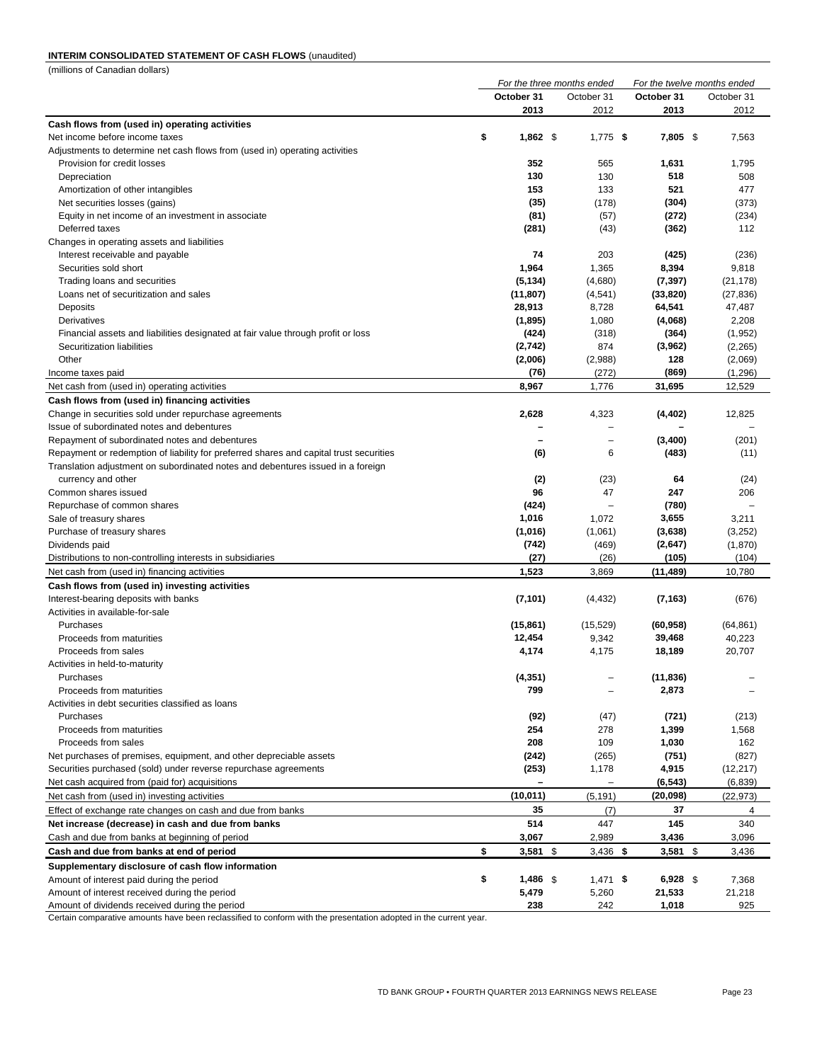# **INTERIM CONSOLIDATED STATEMENT OF CASH FLOWS** (unaudited)

|  | (millions of Canadian dollars) |  |
|--|--------------------------------|--|
|  |                                |  |

|                                                                                        |                          | For the three months ended |            | For the twelve months ended |
|----------------------------------------------------------------------------------------|--------------------------|----------------------------|------------|-----------------------------|
|                                                                                        | October 31               | October 31                 | October 31 | October 31                  |
|                                                                                        | 2013                     | 2012                       | 2013       | 2012                        |
| Cash flows from (used in) operating activities                                         |                          |                            |            |                             |
| Net income before income taxes                                                         | \$<br>$1,862$ \$         | $1,775$ \$                 | 7,805 \$   | 7,563                       |
| Adjustments to determine net cash flows from (used in) operating activities            |                          |                            |            |                             |
| Provision for credit losses                                                            | 352                      | 565                        | 1,631      | 1,795                       |
| Depreciation                                                                           | 130                      | 130                        | 518        | 508                         |
| Amortization of other intangibles                                                      | 153                      | 133                        | 521        | 477                         |
| Net securities losses (gains)                                                          | (35)                     | (178)                      | (304)      | (373)                       |
| Equity in net income of an investment in associate                                     | (81)                     | (57)                       | (272)      | (234)                       |
| Deferred taxes                                                                         | (281)                    | (43)                       | (362)      | 112                         |
| Changes in operating assets and liabilities                                            |                          |                            |            |                             |
| Interest receivable and payable                                                        | 74                       | 203                        | (425)      | (236)                       |
| Securities sold short                                                                  | 1,964                    | 1,365                      | 8,394      | 9,818                       |
| Trading loans and securities                                                           | (5, 134)                 | (4,680)                    | (7, 397)   | (21, 178)                   |
| Loans net of securitization and sales                                                  | (11, 807)                | (4, 541)                   | (33, 820)  | (27, 836)                   |
| Deposits                                                                               | 28,913                   | 8,728                      | 64,541     | 47,487                      |
| Derivatives                                                                            | (1,895)                  | 1,080                      | (4,068)    | 2,208                       |
| Financial assets and liabilities designated at fair value through profit or loss       | (424)                    | (318)                      | (364)      | (1,952)                     |
| Securitization liabilities                                                             | (2,742)                  | 874                        | (3,962)    | (2,265)                     |
| Other                                                                                  | (2,006)                  | (2,988)                    | 128        | (2,069)                     |
| Income taxes paid                                                                      | (76)                     | (272)                      | (869)      | (1,296)                     |
| Net cash from (used in) operating activities                                           | 8,967                    | 1,776                      | 31,695     | 12,529                      |
| Cash flows from (used in) financing activities                                         |                          |                            |            |                             |
| Change in securities sold under repurchase agreements                                  | 2,628                    | 4,323                      | (4, 402)   | 12,825                      |
| Issue of subordinated notes and debentures                                             |                          | $\overline{\phantom{0}}$   |            |                             |
| Repayment of subordinated notes and debentures                                         | $\overline{\phantom{0}}$ | $\overline{\phantom{0}}$   | (3,400)    | (201)                       |
| Repayment or redemption of liability for preferred shares and capital trust securities | (6)                      | 6                          | (483)      | (11)                        |
| Translation adjustment on subordinated notes and debentures issued in a foreign        |                          |                            |            |                             |
| currency and other                                                                     | (2)                      | (23)                       | 64         | (24)                        |
| Common shares issued                                                                   | 96                       | 47                         | 247        | 206                         |
| Repurchase of common shares                                                            | (424)                    |                            | (780)      |                             |
| Sale of treasury shares                                                                | 1,016                    | 1,072                      | 3,655      | 3,211                       |
| Purchase of treasury shares                                                            | (1,016)                  | (1,061)                    | (3,638)    | (3,252)                     |
| Dividends paid                                                                         | (742)                    | (469)                      | (2,647)    | (1,870)                     |
| Distributions to non-controlling interests in subsidiaries                             | (27)                     | (26)                       | (105)      | (104)                       |
| Net cash from (used in) financing activities                                           | 1,523                    | 3,869                      | (11,489)   | 10,780                      |
| Cash flows from (used in) investing activities                                         |                          |                            |            |                             |
| Interest-bearing deposits with banks                                                   | (7, 101)                 | (4, 432)                   | (7, 163)   | (676)                       |
| Activities in available-for-sale                                                       |                          |                            |            |                             |
| Purchases                                                                              | (15, 861)                | (15, 529)                  | (60, 958)  | (64, 861)                   |
| Proceeds from maturities                                                               | 12,454                   | 9,342                      | 39,468     | 40,223                      |
| Proceeds from sales                                                                    | 4,174                    | 4,175                      | 18,189     | 20,707                      |
| Activities in held-to-maturity                                                         |                          |                            |            |                             |
| Purchases                                                                              | (4, 351)                 |                            | (11, 836)  |                             |
| Proceeds from maturities                                                               | 799                      | $\overline{\phantom{0}}$   | 2,873      |                             |
| Activities in debt securities classified as loans                                      |                          |                            |            |                             |
| Purchases                                                                              | (92)                     | (47)                       | (721)      | (213)                       |
| Proceeds from maturities                                                               | 254                      | 278                        | 1,399      | 1,568                       |
| Proceeds from sales                                                                    | 208                      | 109                        | 1,030      | 162                         |
| Net purchases of premises, equipment, and other depreciable assets                     | (242)                    | (265)                      | (751)      | (827)                       |
| Securities purchased (sold) under reverse repurchase agreements                        | (253)                    | 1,178                      | 4,915      | (12, 217)                   |
| Net cash acquired from (paid for) acquisitions                                         | $\overline{\phantom{0}}$ |                            | (6,543)    | (6, 839)                    |
| Net cash from (used in) investing activities                                           | (10, 011)                | (5, 191)                   | (20,098)   | (22, 973)                   |
| Effect of exchange rate changes on cash and due from banks                             | 35                       | (7)                        | 37         | 4                           |
| Net increase (decrease) in cash and due from banks                                     | 514                      | 447                        | 145        | 340                         |
| Cash and due from banks at beginning of period                                         | 3,067                    | 2,989                      | 3,436      | 3,096                       |
| Cash and due from banks at end of period                                               | \$<br>$3,581$ \$         | 3,436 \$                   | 3,581      | \$<br>3,436                 |
| Supplementary disclosure of cash flow information                                      |                          |                            |            |                             |
| Amount of interest paid during the period                                              | \$<br>1,486 \$           | $1,471$ \$                 | $6,928$ \$ | 7,368                       |
| Amount of interest received during the period                                          | 5,479                    | 5,260                      | 21,533     | 21,218                      |
| Amount of dividends received during the period                                         | 238                      | 242                        | 1,018      | 925                         |
|                                                                                        |                          |                            |            |                             |

Certain comparative amounts have been reclassified to conform with the presentation adopted in the current year.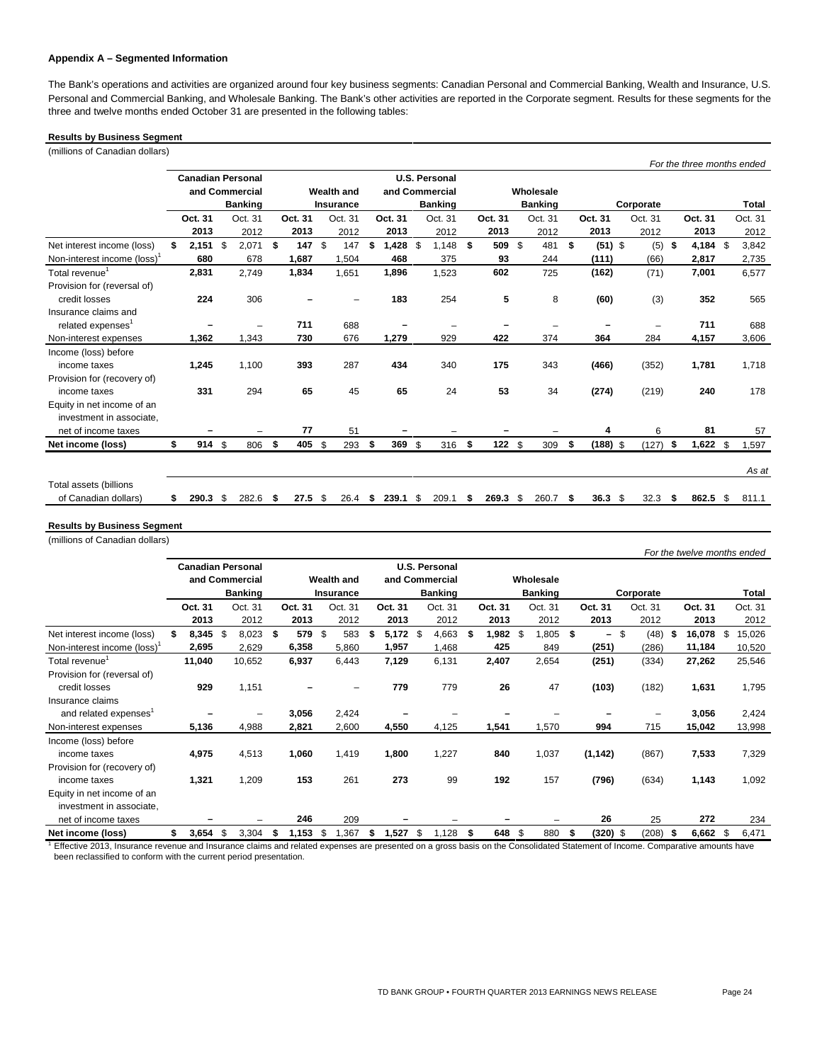## **Appendix A – Segmented Information**

The Bank's operations and activities are organized around four key business segments: Canadian Personal and Commercial Banking, Wealth and Insurance, U.S. Personal and Commercial Banking, and Wholesale Banking. The Bank's other activities are reported in the Corporate segment. Results for these segments for the three and twelve months ended October 31 are presented in the following tables:

## **Results by Business Segment**

(millions of Canadian dollars)

|                                         |                          |      |                |              |         |     |                   |    |            |                      |      |         |     |                |                         |           |      | For the three months ended |     |              |
|-----------------------------------------|--------------------------|------|----------------|--------------|---------|-----|-------------------|----|------------|----------------------|------|---------|-----|----------------|-------------------------|-----------|------|----------------------------|-----|--------------|
|                                         | <b>Canadian Personal</b> |      |                |              |         |     |                   |    |            | <b>U.S. Personal</b> |      |         |     |                |                         |           |      |                            |     |              |
|                                         |                          |      | and Commercial |              |         |     | <b>Wealth and</b> |    |            | and Commercial       |      |         |     | Wholesale      |                         |           |      |                            |     |              |
|                                         |                          |      | <b>Banking</b> |              |         |     | Insurance         |    |            | <b>Banking</b>       |      |         |     | <b>Banking</b> |                         | Corporate |      |                            |     | <b>Total</b> |
|                                         | Oct. 31                  |      | Oct. 31        |              | Oct. 31 |     | Oct. 31           |    | Oct. 31    | Oct. 31              |      | Oct. 31 |     | Oct. 31        | Oct. 31                 | Oct. 31   |      | Oct. 31                    |     | Oct. 31      |
|                                         | 2013                     |      | 2012           |              | 2013    |     | 2012              |    | 2013       | 2012                 |      | 2013    |     | 2012           | 2013                    | 2012      |      | 2013                       |     | 2012         |
| Net interest income (loss)              | \$<br>2,151              | \$   | 2,071          | $\mathbf{s}$ | 147S    |     | 147               | \$ | $1,428$ \$ | $1,148$ \$           |      | 509     | \$  | 481            | \$<br>$(51)$ \$         | (5)       | -\$  | 4,184 \$                   |     | 3,842        |
| Non-interest income (loss) <sup>1</sup> | 680                      |      | 678            |              | 1,687   |     | 1,504             |    | 468        | 375                  |      | 93      |     | 244            | (111)                   | (66)      |      | 2,817                      |     | 2,735        |
| Total revenue <sup>1</sup>              | 2,831                    |      | 2,749          |              | 1,834   |     | 1,651             |    | 1,896      | 1,523                |      | 602     |     | 725            | (162)                   | (71)      |      | 7,001                      |     | 6,577        |
| Provision for (reversal of)             |                          |      |                |              |         |     |                   |    |            |                      |      |         |     |                |                         |           |      |                            |     |              |
| credit losses                           | 224                      |      | 306            |              |         |     |                   |    | 183        | 254                  |      | 5       |     | 8              | (60)                    | (3)       |      | 352                        |     | 565          |
| Insurance claims and                    |                          |      |                |              |         |     |                   |    |            |                      |      |         |     |                |                         |           |      |                            |     |              |
| related expenses <sup>1</sup>           |                          |      |                |              | 711     |     | 688               |    |            |                      |      |         |     |                |                         |           |      | 711                        |     | 688          |
| Non-interest expenses                   | 1,362                    |      | 1,343          |              | 730     |     | 676               |    | 1,279      | 929                  |      | 422     |     | 374            | 364                     | 284       |      | 4,157                      |     | 3,606        |
| Income (loss) before                    |                          |      |                |              |         |     |                   |    |            |                      |      |         |     |                |                         |           |      |                            |     |              |
| income taxes                            | 1,245                    |      | 1,100          |              | 393     |     | 287               |    | 434        | 340                  |      | 175     |     | 343            | (466)                   | (352)     |      | 1,781                      |     | 1,718        |
| Provision for (recovery of)             |                          |      |                |              |         |     |                   |    |            |                      |      |         |     |                |                         |           |      |                            |     |              |
| income taxes                            | 331                      |      | 294            |              | 65      |     | 45                |    | 65         | 24                   |      | 53      |     | 34             | (274)                   | (219)     |      | 240                        |     | 178          |
| Equity in net income of an              |                          |      |                |              |         |     |                   |    |            |                      |      |         |     |                |                         |           |      |                            |     |              |
| investment in associate.                |                          |      |                |              |         |     |                   |    |            |                      |      |         |     |                |                         |           |      |                            |     |              |
| net of income taxes                     |                          |      |                |              | 77      |     | 51                |    |            |                      |      |         |     |                | 4                       | 6         |      | 81                         |     | 57           |
| Net income (loss)                       | \$<br>$914 \text{ } $$   |      | 806            | \$           | 405     | -\$ | 293               | \$ | 369 \$     | 316                  | \$   | 122S    |     | 309            | \$<br>$(188)$ \$        | (127)     | \$   | 1,622                      | \$  | 1,597        |
|                                         |                          |      |                |              |         |     |                   |    |            |                      |      |         |     |                |                         |           |      |                            |     |              |
|                                         |                          |      |                |              |         |     |                   |    |            |                      |      |         |     |                |                         |           |      |                            |     | As at        |
| Total assets (billions                  |                          |      |                |              |         |     |                   |    |            |                      |      |         |     |                |                         |           |      |                            |     |              |
| of Canadian dollars)                    | \$<br>290.3              | - \$ | $282.6$ \$     |              | 27.5    | -\$ | 26.4              | S. | 239.1      | \$<br>209.1          | - \$ | 269.3   | -\$ | 260.7          | \$<br>36.3 <sup>5</sup> | 32.3      | - \$ | 862.5                      | \$. | 811.1        |

# **Results by Business Segment**

(millions of Canadian dollars)

|                                   |                          |                |      |         |      |                   |                  |                      |             |                |                  |            |     | For the twelve months ended |              |
|-----------------------------------|--------------------------|----------------|------|---------|------|-------------------|------------------|----------------------|-------------|----------------|------------------|------------|-----|-----------------------------|--------------|
|                                   | <b>Canadian Personal</b> |                |      |         |      |                   |                  | <b>U.S. Personal</b> |             |                |                  |            |     |                             |              |
|                                   |                          | and Commercial |      |         |      | <b>Wealth and</b> |                  | and Commercial       |             | Wholesale      |                  |            |     |                             |              |
|                                   |                          | <b>Banking</b> |      |         |      | Insurance         |                  | <b>Banking</b>       |             | <b>Banking</b> |                  | Corporate  |     |                             | Total        |
|                                   | Oct. 31                  | Oct. 31        |      | Oct. 31 |      | Oct. 31           | Oct. 31          | Oct. 31              | Oct. 31     | Oct. 31        | Oct. 31          | Oct. 31    |     | Oct. 31                     | Oct. 31      |
|                                   | 2013                     | 2012           |      | 2013    |      | 2012              | 2013             | 2012                 | 2013        | 2012           | 2013             | 2012       |     | 2013                        | 2012         |
| Net interest income (loss)        | \$<br>$8,345$ \$         | 8,023          | - \$ | 579     | - \$ | 583               | \$<br>$5,172$ \$ | 4,663                | \$<br>1,982 | \$<br>1,805    | \$<br>Ξ.         | \$<br>(48) | -\$ | 16,078                      | \$<br>15,026 |
| Non-interest income (loss)        | 2,695                    | 2,629          |      | 6,358   |      | 5,860             | 1,957            | 1,468                | 425         | 849            | (251)            | (286)      |     | 11,184                      | 10,520       |
| Total revenue <sup>1</sup>        | 11,040                   | 10,652         |      | 6,937   |      | 6,443             | 7,129            | 6,131                | 2,407       | 2,654          | (251)            | (334)      |     | 27,262                      | 25,546       |
| Provision for (reversal of)       |                          |                |      |         |      |                   |                  |                      |             |                |                  |            |     |                             |              |
| credit losses                     | 929                      | 1,151          |      |         |      |                   | 779              | 779                  | 26          | 47             | (103)            | (182)      |     | 1,631                       | 1,795        |
| Insurance claims                  |                          |                |      |         |      |                   |                  |                      |             |                |                  |            |     |                             |              |
| and related expenses <sup>1</sup> |                          |                |      | 3,056   |      | 2,424             |                  |                      |             |                |                  |            |     | 3,056                       | 2,424        |
| Non-interest expenses             | 5,136                    | 4,988          |      | 2,821   |      | 2,600             | 4,550            | 4,125                | 1,541       | 1,570          | 994              | 715        |     | 15,042                      | 13,998       |
| Income (loss) before              |                          |                |      |         |      |                   |                  |                      |             |                |                  |            |     |                             |              |
| income taxes                      | 4,975                    | 4,513          |      | 1,060   |      | 1,419             | 1,800            | 1,227                | 840         | 1,037          | (1, 142)         | (867)      |     | 7,533                       | 7,329        |
| Provision for (recovery of)       |                          |                |      |         |      |                   |                  |                      |             |                |                  |            |     |                             |              |
| income taxes                      | 1,321                    | 1,209          |      | 153     |      | 261               | 273              | 99                   | 192         | 157            | (796)            | (634)      |     | 1,143                       | 1,092        |
| Equity in net income of an        |                          |                |      |         |      |                   |                  |                      |             |                |                  |            |     |                             |              |
| investment in associate,          |                          |                |      |         |      |                   |                  |                      |             |                |                  |            |     |                             |              |
| net of income taxes               |                          |                |      | 246     |      | 209               |                  |                      |             |                | 26               | 25         |     | 272                         | 234          |
| Net income (loss)                 | \$<br>3,654              | \$<br>3,304    | -5   | 1,153   | \$   | 1,367             | \$<br>1,527      | \$<br>1,128          | \$<br>648   | \$<br>880      | \$<br>$(320)$ \$ | (208)      | -\$ | 6,662                       | \$<br>6,471  |

1 Effective 2013, Insurance revenue and Insurance claims and related expenses are presented on a gross basis on the Consolidated Statement of Income. Comparative amounts have been reclassified to conform with the current period presentation.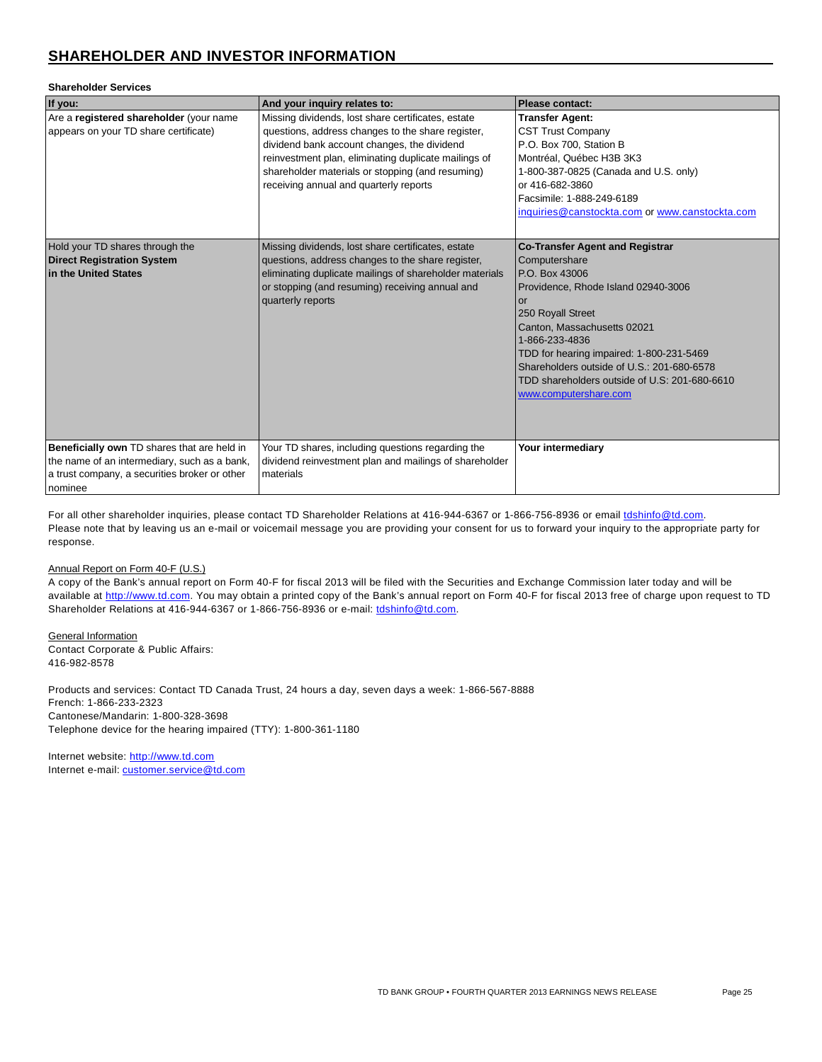# **SHAREHOLDER AND INVESTOR INFORMATION**

| <b>Shareholder Services</b> |  |
|-----------------------------|--|
|-----------------------------|--|

| If you:                                                                                                                                                 | And your inquiry relates to:                                                                                                                                                                                                                                                                                 | <b>Please contact:</b>                                                                                                                                                                                                                                                                                                                                           |
|---------------------------------------------------------------------------------------------------------------------------------------------------------|--------------------------------------------------------------------------------------------------------------------------------------------------------------------------------------------------------------------------------------------------------------------------------------------------------------|------------------------------------------------------------------------------------------------------------------------------------------------------------------------------------------------------------------------------------------------------------------------------------------------------------------------------------------------------------------|
| Are a registered shareholder (your name<br>appears on your TD share certificate)                                                                        | Missing dividends, lost share certificates, estate<br>questions, address changes to the share register,<br>dividend bank account changes, the dividend<br>reinvestment plan, eliminating duplicate mailings of<br>shareholder materials or stopping (and resuming)<br>receiving annual and quarterly reports | <b>Transfer Agent:</b><br><b>CST Trust Company</b><br>P.O. Box 700. Station B<br>Montréal, Québec H3B 3K3<br>1-800-387-0825 (Canada and U.S. only)<br>or 416-682-3860<br>Facsimile: 1-888-249-6189<br>inquiries@canstockta.com or www.canstockta.com                                                                                                             |
| Hold your TD shares through the<br><b>Direct Registration System</b><br>in the United States                                                            | Missing dividends, lost share certificates, estate<br>questions, address changes to the share register,<br>eliminating duplicate mailings of shareholder materials<br>or stopping (and resuming) receiving annual and<br>quarterly reports                                                                   | <b>Co-Transfer Agent and Registrar</b><br>Computershare<br>P.O. Box 43006<br>Providence, Rhode Island 02940-3006<br>or<br>250 Royall Street<br>Canton. Massachusetts 02021<br>1-866-233-4836<br>TDD for hearing impaired: 1-800-231-5469<br>Shareholders outside of U.S.: 201-680-6578<br>TDD shareholders outside of U.S: 201-680-6610<br>www.computershare.com |
| Beneficially own TD shares that are held in<br>the name of an intermediary, such as a bank,<br>a trust company, a securities broker or other<br>nominee | Your TD shares, including questions regarding the<br>dividend reinvestment plan and mailings of shareholder<br>materials                                                                                                                                                                                     | Your intermediary                                                                                                                                                                                                                                                                                                                                                |

For all other shareholder inquiries, please contact TD Shareholder Relations at 416-944-6367 or 1-866-756-8936 or email [tdshinfo@td.com.](mailto:tdshinfo@td.com) Please note that by leaving us an e-mail or voicemail message you are providing your consent for us to forward your inquiry to the appropriate party for response.

## Annual Report on Form 40-F (U.S.)

A copy of the Bank's annual report on Form 40-F for fiscal 2013 will be filed with the Securities and Exchange Commission later today and will be available at http://www.td.com. You may obtain a printed copy of the Bank's annual report on Form 40-F for fiscal 2013 free of charge upon request to TD Shareholder Relations at 416-944-6367 or 1-866-756-8936 or e-mail: tdshinfo@td.com.

**General Information** Contact Corporate & Public Affairs: 416-982-8578

Products and services: Contact TD Canada Trust, 24 hours a day, seven days a week: 1-866-567-8888 French: 1-866-233-2323 Cantonese/Mandarin: 1-800-328-3698 Telephone device for the hearing impaired (TTY): 1-800-361-1180

Internet website: http://www.td.com Internet e-mail: [customer.service@td.com](mailto:customer.service@td.com)